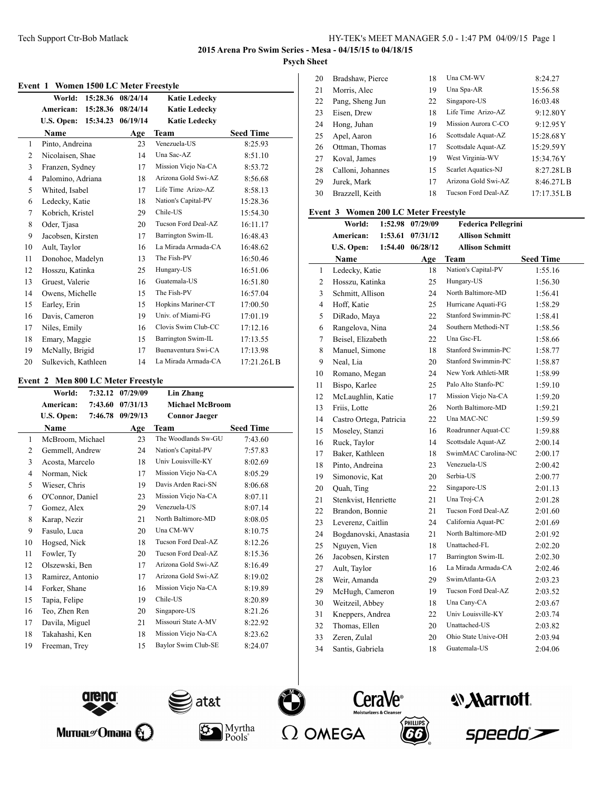#### **Event 1 Women 1500 LC Meter Freestyle**

|              | World:<br>15:28.36            | 08/24/14 | <b>Katie Ledecky</b> |                  |
|--------------|-------------------------------|----------|----------------------|------------------|
|              | American:<br>15:28.36         | 08/24/14 | <b>Katie Ledecky</b> |                  |
|              | <b>U.S. Open:</b><br>15:34.23 | 06/19/14 | <b>Katie Ledecky</b> |                  |
|              | Name                          | Age      | <b>Team</b>          | <b>Seed Time</b> |
| $\mathbf{1}$ | Pinto, Andreina               | 23       | Venezuela-US         | 8:25.93          |
| 2            | Nicolaisen, Shae              | 14       | Una Sac-AZ           | 8:51.10          |
| 3            | Franzen, Sydney               | 17       | Mission Viejo Na-CA  | 8:53.72          |
| 4            | Palomino, Adriana             | 18       | Arizona Gold Swi-AZ  | 8:56.68          |
| 5            | Whited, Isabel                | 17       | Life Time Arizo-AZ   | 8:58.13          |
| 6            | Ledecky, Katie                | 18       | Nation's Capital-PV  | 15:28.36         |
| 7            | Kobrich, Kristel              | 29       | Chile-US             | 15:54.30         |
| 8            | Oder, Tjasa                   | 20       | Tucson Ford Deal-AZ  | 16:11.17         |
| 9            | Jacobsen, Kirsten             | 17       | Barrington Swim-IL   | 16:48.43         |
| 10           | Ault, Taylor                  | 16       | La Mirada Armada-CA  | 16:48.62         |
| 11           | Donohoe, Madelyn              | 13       | The Fish-PV          | 16:50.46         |
| 12           | Hosszu, Katinka               | 25       | Hungary-US           | 16:51.06         |
| 13           | Gruest, Valerie               | 16       | Guatemala-US         | 16:51.80         |
| 14           | Owens, Michelle               | 15       | The Fish-PV          | 16:57.04         |
| 15           | Earley, Erin                  | 15       | Hopkins Mariner-CT   | 17:00.50         |
| 16           | Davis, Cameron                | 19       | Univ. of Miami-FG    | 17:01.19         |
| 17           | Niles, Emily                  | 16       | Clovis Swim Club-CC  | 17:12.16         |
| 18           | Emary, Maggie                 | 15       | Barrington Swim-IL   | 17:13.55         |
| 19           | McNally, Brigid               | 17       | Buenaventura Swi-CA  | 17:13.98         |
| 20           | Sulkevich, Kathleen           | 14       | La Mirada Armada-CA  | 17:21.26LB       |

### **Event 2 Men 800 LC Meter Freestyle**

|                | World:           | 7:32.12 | 07/29/09 | Lin Zhang              |                  |
|----------------|------------------|---------|----------|------------------------|------------------|
|                | American:        | 7:43.60 | 07/31/13 | <b>Michael McBroom</b> |                  |
|                | U.S. Open:       | 7:46.78 | 09/29/13 | <b>Connor Jaeger</b>   |                  |
|                | Name             |         | Age      | <b>Team</b>            | <b>Seed Time</b> |
| $\mathbf{1}$   | McBroom, Michael |         | 23       | The Woodlands Sw-GU    | 7:43.60          |
| $\overline{2}$ | Gemmell, Andrew  |         | 24       | Nation's Capital-PV    | 7:57.83          |
| 3              | Acosta, Marcelo  |         | 18       | Univ Louisville-KY     | 8:02.69          |
| 4              | Norman, Nick     |         | 17       | Mission Viejo Na-CA    | 8:05.29          |
| 5              | Wieser, Chris    |         | 19       | Davis Arden Raci-SN    | 8:06.68          |
| 6              | O'Connor, Daniel |         | 23       | Mission Viejo Na-CA    | 8:07.11          |
| 7              | Gomez, Alex      |         | 29       | Venezuela-US           | 8:07.14          |
| 8              | Karap, Nezir     |         | 21       | North Baltimore-MD     | 8:08.05          |
| 9              | Fasulo, Luca     |         | 20       | Una CM-WV              | 8:10.75          |
| 10             | Hogsed, Nick     |         | 18       | Tucson Ford Deal-AZ    | 8:12.26          |
| 11             | Fowler, Ty       |         | 20       | Tucson Ford Deal-AZ    | 8:15.36          |
| 12             | Olszewski, Ben   |         | 17       | Arizona Gold Swi-AZ    | 8:16.49          |
| 13             | Ramirez, Antonio |         | 17       | Arizona Gold Swi-AZ    | 8:19.02          |
| 14             | Forker, Shane    |         | 16       | Mission Viejo Na-CA    | 8:19.89          |
| 15             | Tapia, Felipe    |         | 19       | Chile-US               | 8:20.89          |
| 16             | Teo, Zhen Ren    |         | 20       | Singapore-US           | 8:21.26          |
| 17             | Davila, Miguel   |         | 21       | Missouri State A-MV    | 8:22.92          |
| 18             | Takahashi, Ken   |         | 18       | Mission Viejo Na-CA    | 8:23.62          |
| 19             | Freeman, Trey    |         | 15       | Baylor Swim Club-SE    | 8:24.07          |
|                |                  |         |          |                        |                  |

| 20 | Bradshaw, Pierce  | 18 | Una CM-WV           | 8:24.27    |
|----|-------------------|----|---------------------|------------|
| 21 | Morris, Alec      | 19 | Una Spa-AR          | 15:56.58   |
| 22 | Pang, Sheng Jun   | 22 | Singapore-US        | 16:03.48   |
| 23 | Eisen, Drew       | 18 | Life Time Arizo-AZ  | 9:12.80Y   |
| 24 | Hong, Juhan       | 19 | Mission Aurora C-CO | 9:12.95Y   |
| 25 | Apel, Aaron       | 16 | Scottsdale Aquat-AZ | 15:28.68Y  |
| 26 | Ottman, Thomas    | 17 | Scottsdale Aquat-AZ | 15:29.59Y  |
| 27 | Koval, James      | 19 | West Virginia-WV    | 15:34.76Y  |
| 28 | Calloni, Johannes | 15 | Scarlet Aquatics-NJ | 8:27.28L B |
| 29 | Jurek, Mark       | 17 | Arizona Gold Swi-AZ | 8:46.27LB  |
| 30 | Brazzell, Keith   | 18 | Tucson Ford Deal-AZ | 17:17.35LB |

# **Event 3 Women 200 LC Meter Freestyle**

|                | World:                  | 1:52.98 | 07/29/09 | <b>Federica Pellegrini</b> |                  |
|----------------|-------------------------|---------|----------|----------------------------|------------------|
|                | American:               | 1:53.61 | 07/31/12 | <b>Allison Schmitt</b>     |                  |
|                | U.S. Open:              | 1:54.40 | 06/28/12 | <b>Allison Schmitt</b>     |                  |
|                | <b>Name</b>             |         | Age      | Team                       | <b>Seed Time</b> |
| 1              | Ledecky, Katie          |         | 18       | Nation's Capital-PV        | 1:55.16          |
| $\overline{c}$ | Hosszu, Katinka         |         | 25       | Hungary-US                 | 1:56.30          |
| 3              | Schmitt, Allison        |         | 24       | North Baltimore-MD         | 1:56.41          |
| 4              | Hoff, Katie             |         | 25       | Hurricane Aquati-FG        | 1:58.29          |
| 5              | DiRado, Maya            |         | 22       | Stanford Swimmin-PC        | 1:58.41          |
| 6              | Rangelova, Nina         |         | 24       | Southern Methodi-NT        | 1:58.56          |
| 7              | Beisel, Elizabeth       |         | 22       | Una Gsc-FL                 | 1:58.66          |
| 8              | Manuel, Simone          |         | 18       | Stanford Swimmin-PC        | 1:58.77          |
| 9              | Neal, Lia               |         | 20       | Stanford Swimmin-PC        | 1:58.87          |
| 10             | Romano, Megan           |         | 24       | New York Athleti-MR        | 1:58.99          |
| 11             | Bispo, Karlee           |         | 25       | Palo Alto Stanfo-PC        | 1:59.10          |
| 12             | McLaughlin, Katie       |         | 17       | Mission Viejo Na-CA        | 1:59.20          |
| 13             | Friis, Lotte            |         | 26       | North Baltimore-MD         | 1:59.21          |
| 14             | Castro Ortega, Patricia |         | 22       | Una MAC-NC                 | 1:59.59          |
| 15             | Moseley, Stanzi         |         | 16       | Roadrunner Aquat-CC        | 1:59.88          |
| 16             | Ruck, Taylor            |         | 14       | Scottsdale Aquat-AZ        | 2:00.14          |
| 17             | Baker, Kathleen         |         | 18       | SwimMAC Carolina-NC        | 2:00.17          |
| 18             | Pinto, Andreina         |         | 23.      | Venezuela-US               | 2:00.42          |
| 19             | Simonovic, Kat          |         | 20       | Serbia-US                  | 2:00.77          |
| 20             | Quah, Ting              |         | 22       | Singapore-US               | 2:01.13          |
| 21             | Stenkvist, Henriette    |         | 21       | Una Troj-CA                | 2:01.28          |
| 22             | Brandon, Bonnie         |         | 21       | Tucson Ford Deal-AZ        | 2:01.60          |
| 23             | Leverenz, Caitlin       |         | 24       | California Aquat-PC        | 2:01.69          |
| 24             | Bogdanovski, Anastasia  |         | 21       | North Baltimore-MD         | 2:01.92          |
| 25             | Nguyen, Vien            |         | 18       | Unattached-FL              | 2:02.20          |
| 26             | Jacobsen, Kirsten       |         | 17       | Barrington Swim-IL         | 2:02.30          |
| 27             | Ault, Taylor            |         | 16       | La Mirada Armada-CA        | 2:02.46          |
| 28             | Weir, Amanda            |         | 29       | SwimAtlanta-GA             | 2:03.23          |
| 29             | McHugh, Cameron         |         | 19       | Tucson Ford Deal-AZ        | 2:03.52          |
| 30             | Weitzeil, Abbey         |         | 18       | Una Cany-CA                | 2:03.67          |
| 31             | Kneppers, Andrea        |         | 22       | Univ Louisville-KY         | 2:03.74          |
| 32             | Thomas, Ellen           |         | 20       | Unattached-US              | 2:03.82          |
| 33             | Zeren, Zulal            |         | 20       | Ohio State Unive-OH        | 2:03.94          |
| 34             | Santis, Gabriela        |         | 18       | Guatemala-US               | 2:04.06          |







 $P\ddot{\mathrm{o}}$ ols $\degree$ 







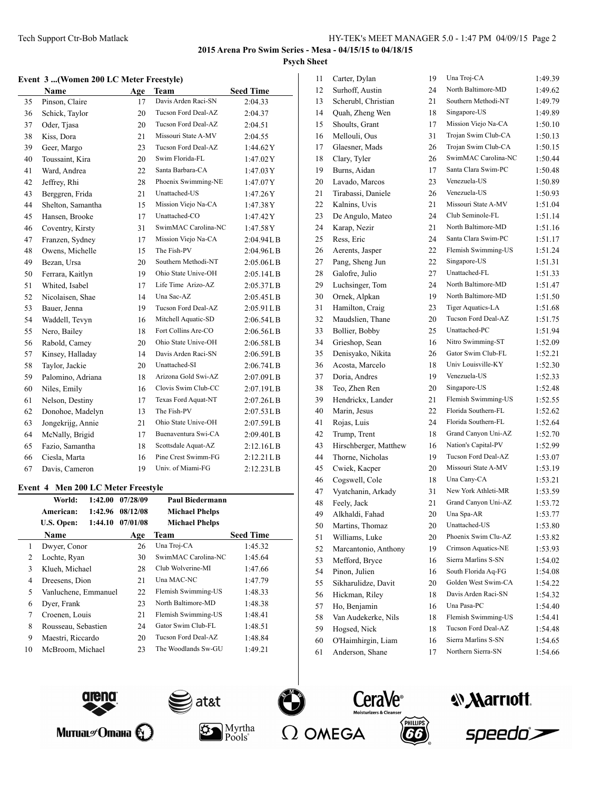### **2015 Arena Pro Swim Series - Mesa - 04/15/15 to 04/18/15 Psych Sheet**

#### **Event 3 ...(Women 200 LC Meter Freestyle)**

|    | Name              | Age | Team                | <b>Seed Time</b>                |
|----|-------------------|-----|---------------------|---------------------------------|
| 35 | Pinson, Claire    | 17  | Davis Arden Raci-SN | 2:04.33                         |
| 36 | Schick, Taylor    | 20  | Tucson Ford Deal-AZ | 2:04.37                         |
| 37 | Oder, Tjasa       | 20  | Tucson Ford Deal-AZ | 2:04.51                         |
| 38 | Kiss, Dora        | 21  | Missouri State A-MV | 2:04.55                         |
| 39 | Geer, Margo       | 23  | Tucson Ford Deal-AZ | 1:44.62Y                        |
| 40 | Toussaint, Kira   | 20  | Swim Florida-FL     | 1:47.02Y                        |
| 41 | Ward, Andrea      | 22  | Santa Barbara-CA    | 1:47.03 Y                       |
| 42 | Jeffrey, Rhi      | 28  | Phoenix Swimming-NE | 1:47.07Y                        |
| 43 | Berggren, Frida   | 21  | Unattached-US       | 1:47.26Y                        |
| 44 | Shelton, Samantha | 15  | Mission Viejo Na-CA | 1:47.38Y                        |
| 45 | Hansen, Brooke    | 17  | Unattached-CO       | 1:47.42Y                        |
| 46 | Coventry, Kirsty  | 31  | SwimMAC Carolina-NC | 1:47.58Y                        |
| 47 | Franzen, Sydney   | 17  | Mission Viejo Na-CA | 2:04.94LB                       |
| 48 | Owens, Michelle   | 15  | The Fish-PV         | 2:04.96LB                       |
| 49 | Bezan, Ursa       | 20  | Southern Methodi-NT | 2:05.06LB                       |
| 50 | Ferrara, Kaitlyn  | 19  | Ohio State Unive-OH | 2:05.14LB                       |
| 51 | Whited, Isabel    | 17  | Life Time Arizo-AZ  | 2:05.37LB                       |
| 52 | Nicolaisen, Shae  | 14  | Una Sac-AZ          | 2:05.45LB                       |
| 53 | Bauer, Jenna      | 19  | Tucson Ford Deal-AZ | 2:05.91LB                       |
| 54 | Waddell, Tevyn    | 16  | Mitchell Aquatic-SD | 2:06.54LB                       |
| 55 | Nero, Bailey      | 18  | Fort Collins Are-CO | 2:06.56L B                      |
| 56 | Rabold, Camey     | 20  | Ohio State Unive-OH | 2:06.58LB                       |
| 57 | Kinsey, Halladay  | 14  | Davis Arden Raci-SN | 2:06.59LB                       |
| 58 | Taylor, Jackie    | 20  | Unattached-SI       | 2:06.74LB                       |
| 59 | Palomino, Adriana | 18  | Arizona Gold Swi-AZ | 2:07.09LB                       |
| 60 | Niles, Emily      | 16  | Clovis Swim Club-CC | 2:07.19LB                       |
| 61 | Nelson, Destiny   | 17  | Texas Ford Aquat-NT | 2:07.26LB                       |
| 62 | Donohoe, Madelyn  | 13  | The Fish-PV         | $2:07.53\textrm{L}\,\textrm{B}$ |
| 63 | Jongekrijg, Annie | 21  | Ohio State Unive-OH | 2:07.59LB                       |
| 64 | McNally, Brigid   | 17  | Buenaventura Swi-CA | 2:09.40L B                      |
| 65 | Fazio, Samantha   | 18  | Scottsdale Aquat-AZ | 2:12.16LB                       |
| 66 | Ciesla, Marta     | 16  | Pine Crest Swimm-FG | 2:12.21LB                       |
| 67 | Davis, Cameron    | 19  | Univ. of Miami-FG   | 2:12.23LB                       |

# **Event 4 Men 200 LC Meter Freestyle**

|    | World:               | 1:42.00 | 07/28/09 | <b>Paul Biedermann</b> |                  |
|----|----------------------|---------|----------|------------------------|------------------|
|    | American:            | 1:42.96 | 08/12/08 | <b>Michael Phelps</b>  |                  |
|    | U.S. Open:           | 1:44.10 | 07/01/08 | <b>Michael Phelps</b>  |                  |
|    | <b>Name</b>          |         | Age      | Team                   | <b>Seed Time</b> |
| 1  | Dwyer, Conor         |         | 26       | Una Troj-CA            | 1:45.32          |
| 2  | Lochte, Ryan         |         | 30       | SwimMAC Carolina-NC    | 1:45.64          |
| 3  | Klueh, Michael       |         | 28       | Club Wolverine-MI      | 1:47.66          |
| 4  | Dreesens, Dion       |         | 21       | Una MAC-NC             | 1:47.79          |
| 5  | Vanluchene, Emmanuel |         | 22       | Flemish Swimming-US    | 1:48.33          |
| 6  | Dyer, Frank          |         | 23       | North Baltimore-MD     | 1:48.38          |
| 7  | Croenen, Louis       |         | 21       | Flemish Swimming-US    | 1:48.41          |
| 8  | Rousseau, Sebastien  |         | 24       | Gator Swim Club-FL     | 1:48.51          |
| 9  | Maestri, Riccardo    |         | 20       | Tucson Ford Deal-AZ    | 1:48.84          |
| 10 | McBroom, Michael     |         | 23       | The Woodlands Sw-GU    | 1:49.21          |

| 11 | Carter, Dylan         | 19 | Una Troj-CA         | 1:49.39 |
|----|-----------------------|----|---------------------|---------|
| 12 | Surhoff, Austin       | 24 | North Baltimore-MD  | 1:49.62 |
| 13 | Scherubl, Christian   | 21 | Southern Methodi-NT | 1:49.79 |
| 14 | Quah, Zheng Wen       | 18 | Singapore-US        | 1:49.89 |
| 15 | Shoults, Grant        | 17 | Mission Viejo Na-CA | 1:50.10 |
| 16 | Mellouli, Ous         | 31 | Trojan Swim Club-CA | 1:50.13 |
| 17 | Glaesner, Mads        | 26 | Trojan Swim Club-CA | 1:50.15 |
| 18 | Clary, Tyler          | 26 | SwimMAC Carolina-NC | 1:50.44 |
| 19 | Burns, Aidan          | 17 | Santa Clara Swim-PC | 1:50.48 |
| 20 | Lavado, Marcos        | 23 | Venezuela-US        | 1:50.89 |
| 21 | Tirabassi, Daniele    | 26 | Venezuela-US        | 1:50.93 |
| 22 | Kalnins, Uvis         | 21 | Missouri State A-MV | 1:51.04 |
| 23 | De Angulo, Mateo      | 24 | Club Seminole-FL    | 1:51.14 |
| 24 | Karap, Nezir          | 21 | North Baltimore-MD  | 1:51.16 |
| 25 | Ress, Eric            | 24 | Santa Clara Swim-PC | 1:51.17 |
| 26 | Aerents, Jasper       | 22 | Flemish Swimming-US | 1:51.24 |
| 27 | Pang, Sheng Jun       | 22 | Singapore-US        | 1:51.31 |
| 28 | Galofre, Julio        | 27 | Unattached-FL       | 1:51.33 |
| 29 | Luchsinger, Tom       | 24 | North Baltimore-MD  | 1:51.47 |
| 30 | Ornek, Alpkan         | 19 | North Baltimore-MD  | 1:51.50 |
| 31 | Hamilton, Craig       | 23 | Tiger Aquatics-LA   | 1:51.68 |
| 32 | Maudslien, Thane      | 20 | Tucson Ford Deal-AZ | 1:51.75 |
| 33 | Bollier, Bobby        | 25 | Unattached-PC       | 1:51.94 |
| 34 | Grieshop, Sean        | 16 | Nitro Swimming-ST   | 1:52.09 |
| 35 | Denisyako, Nikita     | 26 | Gator Swim Club-FL  | 1:52.21 |
| 36 | Acosta, Marcelo       | 18 | Univ Louisville-KY  | 1:52.30 |
| 37 | Doria, Andres         | 19 | Venezuela-US        | 1:52.33 |
| 38 | Teo, Zhen Ren         | 20 | Singapore-US        | 1:52.48 |
| 39 | Hendrickx, Lander     | 21 | Flemish Swimming-US | 1:52.55 |
| 40 | Marin, Jesus          | 22 | Florida Southern-FL | 1:52.62 |
| 41 | Rojas, Luis           | 24 | Florida Southern-FL | 1:52.64 |
| 42 | Trump, Trent          | 18 | Grand Canyon Uni-AZ | 1:52.70 |
| 43 | Hirschberger, Matthew | 16 | Nation's Capital-PV | 1:52.99 |
| 44 | Thorne, Nicholas      | 19 | Tucson Ford Deal-AZ | 1:53.07 |
| 45 | Cwiek, Kacper         | 20 | Missouri State A-MV | 1:53.19 |
| 46 | Cogswell, Cole        | 18 | Una Cany-CA         | 1:53.21 |
| 47 | Vyatchanin, Arkady    | 31 | New York Athleti-MR | 1:53.59 |
| 48 | Feely, Jack           | 21 | Grand Canyon Uni-AZ | 1:53.72 |
| 49 | Alkhaldi, Fahad       | 20 | Una Spa-AR          | 1:53.77 |
| 50 | Martins, Thomaz       | 20 | Unattached-US       | 1:53.80 |
| 51 | Williams, Luke        | 20 | Phoenix Swim Clu-AZ | 1:53.82 |
| 52 | Marcantonio, Anthony  | 19 | Crimson Aquatics-NE | 1:53.93 |
| 53 | Mefford, Bryce        | 16 | Sierra Marlins S-SN | 1:54.02 |
| 54 | Pinon, Julien         | 16 | South Florida Aq-FG | 1:54.08 |
| 55 | Sikharulidze, Davit   | 20 | Golden West Swim-CA | 1:54.22 |
| 56 | Hickman, Riley        | 18 | Davis Arden Raci-SN | 1:54.32 |
| 57 | Ho, Benjamin          | 16 | Una Pasa-PC         | 1:54.40 |
| 58 | Van Audekerke, Nils   | 18 | Flemish Swimming-US | 1:54.41 |
| 59 | Hogsed, Nick          | 18 | Tucson Ford Deal-AZ | 1:54.48 |
| 60 | O'Haimhirgin, Liam    | 16 | Sierra Marlins S-SN | 1:54.65 |
| 61 | Anderson, Shane       | 17 | Northern Sierra-SN  | 1:54.66 |
|    |                       |    |                     |         |













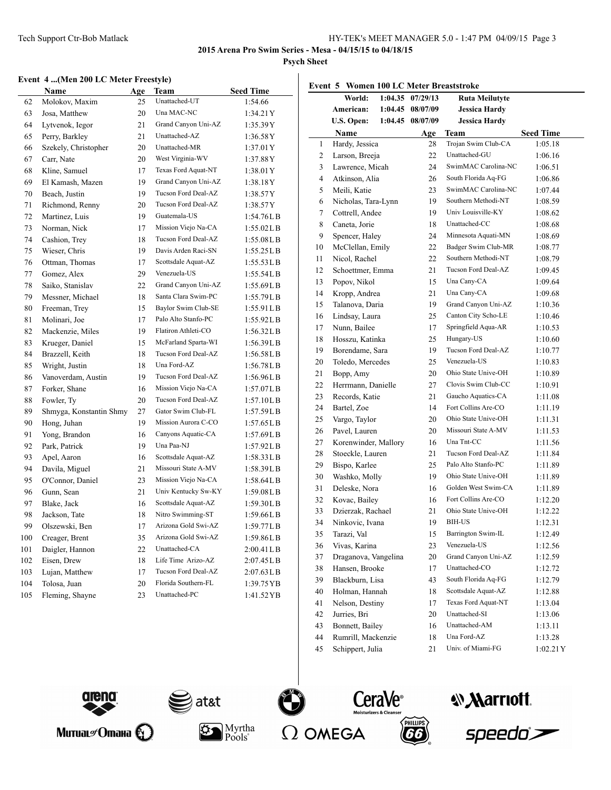**Event 5 Women 100 LC Meter Breaststroke**

**2015 Arena Pro Swim Series - Mesa - 04/15/15 to 04/18/15**

**Psych Sheet**

### **Event 4 ...(Men 200 LC Meter Freestyle)**

|     | Name                    | Age | <b>Team</b>         | <b>Seed Time</b> |
|-----|-------------------------|-----|---------------------|------------------|
| 62  | Molokov, Maxim          | 25  | Unattached-UT       | 1:54.66          |
| 63  | Josa, Matthew           | 20  | Una MAC-NC          | 1:34.21Y         |
| 64  | Lytvenok, Iegor         | 21  | Grand Canyon Uni-AZ | 1:35.39Y         |
| 65  | Perry, Barkley          | 21  | Unattached-AZ       | 1:36.58Y         |
| 66  | Szekely, Christopher    | 20  | Unattached-MR       | 1:37.01Y         |
| 67  | Carr, Nate              | 20  | West Virginia-WV    | 1:37.88Y         |
| 68  | Kline, Samuel           | 17  | Texas Ford Aquat-NT | 1:38.01Y         |
| 69  | El Kamash, Mazen        | 19  | Grand Canyon Uni-AZ | 1:38.18Y         |
| 70  | Beach, Justin           | 19  | Tucson Ford Deal-AZ | 1:38.57Y         |
| 71  | Richmond, Renny         | 20  | Tucson Ford Deal-AZ | 1:38.57Y         |
| 72  | Martinez, Luis          | 19  | Guatemala-US        | 1:54.76L B       |
| 73  | Norman, Nick            | 17  | Mission Viejo Na-CA | 1:55.02LB        |
| 74  | Cashion, Trey           | 18  | Tucson Ford Deal-AZ | 1:55.08LB        |
| 75  | Wieser, Chris           | 19  | Davis Arden Raci-SN | 1:55.25LB        |
| 76  | Ottman, Thomas          | 17  | Scottsdale Aquat-AZ | 1:55.53LB        |
| 77  | Gomez, Alex             | 29  | Venezuela-US        | 1:55.54LB        |
| 78  | Saiko, Stanislav        | 22  | Grand Canyon Uni-AZ | 1:55.69LB        |
| 79  | Messner, Michael        | 18  | Santa Clara Swim-PC | 1:55.79L B       |
| 80  | Freeman, Trey           | 15  | Baylor Swim Club-SE | 1:55.91L B       |
| 81  | Molinari, Joe           | 17  | Palo Alto Stanfo-PC | 1:55.92LB        |
| 82  | Mackenzie, Miles        | 19  | Flatiron Athleti-CO | 1:56.32LB        |
| 83  | Krueger, Daniel         | 15  | McFarland Sparta-WI | 1:56.39L B       |
| 84  | Brazzell, Keith         | 18  | Tucson Ford Deal-AZ | 1:56.58L B       |
| 85  | Wright, Justin          | 18  | Una Ford-AZ         | 1:56.78L B       |
| 86  | Vanoverdam, Austin      | 19  | Tucson Ford Deal-AZ | 1:56.96L B       |
| 87  | Forker, Shane           | 16  | Mission Viejo Na-CA | 1:57.07L B       |
| 88  | Fowler, Ty              | 20  | Tucson Ford Deal-AZ | 1:57.10LB        |
| 89  | Shmyga, Konstantin Shmy | 27  | Gator Swim Club-FL  | 1:57.59LB        |
| 90  | Hong, Juhan             | 19  | Mission Aurora C-CO | 1:57.65LB        |
| 91  | Yong, Brandon           | 16  | Canyons Aquatic-CA  | 1:57.69L B       |
| 92  | Park, Patrick           | 19  | Una Paa-NJ          | 1:57.92LB        |
| 93  | Apel, Aaron             | 16  | Scottsdale Aquat-AZ | 1:58.33LB        |
| 94  | Davila, Miguel          | 21  | Missouri State A-MV | 1:58.39LB        |
| 95  | O'Connor, Daniel        | 23  | Mission Viejo Na-CA | 1:58.64LB        |
| 96  | Gunn, Sean              | 21  | Univ Kentucky Sw-KY | 1:59.08L B       |
| 97  | Blake, Jack             | 16  | Scottsdale Aquat-AZ | 1:59.30LB        |
| 98  | Jackson, Tate           | 18  | Nitro Swimming-ST   | 1:59.66L B       |
| 99  | Olszewski, Ben          | 17  | Arizona Gold Swi-AZ | 1:59.77L B       |
| 100 | Creager, Brent          | 35  | Arizona Gold Swi-AZ | 1:59.86L B       |
| 101 | Daigler, Hannon         | 22  | Unattached-CA       | 2:00.41 L B      |
| 102 | Eisen, Drew             | 18  | Life Time Arizo-AZ  | 2:07.45L B       |
| 103 | Lujan, Matthew          | 17  | Tucson Ford Deal-AZ | 2:07.63LB        |
| 104 | Tolosa, Juan            | 20  | Florida Southern-FL | 1:39.75 YB       |
| 105 | Fleming, Shayne         | 23  | Unattached-PC       | 1:41.52 YB       |

|    | World:               | 1:04.35 | 07/29/13 | <b>Ruta Meilutyte</b> |                  |
|----|----------------------|---------|----------|-----------------------|------------------|
|    | American:            | 1:04.45 | 08/07/09 | <b>Jessica Hardy</b>  |                  |
|    | U.S. Open:           | 1:04.45 | 08/07/09 | <b>Jessica Hardy</b>  |                  |
|    | Name                 |         | Age      | <b>Team</b>           | <b>Seed Time</b> |
| 1  | Hardy, Jessica       |         | 28       | Trojan Swim Club-CA   | 1:05.18          |
| 2  | Larson, Breeja       |         | 22       | Unattached-GU         | 1:06.16          |
| 3  | Lawrence, Micah      |         | 24       | SwimMAC Carolina-NC   | 1:06.51          |
| 4  | Atkinson, Alia       |         | 26       | South Florida Aq-FG   | 1:06.86          |
| 5  | Meili, Katie         |         | 23       | SwimMAC Carolina-NC   | 1:07.44          |
| 6  | Nicholas, Tara-Lynn  |         | 19       | Southern Methodi-NT   | 1:08.59          |
| 7  | Cottrell, Andee      |         | 19       | Univ Louisville-KY    | 1:08.62          |
| 8  | Caneta, Jorie        |         | 18       | Unattached-CC         | 1:08.68          |
| 9  | Spencer, Haley       |         | 24       | Minnesota Aquati-MN   | 1:08.69          |
| 10 | McClellan, Emily     |         | 22       | Badger Swim Club-MR   | 1:08.77          |
| 11 | Nicol, Rachel        |         | 22       | Southern Methodi-NT   | 1:08.79          |
| 12 | Schoettmer, Emma     |         | 21       | Tucson Ford Deal-AZ   | 1:09.45          |
| 13 | Popov, Nikol         |         | 15       | Una Cany-CA           | 1:09.64          |
| 14 | Kropp, Andrea        |         | 21       | Una Cany-CA           | 1:09.68          |
| 15 | Talanova, Daria      |         | 19       | Grand Canyon Uni-AZ   | 1:10.36          |
| 16 | Lindsay, Laura       |         | 25       | Canton City Scho-LE   | 1:10.46          |
| 17 | Nunn, Bailee         |         | 17       | Springfield Aqua-AR   | 1:10.53          |
| 18 | Hosszu, Katinka      |         | 25       | Hungary-US            | 1:10.60          |
| 19 | Borendame, Sara      |         | 19       | Tucson Ford Deal-AZ   | 1:10.77          |
| 20 | Toledo, Mercedes     |         | 25       | Venezuela-US          | 1:10.83          |
| 21 | Bopp, Amy            |         | 20       | Ohio State Unive-OH   | 1:10.89          |
| 22 | Herrmann, Danielle   |         | 27       | Clovis Swim Club-CC   | 1:10.91          |
| 23 | Records, Katie       |         | 21       | Gaucho Aquatics-CA    | 1:11.08          |
| 24 | Bartel, Zoe          |         | 14       | Fort Collins Are-CO   | 1:11.19          |
| 25 | Vargo, Taylor        |         | 20       | Ohio State Unive-OH   | 1:11.31          |
| 26 | Pavel, Lauren        |         | 20       | Missouri State A-MV   | 1:11.53          |
| 27 | Korenwinder, Mallory |         | 16       | Una Tnt-CC            | 1:11.56          |
| 28 | Stoeckle, Lauren     |         | 21       | Tucson Ford Deal-AZ   | 1:11.84          |
| 29 | Bispo, Karlee        |         | 25       | Palo Alto Stanfo-PC   | 1:11.89          |
| 30 | Washko, Molly        |         | 19       | Ohio State Unive-OH   | 1:11.89          |
| 31 | Deleske, Nora        |         | 16       | Golden West Swim-CA   | 1:11.89          |
| 32 | Kovac, Bailey        |         | 16       | Fort Collins Are-CO   | 1:12.20          |
| 33 | Dzierzak, Rachael    |         | 21       | Ohio State Unive-OH   | 1:12.22          |
| 34 | Ninkovic, Ivana      |         | 19       | <b>BIH-US</b>         | 1:12.31          |
| 35 | Tarazi, Val          |         | 15       | Barrington Swim-IL    | 1:12.49          |
| 36 | Vivas, Karina        |         | 23       | Venezuela-US          | 1:12.56          |
| 37 | Draganova, Vangelina |         | 20       | Grand Canyon Uni-AZ   | 1:12.59          |
| 38 | Hansen, Brooke       |         | 17       | Unattached-CO         | 1:12.72          |
| 39 | Blackburn, Lisa      |         | 43       | South Florida Aq-FG   | 1:12.79          |
| 40 | Holman, Hannah       |         | 18       | Scottsdale Aquat-AZ   | 1:12.88          |
| 41 | Nelson, Destiny      |         | 17       | Texas Ford Aquat-NT   | 1:13.04          |
| 42 | Jurries, Bri         |         | 20       | Unattached-SI         | 1:13.06          |
| 43 | Bonnett, Bailey      |         | 16       | Unattached-AM         | 1:13.11          |



Митиаг $\mathscr{O}$ тана $\bigotimes$ 





 $Pools^*$ 





 Rumrill, Mackenzie 18 Una Ford-AZ 1:13.28 Schippert, Julia 21 Univ. of Miami-FG 1:02.21Y



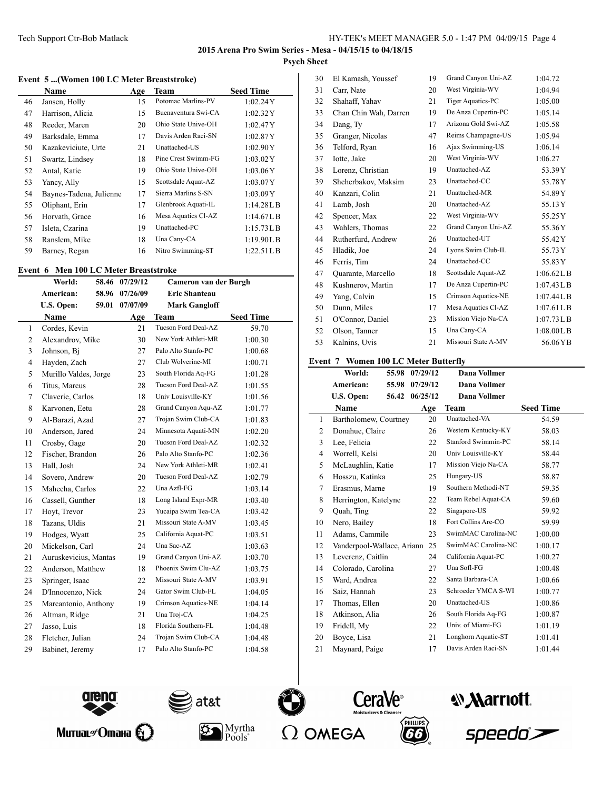$\overline{a}$ 

### **Event 5 ...(Women 100 LC Meter Breaststroke)**

|    | Name                    | Age | Team                | <b>Seed Time</b> |
|----|-------------------------|-----|---------------------|------------------|
| 46 | Jansen, Holly           | 15  | Potomac Marlins-PV  | 1:02.24Y         |
| 47 | Harrison, Alicia        | 15  | Buenaventura Swi-CA | 1:02.32Y         |
| 48 | Reeder, Maren           | 20  | Ohio State Unive-OH | 1:02.47Y         |
| 49 | Barksdale, Emma         | 17  | Davis Arden Raci-SN | 1:02.87Y         |
| 50 | Kazakeviciute, Urte     | 21  | Unattached-US       | 1:02.90Y         |
| 51 | Swartz, Lindsey         | 18  | Pine Crest Swimm-FG | 1:03.02Y         |
| 52 | Antal, Katie            | 19  | Ohio State Unive-OH | 1:03.06Y         |
| 53 | Yancy, Ally             | 15  | Scottsdale Aquat-AZ | 1:03.07Y         |
| 54 | Baynes-Tadena, Julienne | 17  | Sierra Marlins S-SN | 1:03.09Y         |
| 55 | Oliphant, Erin          | 17  | Glenbrook Aquati-IL | 1:14.28LB        |
| 56 | Horvath, Grace          | 16  | Mesa Aquatics Cl-AZ | 1:14.67L B       |
| 57 | Isleta, Czarina         | 19  | Unattached-PC       | 1:15.73LB        |
| 58 | Ranslem, Mike           | 18  | Una Cany-CA         | 1:19.90L B       |
| 59 | Barney, Regan           | 16  | Nitro Swimming-ST   | 1:22.51L B       |

### **Event 6 Men 100 LC Meter Breaststroke**

|                | <b>THE TOO LET MARKED DECEMBER OF</b><br>World: |       | 58.46 07/29/12 | Cameron van der Burgh |                  |
|----------------|-------------------------------------------------|-------|----------------|-----------------------|------------------|
|                | American:                                       | 58.96 | 07/26/09       | <b>Eric Shanteau</b>  |                  |
|                | U.S. Open:                                      | 59.01 | 07/07/09       | <b>Mark Gangloff</b>  |                  |
|                | <b>Name</b>                                     |       | Age            | <b>Team</b>           | <b>Seed Time</b> |
| $\mathbf{1}$   | Cordes, Kevin                                   |       | 21             | Tucson Ford Deal-AZ   | 59.70            |
| 2              | Alexandrov, Mike                                |       | 30             | New York Athleti-MR   | 1:00.30          |
| 3              | Johnson, Bi                                     |       | 27             | Palo Alto Stanfo-PC   | 1:00.68          |
| $\overline{4}$ | Hayden, Zach                                    |       | 27             | Club Wolverine-MI     | 1:00.71          |
| 5              | Murillo Valdes, Jorge                           |       | 23             | South Florida Aq-FG   | 1:01.28          |
| 6              | Titus, Marcus                                   |       | 28             | Tucson Ford Deal-AZ   | 1:01.55          |
| 7              | Claverie, Carlos                                |       | 18             | Univ Louisville-KY    | 1:01.56          |
| 8              | Karvonen, Eetu                                  |       | 28             | Grand Canyon Aqu-AZ   | 1:01.77          |
| 9              | Al-Barazi, Azad                                 |       | 27             | Trojan Swim Club-CA   | 1:01.83          |
| 10             | Anderson, Jared                                 |       | 24             | Minnesota Aquati-MN   | 1:02.20          |
| 11             | Crosby, Gage                                    |       | 20             | Tucson Ford Deal-AZ   | 1:02.32          |
| 12             | Fischer, Brandon                                |       | 26             | Palo Alto Stanfo-PC   | 1:02.36          |
| 13             | Hall, Josh                                      |       | 24             | New York Athleti-MR   | 1:02.41          |
| 14             | Sovero, Andrew                                  |       | 20             | Tucson Ford Deal-AZ   | 1:02.79          |
| 15             | Mahecha, Carlos                                 |       | 22             | Una Azfl-FG           | 1:03.14          |
| 16             | Cassell, Gunther                                |       | 18             | Long Island Expr-MR   | 1:03.40          |
| 17             | Hoyt, Trevor                                    |       | 23             | Yucaipa Swim Tea-CA   | 1:03.42          |
| 18             | Tazans, Uldis                                   |       | 21             | Missouri State A-MV   | 1:03.45          |
| 19             | Hodges, Wyatt                                   |       | 25             | California Aquat-PC   | 1:03.51          |
| 20             | Mickelson, Carl                                 |       | 24             | Una Sac-AZ            | 1:03.63          |
| 21             | Auruskevicius, Mantas                           |       | 19             | Grand Canyon Uni-AZ   | 1:03.70          |
| 22             | Anderson, Matthew                               |       | 18             | Phoenix Swim Clu-AZ   | 1:03.75          |
| 23             | Springer, Isaac                                 |       | 22             | Missouri State A-MV   | 1:03.91          |
| 24             | D'Innocenzo, Nick                               |       | 24             | Gator Swim Club-FL    | 1:04.05          |
| 25             | Marcantonio, Anthony                            |       | 19             | Crimson Aquatics-NE   | 1:04.14          |
| 26             | Altman, Ridge                                   |       | 21             | Una Troj-CA           | 1:04.25          |
| 27             | Jasso, Luis                                     |       | 18             | Florida Southern-FL   | 1:04.48          |
| 28             | Fletcher, Julian                                |       | 24             | Trojan Swim Club-CA   | 1:04.48          |
| 29             | Babinet, Jeremy                                 |       | 17             | Palo Alto Stanfo-PC   | 1:04.58          |
|                |                                                 |       |                |                       |                  |

| 30 | El Kamash, Youssef    | 19 | Grand Canyon Uni-AZ | 1:04.72      |
|----|-----------------------|----|---------------------|--------------|
| 31 | Carr, Nate            | 20 | West Virginia-WV    | 1:04.94      |
| 32 | Shahaff, Yahav        | 21 | Tiger Aquatics-PC   | 1:05.00      |
| 33 | Chan Chin Wah, Darren | 19 | De Anza Cupertin-PC | 1:05.14      |
| 34 | Dang, Ty              | 17 | Arizona Gold Swi-AZ | 1:05.58      |
| 35 | Granger, Nicolas      | 47 | Reims Champagne-US  | 1:05.94      |
| 36 | Telford, Ryan         | 16 | Ajax Swimming-US    | 1:06.14      |
| 37 | Iotte, Jake           | 20 | West Virginia-WV    | 1:06.27      |
| 38 | Lorenz, Christian     | 19 | Unattached-AZ       | 53.39Y       |
| 39 | Shcherbakov, Maksim   | 23 | Unattached-CC       | 53.78Y       |
| 40 | Kanzari, Colin        | 21 | Unattached-MR       | 54.89Y       |
| 41 | Lamb, Josh            | 20 | Unattached-AZ       | 55.13Y       |
| 42 | Spencer, Max          | 22 | West Virginia-WV    | 55.25Y       |
| 43 | Wahlers, Thomas       | 22 | Grand Canyon Uni-AZ | 55.36Y       |
| 44 | Rutherfurd, Andrew    | 26 | Unattached-UT       | 55.42Y       |
| 45 | Hladik, Joe           | 24 | Lyons Swim Club-IL  | 55.73Y       |
| 46 | Ferris, Tim           | 24 | Unattached-CC       | 55.83Y       |
| 47 | Quarante, Marcello    | 18 | Scottsdale Aquat-AZ | 1:06.62L B   |
| 48 | Kushnerov, Martin     | 17 | De Anza Cupertin-PC | 1:07.43L B   |
| 49 | Yang, Calvin          | 15 | Crimson Aquatics-NE | 1:07.44L B   |
| 50 | Dunn, Miles           | 17 | Mesa Aquatics Cl-AZ | $1:07.61$ LB |
| 51 | O'Connor, Daniel      | 23 | Mission Viejo Na-CA | 1:07.73L B   |
| 52 | Olson, Tanner         | 15 | Una Cany-CA         | 1:08.00L B   |
| 53 | Kalnins, Uvis         | 21 | Missouri State A-MV | 56.06YB      |
|    |                       |    |                     |              |

# **Event 7 Women 100 LC Meter Butterfly**

| World:         | 55.98 | 07/29/12                                                                                                                                                                         | <b>Dana Vollmer</b>                                 |                  |
|----------------|-------|----------------------------------------------------------------------------------------------------------------------------------------------------------------------------------|-----------------------------------------------------|------------------|
| American:      | 55.98 | 07/29/12                                                                                                                                                                         | Dana Vollmer                                        |                  |
| U.S. Open:     | 56.42 | 06/25/12                                                                                                                                                                         | <b>Dana Vollmer</b>                                 |                  |
| <b>Name</b>    |       | Age                                                                                                                                                                              | Team                                                | <b>Seed Time</b> |
|                |       | 20                                                                                                                                                                               | Unattached-VA                                       | 54.59            |
|                |       | 26                                                                                                                                                                               | Western Kentucky-KY                                 | 58.03            |
| Lee, Felicia   |       | 22                                                                                                                                                                               | Stanford Swimmin-PC                                 | 58.14            |
| Worrell, Kelsi |       | 20                                                                                                                                                                               | Univ Louisville-KY                                  | 58.44            |
|                |       | 17                                                                                                                                                                               | Mission Viejo Na-CA                                 | 58.77            |
|                |       | 25                                                                                                                                                                               | Hungary-US                                          | 58.87            |
|                |       | 19                                                                                                                                                                               | Southern Methodi-NT                                 | 59.35            |
|                |       | 22                                                                                                                                                                               | Team Rebel Aquat-CA                                 | 59.60            |
| Quah, Ting     |       | 22                                                                                                                                                                               | Singapore-US                                        | 59.92            |
| Nero, Bailey   |       | 18                                                                                                                                                                               | Fort Collins Are-CO                                 | 59.99            |
|                |       | 23                                                                                                                                                                               | SwimMAC Carolina-NC                                 | 1:00.00          |
|                |       | 25                                                                                                                                                                               | SwimMAC Carolina-NC                                 | 1:00.17          |
|                |       | 24                                                                                                                                                                               | California Aquat-PC                                 | 1:00.27          |
|                |       | 27                                                                                                                                                                               | Una Sofl-FG                                         | 1:00.48          |
| Ward, Andrea   |       | 22                                                                                                                                                                               | Santa Barbara-CA                                    | 1:00.66          |
| Saiz, Hannah   |       | 23                                                                                                                                                                               | Schroeder YMCA S-WI                                 | 1:00.77          |
| Thomas, Ellen  |       | 20                                                                                                                                                                               | Unattached-US                                       | 1:00.86          |
| Atkinson, Alia |       | 26                                                                                                                                                                               | South Florida Aq-FG                                 | 1:00.87          |
| Fridell, My    |       | 22                                                                                                                                                                               | Univ. of Miami-FG                                   | 1:01.19          |
| Boyce, Lisa    |       | 21                                                                                                                                                                               | Longhorn Aquatic-ST                                 | 1:01.41          |
|                |       | 17                                                                                                                                                                               | Davis Arden Raci-SN                                 | 1:01.44          |
|                |       | Donahue, Claire<br>McLaughlin, Katie<br>Hosszu, Katinka<br>Erasmus, Marne<br>Herrington, Katelyne<br>Adams, Cammile<br>Leverenz, Caitlin<br>Colorado, Carolina<br>Maynard, Paige | Bartholomew, Courtney<br>Vanderpool-Wallace, Ariann |                  |





 $Pools^*$ 







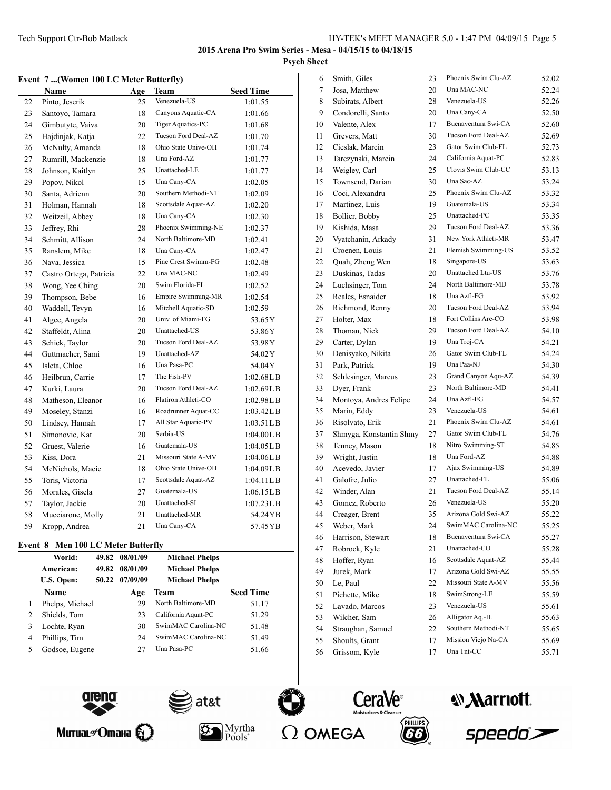### **Event 7 ...(Women 100 LC Meter Butterfly)**

|    | Name                    | Age | Team                     | <b>Seed Time</b> |
|----|-------------------------|-----|--------------------------|------------------|
| 22 | Pinto, Jeserik          | 25  | Venezuela-US             | 1:01.55          |
| 23 | Santoyo, Tamara         | 18  | Canyons Aquatic-CA       | 1:01.66          |
| 24 | Gimbutyte, Vaiva        | 20  | <b>Tiger Aquatics-PC</b> | 1:01.68          |
| 25 | Hajdinjak, Katja        | 22  | Tucson Ford Deal-AZ      | 1:01.70          |
| 26 | McNulty, Amanda         | 18  | Ohio State Unive-OH      | 1:01.74          |
| 27 | Rumrill, Mackenzie      | 18  | Una Ford-AZ              | 1:01.77          |
| 28 | Johnson, Kaitlyn        | 25  | Unattached-LE            | 1:01.77          |
| 29 | Popov, Nikol            | 15  | Una Cany-CA              | 1:02.05          |
| 30 | Santa, Adrienn          | 20  | Southern Methodi-NT      | 1:02.09          |
| 31 | Holman, Hannah          | 18  | Scottsdale Aquat-AZ      | 1:02.20          |
| 32 | Weitzeil, Abbey         | 18  | Una Cany-CA              | 1:02.30          |
| 33 | Jeffrey, Rhi            | 28  | Phoenix Swimming-NE      | 1:02.37          |
| 34 | Schmitt, Allison        | 24  | North Baltimore-MD       | 1:02.41          |
| 35 | Ranslem, Mike           | 18  | Una Cany-CA              | 1:02.47          |
| 36 | Nava, Jessica           | 15  | Pine Crest Swimm-FG      | 1:02.48          |
| 37 | Castro Ortega, Patricia | 22  | Una MAC-NC               | 1:02.49          |
| 38 | Wong, Yee Ching         | 20  | Swim Florida-FL          | 1:02.52          |
| 39 | Thompson, Bebe          | 16  | Empire Swimming-MR       | 1:02.54          |
| 40 | Waddell, Tevyn          | 16  | Mitchell Aquatic-SD      | 1:02.59          |
| 41 | Algee, Angela           | 20  | Univ. of Miami-FG        | 53.65Y           |
| 42 | Staffeldt, Alina        | 20  | Unattached-US            | 53.86Y           |
| 43 | Schick, Taylor          | 20  | Tucson Ford Deal-AZ      | 53.98 Y          |
| 44 | Guttmacher, Sami        | 19  | Unattached-AZ            | 54.02Y           |
| 45 | Isleta, Chloe           | 16  | Una Pasa-PC              | 54.04 Y          |
| 46 | Heilbrun, Carrie        | 17  | The Fish-PV              | 1:02.68L B       |
| 47 | Kurki, Laura            | 20  | Tucson Ford Deal-AZ      | 1:02.69L B       |
| 48 | Matheson, Eleanor       | 16  | Flatiron Athleti-CO      | 1:02.98L B       |
| 49 | Moseley, Stanzi         | 16  | Roadrunner Aquat-CC      | 1:03.42L B       |
| 50 | Lindsey, Hannah         | 17  | All Star Aquatic-PV      | 1:03.51LB        |
| 51 | Simonovic, Kat          | 20  | Serbia-US                | 1:04.00L B       |
| 52 | Gruest, Valerie         | 16  | Guatemala-US             | 1:04.05L B       |
| 53 | Kiss, Dora              | 21  | Missouri State A-MV      | 1:04.06L B       |
| 54 | McNichols, Macie        | 18  | Ohio State Unive-OH      | 1:04.09L B       |
| 55 | Toris, Victoria         | 17  | Scottsdale Aquat-AZ      | 1:04.11 L B      |
| 56 | Morales, Gisela         | 27  | Guatemala-US             | 1:06.15LB        |
| 57 | Taylor, Jackie          | 20  | Unattached-SI            | $1:07.23$ LB     |
| 58 | Mucciarone, Molly       | 21  | Unattached-MR            | 54.24 YB         |
| 59 | Kropp, Andrea           | 21  | Una Cany-CA              | 57.45 YB         |

# **Event 8 Men 100 LC Meter Butterfly**

|   | World:          |       | 49.82 08/01/09 | <b>Michael Phelps</b> |                  |
|---|-----------------|-------|----------------|-----------------------|------------------|
|   | American:       | 49.82 | 08/01/09       | <b>Michael Phelps</b> |                  |
|   | U.S. Open:      | 50.22 | 07/09/09       | <b>Michael Phelps</b> |                  |
|   | <b>Name</b>     |       | Age            | Team                  | <b>Seed Time</b> |
|   | Phelps, Michael |       | 29             | North Baltimore-MD    | 51.17            |
|   | Shields, Tom    |       | 23             | California Aquat-PC   | 51.29            |
| 3 | Lochte, Ryan    |       | 30             | SwimMAC Carolina-NC   | 51.48            |
| 4 | Phillips, Tim   |       | 24             | SwimMAC Carolina-NC   | 51.49            |
|   | Godsoe, Eugene  |       | 27             | Una Pasa-PC           | 51.66            |
|   |                 |       |                |                       |                  |





Митиаг $\mathscr{O}$  maна  $\mathbb{C}$ 





Pools<sup>®</sup>





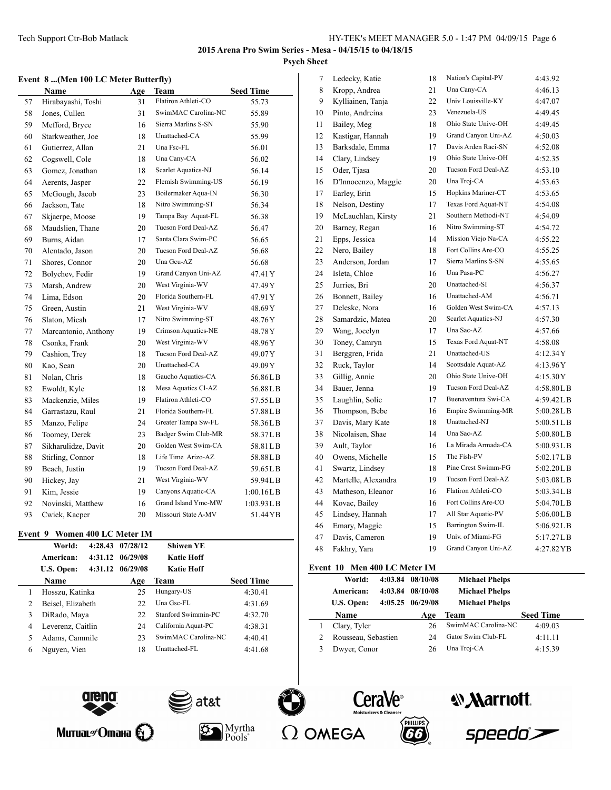#### **Event 8 ...(Men 100 LC Meter Butterfly)**

| <b>Name</b> |                      | Age | <b>Team</b>         | <b>Seed Time</b> |
|-------------|----------------------|-----|---------------------|------------------|
| 57          | Hirabayashi, Toshi   | 31  | Flatiron Athleti-CO | 55.73            |
| 58          | Jones, Cullen        | 31  | SwimMAC Carolina-NC | 55.89            |
| 59          | Mefford, Bryce       | 16  | Sierra Marlins S-SN | 55.90            |
| 60          | Starkweather, Joe    | 18  | Unattached-CA       | 55.99            |
| 61          | Gutierrez, Allan     | 21  | Una Fsc-FL          | 56.01            |
| 62          | Cogswell, Cole       | 18  | Una Cany-CA         | 56.02            |
| 63          | Gomez, Jonathan      | 18  | Scarlet Aquatics-NJ | 56.14            |
| 64          | Aerents, Jasper      | 22  | Flemish Swimming-US | 56.19            |
| 65          | McGough, Jacob       | 23  | Boilermaker Aqua-IN | 56.30            |
| 66          | Jackson, Tate        | 18  | Nitro Swimming-ST   | 56.34            |
| 67          | Skjaerpe, Moose      | 19  | Tampa Bay Aquat-FL  | 56.38            |
| 68          | Maudslien, Thane     | 20  | Tucson Ford Deal-AZ | 56.47            |
| 69          | Burns, Aidan         | 17  | Santa Clara Swim-PC | 56.65            |
| 70          | Alentado, Jason      | 20  | Tucson Ford Deal-AZ | 56.68            |
| 71          | Shores, Connor       | 20  | Una Gcu-AZ          | 56.68            |
| 72          | Bolychev, Fedir      | 19  | Grand Canyon Uni-AZ | 47.41Y           |
| 73          | Marsh, Andrew        | 20  | West Virginia-WV    | 47.49Y           |
| 74          | Lima, Edson          | 20  | Florida Southern-FL | 47.91 Y          |
| 75          | Green, Austin        | 21  | West Virginia-WV    | 48.69Y           |
| 76          | Slaton, Micah        | 17  | Nitro Swimming-ST   | 48.76Y           |
| 77          | Marcantonio, Anthony | 19  | Crimson Aquatics-NE | 48.78Y           |
| 78          | Csonka, Frank        | 20  | West Virginia-WV    | 48.96Y           |
| 79          | Cashion, Trey        | 18  | Tucson Ford Deal-AZ | 49.07Y           |
| 80          | Kao, Sean            | 20  | Unattached-CA       | 49.09Y           |
| 81          | Nolan, Chris         | 18  | Gaucho Aquatics-CA  | 56.86LB          |
| 82          | Ewoldt, Kyle         | 18  | Mesa Aquatics Cl-AZ | 56.88LB          |
| 83          | Mackenzie, Miles     | 19  | Flatiron Athleti-CO | 57.55LB          |
| 84          | Garrastazu, Raul     | 21  | Florida Southern-FL | 57.88LB          |
| 85          | Manzo, Felipe        | 24  | Greater Tampa Sw-FL | 58.36LB          |
| 86          | Toomey, Derek        | 23  | Badger Swim Club-MR | 58.37LB          |
| 87          | Sikharulidze, Davit  | 20  | Golden West Swim-CA | 58.81LB          |
| 88          | Stirling, Connor     | 18  | Life Time Arizo-AZ  | 58.88LB          |
| 89          | Beach, Justin        | 19  | Tucson Ford Deal-AZ | 59.65LB          |
| 90          | Hickey, Jay          | 21  | West Virginia-WV    | 59.94LB          |
| 91          | Kim, Jessie          | 19  | Canyons Aquatic-CA  | 1:00.16L B       |
| 92          | Novinski, Matthew    | 16  | Grand Island Ymc-MW | 1:03.93L B       |
| 93          | Cwiek, Kacper        | 20  | Missouri State A-MV | 51.44 YB         |

#### **Event 9 Women 400 LC Meter IM**

|   | World:            | 4:28.43 | 07/28/12 | <b>Shiwen YE</b>    |                  |
|---|-------------------|---------|----------|---------------------|------------------|
|   | American:         | 4:31.12 | 06/29/08 | <b>Katie Hoff</b>   |                  |
|   | U.S. Open:        | 4:31.12 | 06/29/08 | <b>Katie Hoff</b>   |                  |
|   | <b>Name</b>       |         | Age      | <b>Team</b>         | <b>Seed Time</b> |
|   | Hosszu, Katinka   |         | 25       | Hungary-US          | 4:30.41          |
| 2 | Beisel, Elizabeth |         | 22       | Una Gsc-FL          | 4:31.69          |
| 3 | DiRado, Maya      |         | 22       | Stanford Swimmin-PC | 4:32.70          |
| 4 | Leverenz, Caitlin |         | 24       | California Aquat-PC | 4:38.31          |
|   | Adams, Cammile    |         | 23       | SwimMAC Carolina-NC | 4:40.41          |
| 6 | Nguyen, Vien      |         | 18       | Unattached-FL       | 4:41.68          |
|   |                   |         |          |                     |                  |



#### **Event 10 Men 400 LC Meter IM**

| World:<br>American:<br>U.S. Open: | 4:03.84 | 4:03.84 08/10/08<br>08/10/08<br>$4:05.25$ $06/29/08$ | <b>Michael Phelps</b><br><b>Michael Phelps</b><br><b>Michael Phelps</b> |                  |
|-----------------------------------|---------|------------------------------------------------------|-------------------------------------------------------------------------|------------------|
| <b>Name</b>                       |         | Age                                                  | Team                                                                    | <b>Seed Time</b> |
| Clary, Tyler                      |         | 26                                                   | SwimMAC Carolina-NC                                                     | 4:09.03          |
| Rousseau, Sebastien               |         | 24                                                   | Gator Swim Club-FL                                                      | 4:11.11          |
| Dwyer, Conor                      |         | 26                                                   | Una Troj-CA                                                             | 4:15.39          |
|                                   |         |                                                      |                                                                         |                  |



Митиаг $\mathscr{O}$  Отана  $\bigcirc$ 









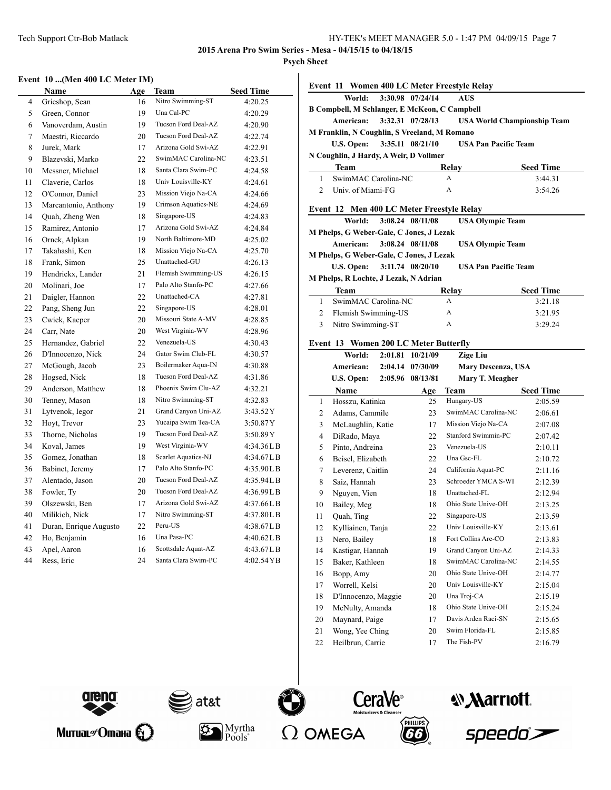**2015 Arena Pro Swim Series - Mesa - 04/15/15 to 04/18/15**

**Psych Sheet**

#### **Event 10 ...(Men 400 LC Meter IM)**

|        | <b>Name</b>            | Age | Team                | <b>Seed Time</b> |
|--------|------------------------|-----|---------------------|------------------|
| 4      | Grieshop, Sean         | 16  | Nitro Swimming-ST   | 4:20.25          |
| 5      | Green, Connor          | 19  | Una Cal-PC          | 4:20.29          |
| 6      | Vanoverdam, Austin     | 19  | Tucson Ford Deal-AZ | 4:20.90          |
| $\tau$ | Maestri, Riccardo      | 20  | Tucson Ford Deal-AZ | 4:22.74          |
| 8      | Jurek, Mark            | 17  | Arizona Gold Swi-AZ | 4:22.91          |
| 9      | Blazevski, Marko       | 22  | SwimMAC Carolina-NC | 4:23.51          |
| 10     | Messner, Michael       | 18  | Santa Clara Swim-PC | 4:24.58          |
| 11     | Claverie, Carlos       | 18  | Univ Louisville-KY  | 4:24.61          |
| 12     | O'Connor, Daniel       | 23  | Mission Viejo Na-CA | 4:24.66          |
| 13     | Marcantonio, Anthony   | 19  | Crimson Aquatics-NE | 4:24.69          |
| 14     | Quah, Zheng Wen        | 18  | Singapore-US        | 4:24.83          |
| 15     | Ramirez, Antonio       | 17  | Arizona Gold Swi-AZ | 4:24.84          |
| 16     | Ornek, Alpkan          | 19  | North Baltimore-MD  | 4:25.02          |
| 17     | Takahashi, Ken         | 18  | Mission Viejo Na-CA | 4:25.70          |
| 18     | Frank, Simon           | 25  | Unattached-GU       | 4:26.13          |
| 19     | Hendrickx, Lander      | 21  | Flemish Swimming-US | 4:26.15          |
| 20     | Molinari, Joe          | 17  | Palo Alto Stanfo-PC | 4:27.66          |
| 21     | Daigler, Hannon        | 22  | Unattached-CA       | 4:27.81          |
| 22     | Pang, Sheng Jun        | 22  | Singapore-US        | 4:28.01          |
| 23     | Cwiek, Kacper          | 20  | Missouri State A-MV | 4:28.85          |
| 24     | Carr, Nate             | 20  | West Virginia-WV    | 4:28.96          |
| 25     | Hernandez, Gabriel     | 22  | Venezuela-US        | 4:30.43          |
| 26     | D'Innocenzo, Nick      | 24  | Gator Swim Club-FL  | 4:30.57          |
| 27     | McGough, Jacob         | 23  | Boilermaker Aqua-IN | 4:30.88          |
| 28     | Hogsed, Nick           | 18  | Tucson Ford Deal-AZ | 4:31.86          |
| 29     | Anderson, Matthew      | 18  | Phoenix Swim Clu-AZ | 4:32.21          |
| 30     | Tenney, Mason          | 18  | Nitro Swimming-ST   | 4:32.83          |
| 31     | Lytvenok, Iegor        | 21  | Grand Canyon Uni-AZ | 3:43.52Y         |
| 32     | Hoyt, Trevor           | 23  | Yucaipa Swim Tea-CA | 3:50.87Y         |
| 33     | Thorne, Nicholas       | 19  | Tucson Ford Deal-AZ | 3:50.89Y         |
| 34     | Koval, James           | 19  | West Virginia-WV    | 4:34.36LB        |
| 35     | Gomez, Jonathan        | 18  | Scarlet Aquatics-NJ | 4:34.67L B       |
| 36     | Babinet, Jeremy        | 17  | Palo Alto Stanfo-PC | 4:35.90LB        |
| 37     | Alentado, Jason        | 20  | Tucson Ford Deal-AZ | 4:35.94L B       |
| 38     | Fowler, Ty             | 20  | Tucson Ford Deal-AZ | 4:36.99LB        |
| 39     | Olszewski, Ben         | 17  | Arizona Gold Swi-AZ | 4:37.66LB        |
| 40     | Milikich, Nick         | 17  | Nitro Swimming-ST   | 4:37.80LB        |
| 41     | Duran, Enrique Augusto | 22  | Peru-US             | 4:38.67LB        |
| 42     | Ho, Benjamin           | 16  | Una Pasa-PC         | 4:40.62L B       |
| 43     | Apel, Aaron            | 16  | Scottsdale Aquat-AZ | 4:43.67LB        |
| 44     | Ress, Eric             | 24  | Santa Clara Swim-PC | 4:02.54YB        |

|                | Event 11 Women 400 LC Meter Freestyle Relay          |         |                  |                                    |                  |  |
|----------------|------------------------------------------------------|---------|------------------|------------------------------------|------------------|--|
|                | World:                                               |         | 3:30.98 07/24/14 | <b>AUS</b>                         |                  |  |
|                | <b>B Compbell, M Schlanger, E McKeon, C Campbell</b> |         |                  |                                    |                  |  |
|                | American:                                            |         | 3:32.31 07/28/13 | <b>USA World Championship Team</b> |                  |  |
|                | M Franklin, N Coughlin, S Vreeland, M Romano         |         |                  |                                    |                  |  |
|                | <b>U.S. Open:</b>                                    |         | 3:35.11 08/21/10 | <b>USA Pan Pacific Team</b>        |                  |  |
|                | N Coughlin, J Hardy, A Weir, D Vollmer               |         |                  |                                    |                  |  |
|                | Team                                                 |         |                  | Relav                              | <b>Seed Time</b> |  |
| 1              | SwimMAC Carolina-NC                                  |         |                  | A                                  | 3:44.31          |  |
| $\overline{c}$ | Univ. of Miami-FG                                    |         |                  | A                                  | 3:54.26          |  |
|                | Event 12 Men 400 LC Meter Freestyle Relay            |         |                  |                                    |                  |  |
|                | World:                                               |         | 3:08.24 08/11/08 | <b>USA Olympic Team</b>            |                  |  |
|                | M Phelps, G Weber-Gale, C Jones, J Lezak             |         |                  |                                    |                  |  |
|                | American:                                            |         | 3:08.24 08/11/08 | <b>USA Olympic Team</b>            |                  |  |
|                | M Phelps, G Weber-Gale, C Jones, J Lezak             |         |                  |                                    |                  |  |
|                | U.S. Open:                                           |         | 3:11.74 08/20/10 | <b>USA Pan Pacific Team</b>        |                  |  |
|                | M Phelps, R Lochte, J Lezak, N Adrian                |         |                  |                                    |                  |  |
|                | Team                                                 |         |                  | Relay                              | <b>Seed Time</b> |  |
| 1              | SwimMAC Carolina-NC                                  |         |                  | A                                  | 3:21.18          |  |
| 2              | Flemish Swimming-US                                  |         |                  | A                                  | 3:21.95          |  |
| 3              | Nitro Swimming-ST                                    |         |                  | A                                  | 3:29.24          |  |
|                | Event 13 Women 200 LC Meter Butterfly                |         |                  |                                    |                  |  |
|                | World:                                               | 2:01.81 | 10/21/09         | <b>Zige Liu</b>                    |                  |  |
|                | American:                                            | 2:04.14 | 07/30/09         | <b>Mary Descenza</b> , USA         |                  |  |
|                | U.S. Open:                                           | 2:05.96 | 08/13/81         | Mary T. Meagher                    |                  |  |
|                | <b>Name</b>                                          |         | Age              | Team                               | <b>Seed Time</b> |  |
| 1              | Hosszu, Katinka                                      |         | 25               | Hungary-US                         | 2:05.59          |  |
| 2              | Adams, Cammile                                       |         | 23               | SwimMAC Carolina-NC                | 2:06.61          |  |
| 3              | McLaughlin, Katie                                    |         | 17               | Mission Viejo Na-CA                | 2:07.08          |  |
| 4              | DiRado, Maya                                         |         | 22               | Stanford Swimmin-PC                | 2:07.42          |  |
| 5              | Pinto, Andreina                                      |         | 23               | Venezuela-US                       | 2:10.11          |  |
| 6              | Beisel, Elizabeth                                    |         | 22               | Una Gsc-FL                         | 2:10.72          |  |
| 7              | Leverenz, Caitlin                                    |         | 24               | California Aquat-PC                | 2:11.16          |  |
| 8              | Saiz, Hannah                                         |         | 23               | Schroeder YMCA S-WI                | 2:12.39          |  |
| 9              | Nguyen, Vien                                         |         | 18               | Unattached-FL                      | 2:12.94          |  |
| 10             | Bailey, Meg                                          |         | 18               | Ohio State Unive-OH                | 2:13.25          |  |
| 11             | Ouah, Ting                                           |         | 22               | Singapore-US                       | 2:13.59          |  |
| 12             | Kylliainen, Tanja                                    |         | $22\,$           | Univ Louisville-KY                 | 2:13.61          |  |
| 13             | Nero, Bailey                                         |         | 18               | Fort Collins Are-CO                | 2:13.83          |  |
| 14             | Kastigar, Hannah                                     |         | 19               | Grand Canyon Uni-AZ                | 2:14.33          |  |
| 15             | Baker, Kathleen                                      |         | 18               | SwimMAC Carolina-NC                | 2:14.55          |  |
| 16             | Bopp, Amy                                            |         | 20               | Ohio State Unive-OH                | 2:14.77          |  |
| 17             | Worrell, Kelsi                                       |         | 20               | Univ Louisville-KY                 | 2:15.04          |  |
| 18             | D'Innocenzo, Maggie                                  |         | 20               | Una Troj-CA                        | 2:15.19          |  |
| 19             | McNulty, Amanda                                      |         | 18               | Ohio State Unive-OH                | 2:15.24          |  |
| 20             | Maynard, Paige                                       |         | 17               | Davis Arden Raci-SN                | 2:15.65          |  |
| 21             | Wong, Yee Ching                                      |         | 20               | Swim Florida-FL                    | 2:15.85          |  |
| 22             | Heilbrun, Carrie                                     |         | 17               | The Fish-PV                        | 2:16.79          |  |
|                |                                                      |         |                  |                                    |                  |  |



Митиаг $\mathscr O$ тана  $\bigoplus$ 



 $\mathbb{S}^*$ 







*<u><b>Narriott</u>* 

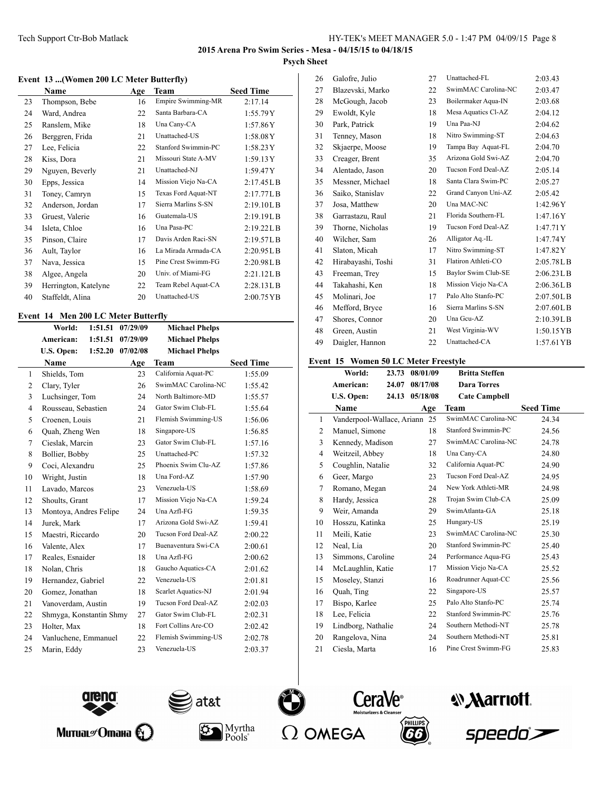#### **Event 13 ...(Women 200 LC Meter Butterfly)**

|    | Name                 | Age | Team                      | <b>Seed Time</b> |
|----|----------------------|-----|---------------------------|------------------|
| 23 | Thompson, Bebe       | 16  | <b>Empire Swimming-MR</b> | 2:17.14          |
| 24 | Ward, Andrea         | 22  | Santa Barbara-CA          | 1:55.79Y         |
| 25 | Ranslem, Mike        | 18  | Una Cany-CA               | 1:57.86Y         |
| 26 | Berggren, Frida      | 21  | Unattached-US             | 1:58.08Y         |
| 27 | Lee, Felicia         | 22  | Stanford Swimmin-PC       | 1:58.23Y         |
| 28 | Kiss, Dora           | 21  | Missouri State A-MV       | 1:59.13Y         |
| 29 | Nguyen, Beverly      | 21  | Unattached-NJ             | 1:59.47Y         |
| 30 | Epps, Jessica        | 14  | Mission Viejo Na-CA       | 2:17.45LB        |
| 31 | Toney, Camryn        | 15  | Texas Ford Aquat-NT       | 2:17.77L B       |
| 32 | Anderson, Jordan     | 17  | Sierra Marlins S-SN       | 2:19.10L B       |
| 33 | Gruest, Valerie      | 16  | Guatemala-US              | 2:19.19L B       |
| 34 | Isleta, Chloe        | 16  | Una Pasa-PC               | 2:19.22L B       |
| 35 | Pinson, Claire       | 17  | Davis Arden Raci-SN       | 2:19.57L B       |
| 36 | Ault, Taylor         | 16  | La Mirada Armada-CA       | 2:20.95L B       |
| 37 | Nava, Jessica        | 15  | Pine Crest Swimm-FG       | 2:20.98L B       |
| 38 | Algee, Angela        | 20  | Univ. of Miami-FG         | 2:21.12LB        |
| 39 | Herrington, Katelyne | 22  | Team Rebel Aquat-CA       | 2:28.13LB        |
| 40 | Staffeldt, Alina     | 20  | Unattached-US             | 2:00.75 YB       |

# **Event 14 Men 200 LC Meter Butterfly**

|                | World:                  | 1:51.51 | 07/29/09         | <b>Michael Phelps</b> |                  |
|----------------|-------------------------|---------|------------------|-----------------------|------------------|
|                | American:               | 1:51.51 | 07/29/09         | <b>Michael Phelps</b> |                  |
|                | U.S. Open:              |         | 1:52.20 07/02/08 | <b>Michael Phelps</b> |                  |
|                | <b>Name</b>             |         | Age              | <b>Team</b>           | <b>Seed Time</b> |
| $\mathbf{1}$   | Shields, Tom            |         | 23               | California Aquat-PC   | 1:55.09          |
| 2              | Clary, Tyler            |         | 26               | SwimMAC Carolina-NC   | 1:55.42          |
| 3              | Luchsinger, Tom         |         | 24               | North Baltimore-MD    | 1:55.57          |
| $\overline{4}$ | Rousseau, Sebastien     |         | 24               | Gator Swim Club-FL    | 1:55.64          |
| 5              | Croenen, Louis          |         | 21               | Flemish Swimming-US   | 1:56.06          |
| 6              | Quah, Zheng Wen         |         | 18               | Singapore-US          | 1:56.85          |
| 7              | Cieslak, Marcin         |         | 23               | Gator Swim Club-FL    | 1:57.16          |
| 8              | Bollier, Bobby          |         | 25               | Unattached-PC         | 1:57.32          |
| 9              | Coci, Alexandru         |         | 25               | Phoenix Swim Clu-AZ   | 1:57.86          |
| 10             | Wright, Justin          |         | 18               | Una Ford-AZ           | 1:57.90          |
| 11             | Lavado, Marcos          |         | 23               | Venezuela-US          | 1:58.69          |
| 12             | Shoults, Grant          |         | 17               | Mission Viejo Na-CA   | 1:59.24          |
| 13             | Montoya, Andres Felipe  |         | 24               | Una Azfl-FG           | 1:59.35          |
| 14             | Jurek, Mark             |         | 17               | Arizona Gold Swi-AZ   | 1:59.41          |
| 15             | Maestri, Riccardo       |         | 20               | Tucson Ford Deal-AZ   | 2:00.22          |
| 16             | Valente, Alex           |         | 17               | Buenaventura Swi-CA   | 2:00.61          |
| 17             | Reales, Esnaider        |         | 18               | Una Azfl-FG           | 2:00.62          |
| 18             | Nolan, Chris            |         | 18               | Gaucho Aquatics-CA    | 2:01.62          |
| 19             | Hernandez, Gabriel      |         | 22               | Venezuela-US          | 2:01.81          |
| 20             | Gomez, Jonathan         |         | 18               | Scarlet Aquatics-NJ   | 2:01.94          |
| 21             | Vanoverdam, Austin      |         | 19               | Tucson Ford Deal-AZ   | 2:02.03          |
| 22             | Shmyga, Konstantin Shmy |         | 27               | Gator Swim Club-FL    | 2:02.31          |
| 23             | Holter, Max             |         | 18               | Fort Collins Are-CO   | 2:02.42          |
| 24             | Vanluchene, Emmanuel    |         | 22               | Flemish Swimming-US   | 2:02.78          |
| 25             | Marin, Eddy             |         | 23               | Venezuela-US          | 2:03.37          |
|                |                         |         |                  |                       |                  |

| 26 | Galofre, Julio     | 27 | Unattached-FL       | 2:03.43      |
|----|--------------------|----|---------------------|--------------|
| 27 | Blazevski, Marko   | 22 | SwimMAC Carolina-NC | 2:03.47      |
| 28 | McGough, Jacob     | 23 | Boilermaker Aqua-IN | 2:03.68      |
| 29 | Ewoldt, Kyle       | 18 | Mesa Aquatics Cl-AZ | 2:04.12      |
| 30 | Park, Patrick      | 19 | Una Paa-NJ          | 2:04.62      |
| 31 | Tenney, Mason      | 18 | Nitro Swimming-ST   | 2:04.63      |
| 32 | Skjaerpe, Moose    | 19 | Tampa Bay Aquat-FL  | 2:04.70      |
| 33 | Creager, Brent     | 35 | Arizona Gold Swi-AZ | 2:04.70      |
| 34 | Alentado, Jason    | 20 | Tucson Ford Deal-AZ | 2:05.14      |
| 35 | Messner, Michael   | 18 | Santa Clara Swim-PC | 2:05.27      |
| 36 | Saiko, Stanislav   | 22 | Grand Canyon Uni-AZ | 2:05.42      |
| 37 | Josa, Matthew      | 20 | Una MAC-NC          | 1:42.96Y     |
| 38 | Garrastazu, Raul   | 21 | Florida Southern-FL | 1:47.16Y     |
| 39 | Thorne, Nicholas   | 19 | Tucson Ford Deal-AZ | 1:47.71Y     |
| 40 | Wilcher, Sam       | 26 | Alligator Aq.-IL    | 1:47.74Y     |
| 41 | Slaton, Micah      | 17 | Nitro Swimming-ST   | 1:47.82Y     |
| 42 | Hirabayashi, Toshi | 31 | Flatiron Athleti-CO | 2:05.78L B   |
| 43 | Freeman, Trey      | 15 | Baylor Swim Club-SE | 2:06.23L B   |
| 44 | Takahashi, Ken     | 18 | Mission Viejo Na-CA | 2:06.36LB    |
| 45 | Molinari, Joe      | 17 | Palo Alto Stanfo-PC | 2:07.50LB    |
| 46 | Mefford, Bryce     | 16 | Sierra Marlins S-SN | 2:07.60LB    |
| 47 | Shores, Connor     | 20 | Una Gcu-AZ          | 2:10.39LB    |
| 48 | Green, Austin      | 21 | West Virginia-WV    | 1:50.15 YB   |
| 49 | Daigler, Hannon    | 22 | Unattached-CA       | $1:57.61$ YB |
|    |                    |    |                     |              |

# **Event 15 Women 50 LC Meter Freestyle**

|    | World:                        | 23.73 | 08/01/09 | <b>Britta Steffen</b> |                  |
|----|-------------------------------|-------|----------|-----------------------|------------------|
|    | American:                     | 24.07 | 08/17/08 | <b>Dara Torres</b>    |                  |
|    | U.S. Open:                    | 24.13 | 05/18/08 | <b>Cate Campbell</b>  |                  |
|    | Name                          |       | Age      | <b>Team</b>           | <b>Seed Time</b> |
| 1  | Vanderpool-Wallace, Ariann 25 |       |          | SwimMAC Carolina-NC   | 24.34            |
| 2  | Manuel, Simone                |       | 18       | Stanford Swimmin-PC   | 24.56            |
| 3  | Kennedy, Madison              |       | 27       | SwimMAC Carolina-NC   | 24.78            |
| 4  | Weitzeil, Abbey               |       | 18       | Una Cany-CA           | 24.80            |
| 5  | Coughlin, Natalie             |       | 32       | California Aquat-PC   | 24.90            |
| 6  | Geer, Margo                   |       | 23       | Tucson Ford Deal-AZ   | 24.95            |
| 7  | Romano, Megan                 |       | 24       | New York Athleti-MR   | 24.98            |
| 8  | Hardy, Jessica                |       | 28       | Trojan Swim Club-CA   | 25.09            |
| 9  | Weir, Amanda                  |       | 29       | SwimAtlanta-GA        | 25.18            |
| 10 | Hosszu, Katinka               |       | 25       | Hungary-US            | 25.19            |
| 11 | Meili, Katie                  |       | 23       | SwimMAC Carolina-NC   | 25.30            |
| 12 | Neal, Lia                     |       | 20       | Stanford Swimmin-PC   | 25.40            |
| 13 | Simmons, Caroline             |       | 24       | Performance Aqua-FG   | 25.43            |
| 14 | McLaughlin, Katie             |       | 17       | Mission Viejo Na-CA   | 25.52            |
| 15 | Moseley, Stanzi               |       | 16       | Roadrunner Aquat-CC   | 25.56            |
| 16 | Quah, Ting                    |       | 22       | Singapore-US          | 25.57            |
| 17 | Bispo, Karlee                 |       | 25       | Palo Alto Stanfo-PC   | 25.74            |
| 18 | Lee, Felicia                  |       | 22       | Stanford Swimmin-PC   | 25.76            |
| 19 | Lindborg, Nathalie            |       | 24       | Southern Methodi-NT   | 25.78            |
| 20 | Rangelova, Nina               |       | 24       | Southern Methodi-NT   | 25.81            |
| 21 | Ciesla, Marta                 |       | 16       | Pine Crest Swimm-FG   | 25.83            |



Митиаг $\mathscr{O}$ тана  $\bigoplus$ 





 $P\ddot{\text{o}}$ ols $\ddot{\text{o}}$ 





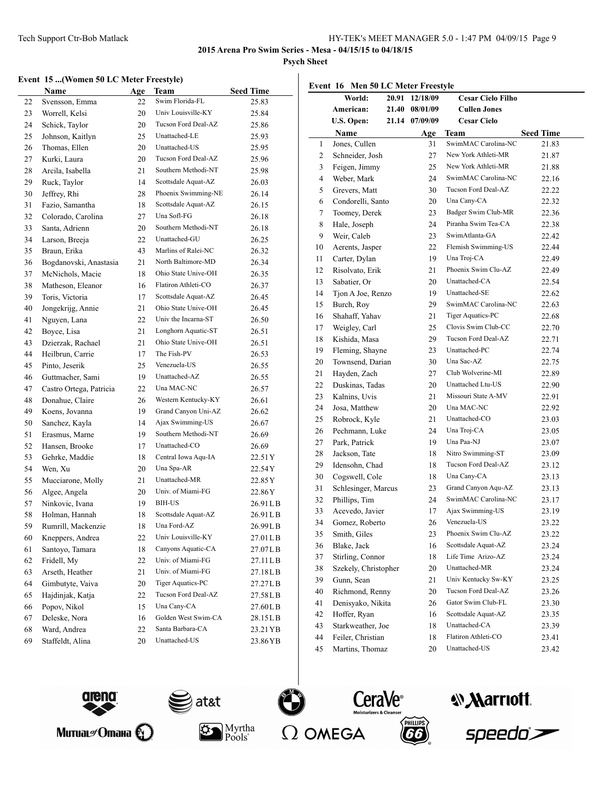**2015 Arena Pro Swim Series - Mesa - 04/15/15 to 04/18/15**

**Psych Sheet**

### **Event 15 ...(Women 50 LC Meter Freestyle)**

|    | <b>Name</b>             | Age | Team                | <b>Seed Time</b> |
|----|-------------------------|-----|---------------------|------------------|
| 22 | Svensson, Emma          | 22  | Swim Florida-FL     | 25.83            |
| 23 | Worrell, Kelsi          | 20  | Univ Louisville-KY  | 25.84            |
| 24 | Schick, Taylor          | 20  | Tucson Ford Deal-AZ | 25.86            |
| 25 | Johnson, Kaitlyn        | 25  | Unattached-LE       | 25.93            |
| 26 | Thomas, Ellen           | 20  | Unattached-US       | 25.95            |
| 27 | Kurki, Laura            | 20  | Tucson Ford Deal-AZ | 25.96            |
| 28 | Arcila, Isabella        | 21  | Southern Methodi-NT | 25.98            |
| 29 | Ruck, Taylor            | 14  | Scottsdale Aquat-AZ | 26.03            |
| 30 | Jeffrey, Rhi            | 28  | Phoenix Swimming-NE | 26.14            |
| 31 | Fazio, Samantha         | 18  | Scottsdale Aquat-AZ | 26.15            |
| 32 | Colorado, Carolina      | 27  | Una Sofl-FG         | 26.18            |
| 33 | Santa, Adrienn          | 20  | Southern Methodi-NT | 26.18            |
| 34 | Larson, Breeja          | 22  | Unattached-GU       | 26.25            |
| 35 | Braun, Erika            | 43  | Marlins of Ralei-NC | 26.32            |
| 36 | Bogdanovski, Anastasia  | 21  | North Baltimore-MD  | 26.34            |
| 37 | McNichols, Macie        | 18  | Ohio State Unive-OH | 26.35            |
| 38 | Matheson, Eleanor       | 16  | Flatiron Athleti-CO | 26.37            |
| 39 | Toris, Victoria         | 17  | Scottsdale Aquat-AZ | 26.45            |
| 40 | Jongekrijg, Annie       | 21  | Ohio State Unive-OH | 26.45            |
| 41 | Nguyen, Lana            | 22  | Univ the Incarna-ST | 26.50            |
| 42 | Boyce, Lisa             | 21  | Longhorn Aquatic-ST | 26.51            |
| 43 | Dzierzak, Rachael       | 21  | Ohio State Unive-OH | 26.51            |
| 44 | Heilbrun, Carrie        | 17  | The Fish-PV         | 26.53            |
| 45 | Pinto, Jeserik          | 25  | Venezuela-US        | 26.55            |
| 46 | Guttmacher, Sami        | 19  | Unattached-AZ       | 26.55            |
| 47 | Castro Ortega, Patricia | 22  | Una MAC-NC          | 26.57            |
| 48 | Donahue, Claire         | 26  | Western Kentucky-KY | 26.61            |
| 49 | Koens, Jovanna          | 19  | Grand Canyon Uni-AZ | 26.62            |
| 50 | Sanchez, Kayla          | 14  | Ajax Swimming-US    | 26.67            |
| 51 | Erasmus, Marne          | 19  | Southern Methodi-NT | 26.69            |
| 52 | Hansen, Brooke          | 17  | Unattached-CO       | 26.69            |
| 53 | Gehrke, Maddie          | 18  | Central Iowa Aqu-IA | 22.51Y           |
| 54 | Wen, Xu                 | 20  | Una Spa-AR          | 22.54Y           |
| 55 | Mucciarone, Molly       | 21  | Unattached-MR       | 22.85Y           |
| 56 | Algee, Angela           | 20  | Univ. of Miami-FG   | 22.86Y           |
| 57 | Ninkovic, Ivana         | 19  | BIH-US              | 26.91 L B        |
| 58 | Holman, Hannah          | 18  | Scottsdale Aquat-AZ | 26.91LB          |
| 59 | Rumrill, Mackenzie      | 18  | Una Ford-AZ         | 26.99LB          |
| 60 | Kneppers, Andrea        | 22  | Univ Louisville-KY  | 27.01LB          |
| 61 | Santoyo, Tamara         | 18  | Canyons Aquatic-CA  | 27.07LB          |
| 62 | Fridell, My             | 22  | Univ. of Miami-FG   | 27.11LB          |
| 63 | Arseth, Heather         | 21  | Univ. of Miami-FG   | 27.18LB          |
| 64 | Gimbutyte, Vaiva        | 20  | Tiger Aquatics-PC   | 27.27LB          |
| 65 | Hajdinjak, Katja        | 22  | Tucson Ford Deal-AZ | 27.58LB          |
| 66 | Popov, Nikol            | 15  | Una Cany-CA         | 27.60LB          |
| 67 | Deleske, Nora           | 16  | Golden West Swim-CA | 28.15LB          |
| 68 | Ward, Andrea            | 22  | Santa Barbara-CA    | 23.21 YB         |
| 69 | Staffeldt, Alina        | 20  | Unattached-US       | 23.86YB          |

|    | Event 16 Men 50 LC Meter Freestyle |       |          |                          |                  |
|----|------------------------------------|-------|----------|--------------------------|------------------|
|    | World:                             | 20.91 | 12/18/09 | <b>Cesar Cielo Filho</b> |                  |
|    | American:                          | 21.40 | 08/01/09 | <b>Cullen Jones</b>      |                  |
|    | U.S. Open:                         | 21.14 | 07/09/09 | <b>Cesar Cielo</b>       |                  |
|    | Name                               |       | Age      | Team                     | <b>Seed Time</b> |
| 1  | Jones, Cullen                      |       | 31       | SwimMAC Carolina-NC      | 21.83            |
| 2  | Schneider, Josh                    |       | 27       | New York Athleti-MR      | 21.87            |
| 3  | Feigen, Jimmy                      |       | 25       | New York Athleti-MR      | 21.88            |
| 4  | Weber, Mark                        |       | 24       | SwimMAC Carolina-NC      | 22.16            |
| 5  | Grevers, Matt                      |       | 30       | Tucson Ford Deal-AZ      | 22.22            |
| 6  | Condorelli, Santo                  |       | 20       | Una Cany-CA              | 22.32            |
| 7  | Toomey, Derek                      |       | 23       | Badger Swim Club-MR      | 22.36            |
| 8  | Hale, Joseph                       |       | 24       | Piranha Swim Tea-CA      | 22.38            |
| 9  | Weir, Caleb                        |       | 23       | SwimAtlanta-GA           | 22.42            |
| 10 | Aerents, Jasper                    |       | 22       | Flemish Swimming-US      | 22.44            |
| 11 | Carter, Dylan                      |       | 19       | Una Troj-CA              | 22.49            |
| 12 | Risolvato, Erik                    |       | 21       | Phoenix Swim Clu-AZ      | 22.49            |
| 13 | Sabatier, Or                       |       | 20       | Unattached-CA            | 22.54            |
| 14 | Tjon A Joe, Renzo                  |       | 19       | Unattached-SE            | 22.62            |
| 15 | Burch, Roy                         |       | 29       | SwimMAC Carolina-NC      | 22.63            |
| 16 | Shahaff. Yahav                     |       | 21       | Tiger Aquatics-PC        | 22.68            |
| 17 | Weigley, Carl                      |       | 25       | Clovis Swim Club-CC      | 22.70            |
| 18 | Kishida, Masa                      |       | 29       | Tucson Ford Deal-AZ      | 22.71            |
| 19 | Fleming, Shayne                    |       | 23       | Unattached-PC            | 22.74            |
| 20 | Townsend, Darian                   |       | 30       | Una Sac-AZ               | 22.75            |
| 21 | Hayden, Zach                       |       | 27       | Club Wolverine-MI        | 22.89            |
| 22 | Duskinas, Tadas                    |       | 20       | Unattached Ltu-US        | 22.90            |
| 23 | Kalnins, Uvis                      |       | 21       | Missouri State A-MV      | 22.91            |
| 24 | Josa, Matthew                      |       | 20       | Una MAC-NC               | 22.92            |
| 25 | Robrock, Kyle                      |       | 21       | Unattached-CO            | 23.03            |
| 26 | Pechmann, Luke                     |       | 24       | Una Troj-CA              | 23.05            |
| 27 | Park, Patrick                      |       | 19       | Una Paa-NJ               | 23.07            |
| 28 | Jackson, Tate                      |       | 18       | Nitro Swimming-ST        | 23.09            |
| 29 | Idensohn, Chad                     |       | 18       | Tucson Ford Deal-AZ      | 23.12            |
| 30 | Cogswell, Cole                     |       | 18       | Una Cany-CA              | 23.13            |
| 31 | Schlesinger, Marcus                |       | 23       | Grand Canyon Aqu-AZ      | 23.13            |
| 32 | Phillips, Tim                      |       | 24       | SwimMAC Carolina-NC      | 23.17            |
| 33 | Acevedo, Javier                    |       | 17       | Ajax Swimming-US         | 23.19            |
| 34 | Gomez, Roberto                     |       | 26       | Venezuela-US             | 23.22            |
| 35 | Smith, Giles                       |       | 23       | Phoenix Swim Clu-AZ      | 23.22            |
| 36 | Blake, Jack                        |       | 16       | Scottsdale Aquat-AZ      | 23.24            |
| 37 | Stirling, Connor                   |       | 18       | Life Time Arizo-AZ       | 23.24            |
| 38 | Szekely, Christopher               |       | 20       | Unattached-MR            | 23.24            |
| 39 | Gunn, Sean                         |       | 21       | Univ Kentucky Sw-KY      | 23.25            |
| 40 | Richmond, Renny                    |       | 20       | Tucson Ford Deal-AZ      | 23.26            |
| 41 | Denisyako, Nikita                  |       | 26       | Gator Swim Club-FL       | 23.30            |
| 42 | Hoffer, Ryan                       |       | 16       | Scottsdale Aquat-AZ      | 23.35            |
| 43 | Starkweather, Joe                  |       | 18       | Unattached-CA            | 23.39            |
| 44 | Feiler, Christian                  |       | 18       | Flatiron Athleti-CO      | 23.41            |
| 45 | Martins, Thomaz                    |       | 20       | Unattached-US            | 23.42            |
|    |                                    |       |          |                          |                  |





Myrtha<br>Pools\*







speedo<sup>></sup>

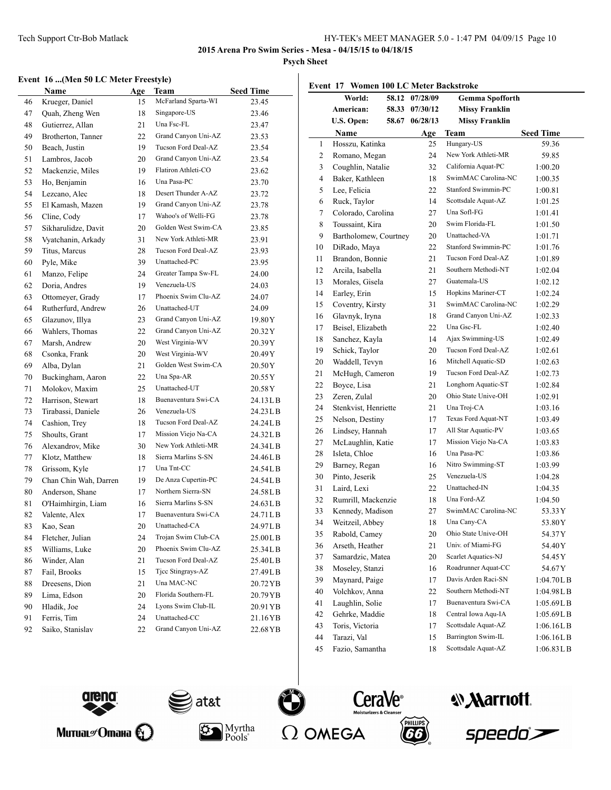**2015 Arena Pro Swim Series - Mesa - 04/15/15 to 04/18/15**

**Psych Sheet**

### **Event 16 ...(Men 50 LC Meter Freestyle)**

|    | <b>Name</b>           | Age | Team                | <b>Seed Time</b> |
|----|-----------------------|-----|---------------------|------------------|
| 46 | Krueger, Daniel       | 15  | McFarland Sparta-WI | 23.45            |
| 47 | Quah, Zheng Wen       | 18  | Singapore-US        | 23.46            |
| 48 | Gutierrez, Allan      | 21  | Una Fsc-FL          | 23.47            |
| 49 | Brotherton, Tanner    | 22  | Grand Canyon Uni-AZ | 23.53            |
| 50 | Beach, Justin         | 19  | Tucson Ford Deal-AZ | 23.54            |
| 51 | Lambros, Jacob        | 20  | Grand Canyon Uni-AZ | 23.54            |
| 52 | Mackenzie, Miles      | 19  | Flatiron Athleti-CO | 23.62            |
| 53 | Ho, Benjamin          | 16  | Una Pasa-PC         | 23.70            |
| 54 | Lezcano, Alec         | 18  | Desert Thunder A-AZ | 23.72            |
| 55 | El Kamash, Mazen      | 19  | Grand Canyon Uni-AZ | 23.78            |
| 56 | Cline, Cody           | 17  | Wahoo's of Welli-FG | 23.78            |
| 57 | Sikharulidze, Davit   | 20  | Golden West Swim-CA | 23.85            |
| 58 | Vyatchanin, Arkady    | 31  | New York Athleti-MR | 23.91            |
| 59 | Titus, Marcus         | 28  | Tucson Ford Deal-AZ | 23.93            |
| 60 | Pyle, Mike            | 39  | Unattached-PC       | 23.95            |
| 61 | Manzo, Felipe         | 24  | Greater Tampa Sw-FL | 24.00            |
| 62 | Doria, Andres         | 19  | Venezuela-US        | 24.03            |
| 63 | Ottomeyer, Grady      | 17  | Phoenix Swim Clu-AZ | 24.07            |
| 64 | Rutherfurd, Andrew    | 26  | Unattached-UT       | 24.09            |
| 65 | Glazunov, Illya       | 23  | Grand Canyon Uni-AZ | 19.80 Y          |
| 66 | Wahlers, Thomas       | 22  | Grand Canyon Uni-AZ | 20.32 Y          |
| 67 | Marsh, Andrew         | 20  | West Virginia-WV    | 20.39Y           |
| 68 | Csonka, Frank         | 20  | West Virginia-WV    | 20.49 Y          |
| 69 | Alba, Dylan           | 21  | Golden West Swim-CA | 20.50Y           |
| 70 | Buckingham, Aaron     | 22  | Una Spa-AR          | 20.55 Y          |
| 71 | Molokov, Maxim        | 25  | Unattached-UT       | 20.58Y           |
| 72 | Harrison, Stewart     | 18  | Buenaventura Swi-CA | 24.13 L B        |
| 73 | Tirabassi, Daniele    | 26  | Venezuela-US        | 24.23 L B        |
| 74 | Cashion, Trey         | 18  | Tucson Ford Deal-AZ | 24.24LB          |
| 75 | Shoults, Grant        | 17  | Mission Viejo Na-CA | 24.32LB          |
| 76 | Alexandrov, Mike      | 30  | New York Athleti-MR | 24.34LB          |
| 77 | Klotz, Matthew        | 18  | Sierra Marlins S-SN | 24.46LB          |
| 78 | Grissom, Kyle         | 17  | Una Tnt-CC          | 24.54LB          |
| 79 | Chan Chin Wah, Darren | 19  | De Anza Cupertin-PC | 24.54LB          |
| 80 | Anderson, Shane       | 17  | Northern Sierra-SN  | 24.58LB          |
| 81 | O'Haimhirgin, Liam    | 16  | Sierra Marlins S-SN | 24.63 L B        |
| 82 | Valente, Alex         | 17  | Buenaventura Swi-CA | 24.71 L B        |
| 83 | Kao, Sean             | 20  | Unattached-CA       | 24.97LB          |
| 84 | Fletcher, Julian      | 24  | Trojan Swim Club-CA | 25.00LB          |
| 85 | Williams, Luke        | 20  | Phoenix Swim Clu-AZ | 25.34LB          |
| 86 | Winder, Alan          | 21  | Tucson Ford Deal-AZ | 25.40LB          |
| 87 | Fail, Brooks          | 15  | Tice Stingrays-AZ   | 27.49LB          |
| 88 | Dreesens, Dion        | 21  | Una MAC-NC          | 20.72 YB         |
| 89 | Lima, Edson           | 20  | Florida Southern-FL | 20.79YB          |
| 90 | Hladik, Joe           | 24  | Lyons Swim Club-IL  | 20.91 YB         |
| 91 | Ferris, Tim           | 24  | Unattached-CC       | 21.16YB          |
| 92 | Saiko, Stanislav      | 22  | Grand Canyon Uni-AZ | 22.68 YB         |

|                  | Event 17 Women 100 LC Meter Backstroke |                |                        |                  |
|------------------|----------------------------------------|----------------|------------------------|------------------|
|                  | World:                                 | 58.12 07/28/09 | <b>Gemma Spofforth</b> |                  |
|                  | American:<br>58.33                     | 07/30/12       | <b>Missy Franklin</b>  |                  |
|                  | U.S. Open:<br>58.67                    | 06/28/13       | <b>Missy Franklin</b>  |                  |
|                  | <b>Name</b>                            | Age            | <b>Team</b>            | <b>Seed Time</b> |
| 1                | Hosszu, Katinka                        | 25             | Hungary-US             | 59.36            |
| $\boldsymbol{2}$ | Romano, Megan                          | 24             | New York Athleti-MR    | 59.85            |
| 3                | Coughlin, Natalie                      | 32             | California Aquat-PC    | 1:00.20          |
| 4                | Baker, Kathleen                        | 18             | SwimMAC Carolina-NC    | 1:00.35          |
| 5                | Lee, Felicia                           | 22             | Stanford Swimmin-PC    | 1:00.81          |
| 6                | Ruck, Taylor                           | 14             | Scottsdale Aquat-AZ    | 1:01.25          |
| 7                | Colorado, Carolina                     | 27             | Una Sofl-FG            | 1:01.41          |
| 8                | Toussaint, Kira                        | 20             | Swim Florida-FL        | 1:01.50          |
| 9                | Bartholomew, Courtney                  | 20             | Unattached-VA          | 1:01.71          |
| 10               | DiRado, Maya                           | 22             | Stanford Swimmin-PC    | 1:01.76          |
| 11               | Brandon, Bonnie                        | 21             | Tucson Ford Deal-AZ    | 1:01.89          |
| 12               | Arcila, Isabella                       | 21             | Southern Methodi-NT    | 1:02.04          |
| 13               | Morales, Gisela                        | 27             | Guatemala-US           | 1:02.12          |
| 14               | Earley, Erin                           | 15             | Hopkins Mariner-CT     | 1:02.24          |
| 15               | Coventry, Kirsty                       | 31             | SwimMAC Carolina-NC    | 1:02.29          |
| 16               | Glavnyk, Iryna                         | 18             | Grand Canyon Uni-AZ    | 1:02.33          |
| 17               | Beisel, Elizabeth                      | 22             | Una Gsc-FL             | 1:02.40          |
| 18               | Sanchez, Kayla                         | 14             | Ajax Swimming-US       | 1:02.49          |
| 19               | Schick, Taylor                         | 20             | Tucson Ford Deal-AZ    | 1:02.61          |
| 20               | Waddell, Tevyn                         | 16             | Mitchell Aquatic-SD    | 1:02.63          |
| 21               | McHugh, Cameron                        | 19             | Tucson Ford Deal-AZ    | 1:02.73          |
| 22               | Boyce, Lisa                            | 21             | Longhorn Aquatic-ST    | 1:02.84          |
| 23               | Zeren, Zulal                           | 20             | Ohio State Unive-OH    | 1:02.91          |
| 24               | Stenkvist, Henriette                   | 21             | Una Troj-CA            | 1:03.16          |
| 25               | Nelson, Destiny                        | 17             | Texas Ford Aquat-NT    | 1:03.49          |
| 26               | Lindsey, Hannah                        | 17             | All Star Aquatic-PV    | 1:03.65          |
| 27               | McLaughlin, Katie                      | 17             | Mission Viejo Na-CA    | 1:03.83          |
| 28               | Isleta, Chloe                          | 16             | Una Pasa-PC            | 1:03.86          |
| 29               | Barney, Regan                          | 16             | Nitro Swimming-ST      | 1:03.99          |
| 30               | Pinto, Jeserik                         | 25             | Venezuela-US           | 1:04.28          |
| 31               | Laird, Lexi                            | 22             | Unattached-IN          | 1:04.35          |
| 32               | Rumrill, Mackenzie                     | 18             | Una Ford-AZ            | 1:04.50          |
| 33               | Kennedy, Madison                       | 27             | SwimMAC Carolina-NC    | 53.33 Y          |
| 34               | Weitzeil, Abbey                        | 18             | Una Cany-CA            | 53.80Y           |
| 35               | Rabold, Camey                          | 20             | Ohio State Unive-OH    | 54.37Y           |
| 36               | Arseth, Heather                        | 21             | Univ. of Miami-FG      | 54.40Y           |
| 37               | Samardzic, Matea                       | 20             | Scarlet Aquatics-NJ    | 54.45Y           |
| 38               | Moseley, Stanzi                        | 16             | Roadrunner Aquat-CC    | 54.67Y           |
| 39               | Maynard, Paige                         | 17             | Davis Arden Raci-SN    | 1:04.70LB        |
| 40               | Volchkov, Anna                         | 22             | Southern Methodi-NT    | 1:04.98LB        |
| 41               | Laughlin, Solie                        | 17             | Buenaventura Swi-CA    | 1:05.69LB        |
| 42               | Gehrke, Maddie                         | 18             | Central Iowa Aqu-IA    | 1:05.69LB        |
| 43               | Toris, Victoria                        | 17             | Scottsdale Aquat-AZ    | 1:06.16LB        |
| 44               | Tarazi, Val                            | 15             | Barrington Swim-IL     | 1:06.16LB        |
| 45               | Fazio, Samantha                        | 18             | Scottsdale Aquat-AZ    | 1:06.83LB        |



Митиаг $\mathscr{O}$ тана  $\bigoplus$ 



 $|\mathbf{r}|$ 



 $P\ddot{\text{o}}$ ols $\ddot{\text{o}}$ 





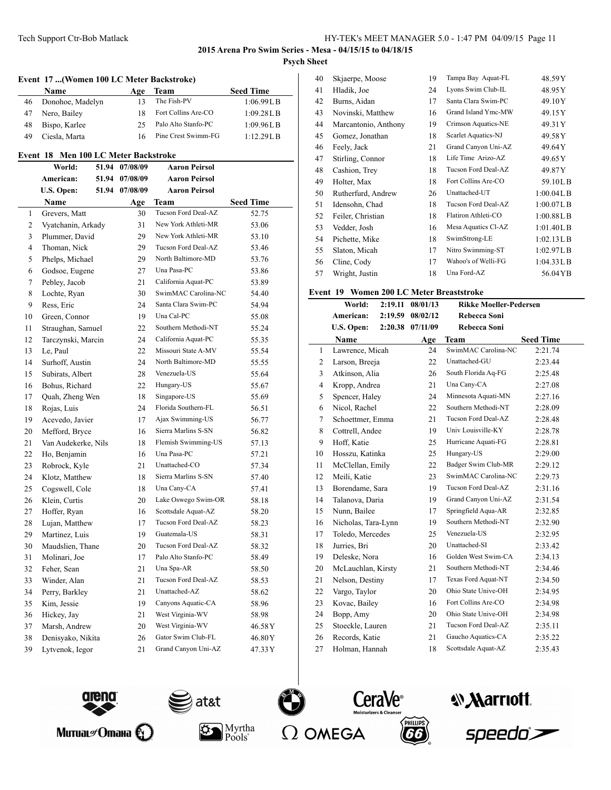#### **Event 17 ...(Women 100 LC Meter Backstroke)**

|    | <b>Name</b>      | Age | Team                | <b>Seed Time</b> |
|----|------------------|-----|---------------------|------------------|
| 46 | Donohoe, Madelyn |     | The Fish-PV         | 1:06.99L B       |
| 47 | Nero, Bailey     |     | Fort Collins Are-CO | 1:09.28L B       |
| 48 | Bispo, Karlee    | 25. | Palo Alto Stanfo-PC | 1:09.96L B       |
| 49 | Ciesla, Marta    |     | Pine Crest Swimm-FG | 1:12.29L B       |

#### **Event 18 Men 100 LC Meter Backstroke**

|                | World:              | 51.94 | 07/08/09 | Aaron Peirsol        |                  |
|----------------|---------------------|-------|----------|----------------------|------------------|
|                | American:           | 51.94 | 07/08/09 | Aaron Peirsol        |                  |
|                | U.S. Open:          | 51.94 | 07/08/09 | <b>Aaron Peirsol</b> |                  |
|                | Name                |       | Age      | Team                 | <b>Seed Time</b> |
| $\mathbf{1}$   | Grevers, Matt       |       | 30       | Tucson Ford Deal-AZ  | 52.75            |
| 2              | Vyatchanin, Arkady  |       | 31       | New York Athleti-MR  | 53.06            |
| 3              | Plummer, David      |       | 29       | New York Athleti-MR  | 53.10            |
| $\overline{4}$ | Thoman, Nick        |       | 29       | Tucson Ford Deal-AZ  | 53.46            |
| 5              | Phelps, Michael     |       | 29       | North Baltimore-MD   | 53.76            |
| 6              | Godsoe, Eugene      |       | 27       | Una Pasa-PC          | 53.86            |
| 7              | Pebley, Jacob       |       | 21       | California Aquat-PC  | 53.89            |
| 8              | Lochte, Ryan        |       | 30       | SwimMAC Carolina-NC  | 54.40            |
| 9              | Ress, Eric          |       | 24       | Santa Clara Swim-PC  | 54.94            |
| 10             | Green, Connor       |       | 19       | Una Cal-PC           | 55.08            |
| 11             | Straughan, Samuel   |       | 22       | Southern Methodi-NT  | 55.24            |
| 12             | Tarczynski, Marcin  |       | 24       | California Aquat-PC  | 55.35            |
| 13             | Le, Paul            |       | 22       | Missouri State A-MV  | 55.54            |
| 14             | Surhoff, Austin     |       | 24       | North Baltimore-MD   | 55.55            |
| 15             | Subirats, Albert    |       | 28       | Venezuela-US         | 55.64            |
| 16             | Bohus, Richard      |       | 22       | Hungary-US           | 55.67            |
| 17             | Quah, Zheng Wen     |       | 18       | Singapore-US         | 55.69            |
| 18             | Rojas, Luis         |       | 24       | Florida Southern-FL  | 56.51            |
| 19             | Acevedo, Javier     |       | 17       | Ajax Swimming-US     | 56.77            |
| 20             | Mefford, Bryce      |       | 16       | Sierra Marlins S-SN  | 56.82            |
| 21             | Van Audekerke, Nils |       | 18       | Flemish Swimming-US  | 57.13            |
| 22             | Ho, Benjamin        |       | 16       | Una Pasa-PC          | 57.21            |
| 23             | Robrock, Kyle       |       | 21       | Unattached-CO        | 57.34            |
| 24             | Klotz, Matthew      |       | 18       | Sierra Marlins S-SN  | 57.40            |
| 25             | Cogswell, Cole      |       | 18       | Una Cany-CA          | 57.41            |
| 26             | Klein, Curtis       |       | 20       | Lake Oswego Swim-OR  | 58.18            |
| 27             | Hoffer, Ryan        |       | 16       | Scottsdale Aquat-AZ  | 58.20            |
| 28             | Lujan, Matthew      |       | 17       | Tucson Ford Deal-AZ  | 58.23            |
| 29             | Martinez, Luis      |       | 19       | Guatemala-US         | 58.31            |
| 30             | Maudslien, Thane    |       | 20       | Tucson Ford Deal-AZ  | 58.32            |
| 31             | Molinari, Joe       |       | 17       | Palo Alto Stanfo-PC  | 58.49            |
| 32             | Feher, Sean         |       | 21       | Una Spa-AR           | 58.50            |
| 33             | Winder, Alan        |       | 21       | Tucson Ford Deal-AZ  | 58.53            |
| 34             | Perry, Barkley      |       | 21       | Unattached-AZ        | 58.62            |
| 35             | Kim, Jessie         |       | 19       | Canyons Aquatic-CA   | 58.96            |
| 36             | Hickey, Jay         |       | 21       | West Virginia-WV     | 58.98            |
| 37             | Marsh, Andrew       |       | 20       | West Virginia-WV     | 46.58Y           |
| 38             | Denisyako, Nikita   |       | 26       | Gator Swim Club-FL   | 46.80Y           |
| 39             | Lytvenok, Iegor     |       | 21       | Grand Canyon Uni-AZ  | 47.33Y           |

| 40 | Skjaerpe, Moose      | 19 | Tampa Bay Aquat-FL  | 48.59Y     |
|----|----------------------|----|---------------------|------------|
| 41 | Hladik, Joe          | 24 | Lyons Swim Club-IL  | 48.95Y     |
| 42 | Burns, Aidan         | 17 | Santa Clara Swim-PC | 49.10Y     |
| 43 | Novinski, Matthew    | 16 | Grand Island Ymc-MW | 49.15Y     |
| 44 | Marcantonio, Anthony | 19 | Crimson Aquatics-NE | 49.31Y     |
| 45 | Gomez, Jonathan      | 18 | Scarlet Aquatics-NJ | 49.58Y     |
| 46 | Feely, Jack          | 21 | Grand Canyon Uni-AZ | 49.64Y     |
| 47 | Stirling, Connor     | 18 | Life Time Arizo-AZ  | 49.65Y     |
| 48 | Cashion, Trey        | 18 | Tucson Ford Deal-AZ | 49.87Y     |
| 49 | Holter, Max          | 18 | Fort Collins Are-CO | 59.10LB    |
| 50 | Rutherfurd, Andrew   | 26 | Unattached-UT       | 1:00.04L B |
| 51 | Idensohn, Chad       | 18 | Tucson Ford Deal-AZ | 1:00.07L B |
| 52 | Feiler, Christian    | 18 | Flatiron Athleti-CO | 1:00.88L B |
| 53 | Vedder, Josh         | 16 | Mesa Aquatics Cl-AZ | 1:01.40L B |
| 54 | Pichette, Mike       | 18 | SwimStrong-LE       | 1:02.13L B |
| 55 | Slaton, Micah        | 17 | Nitro Swimming-ST   | 1:02.97L B |
| 56 | Cline, Cody          | 17 | Wahoo's of Welli-FG | 1:04.33L B |
| 57 | Wright, Justin       | 18 | Una Ford-AZ         | 56.04YB    |

#### **Event 19 Women 200 LC Meter Breaststroke**

|                | World:              | 2:19.11 | 08/01/13 | <b>Rikke Moeller-Pedersen</b> |                  |
|----------------|---------------------|---------|----------|-------------------------------|------------------|
|                | American:           | 2:19.59 | 08/02/12 | Rebecca Soni                  |                  |
|                | U.S. Open:          | 2:20.38 | 07/11/09 | <b>Rebecca Soni</b>           |                  |
|                | <b>Name</b>         |         | Age      | Team                          | <b>Seed Time</b> |
| $\mathbf{1}$   | Lawrence, Micah     |         | 24       | SwimMAC Carolina-NC           | 2:21.74          |
| 2              | Larson, Breeja      |         | 22       | Unattached-GU                 | 2:23.44          |
| 3              | Atkinson, Alia      |         | 26       | South Florida Aq-FG           | 2:25.48          |
| $\overline{4}$ | Kropp, Andrea       |         | 21       | Una Cany-CA                   | 2:27.08          |
| 5              | Spencer, Haley      |         | 24       | Minnesota Aquati-MN           | 2:27.16          |
| 6              | Nicol, Rachel       |         | 22       | Southern Methodi-NT           | 2:28.09          |
| 7              | Schoettmer, Emma    |         | 21       | Tucson Ford Deal-AZ           | 2:28.48          |
| 8              | Cottrell, Andee     |         | 19       | Univ Louisville-KY            | 2:28.78          |
| 9              | Hoff, Katie         |         | 25       | Hurricane Aquati-FG           | 2:28.81          |
| 10             | Hosszu, Katinka     |         | 25       | Hungary-US                    | 2:29.00          |
| 11             | McClellan, Emily    |         | 22       | Badger Swim Club-MR           | 2:29.12          |
| 12             | Meili, Katie        |         | 23       | SwimMAC Carolina-NC           | 2:29.73          |
| 13             | Borendame, Sara     |         | 19       | Tucson Ford Deal-AZ           | 2:31.16          |
| 14             | Talanova, Daria     |         | 19       | Grand Canyon Uni-AZ           | 2:31.54          |
| 15             | Nunn, Bailee        |         | 17       | Springfield Aqua-AR           | 2:32.85          |
| 16             | Nicholas, Tara-Lynn |         | 19       | Southern Methodi-NT           | 2:32.90          |
| 17             | Toledo, Mercedes    |         | 25       | Venezuela-US                  | 2:32.95          |
| 18             | Jurries, Bri        |         | 20       | Unattached-SI                 | 2:33.42          |
| 19             | Deleske, Nora       |         | 16       | Golden West Swim-CA           | 2:34.13          |
| 20             | McLauchlan, Kirsty  |         | 21       | Southern Methodi-NT           | 2:34.46          |
| 21             | Nelson, Destiny     |         | 17       | Texas Ford Aquat-NT           | 2:34.50          |
| 22             | Vargo, Taylor       |         | 20       | Ohio State Unive-OH           | 2:34.95          |
| 23             | Kovac, Bailey       |         | 16       | Fort Collins Are-CO           | 2:34.98          |
| 24             | Bopp, Amy           |         | 20       | Ohio State Unive-OH           | 2:34.98          |
| 25             | Stoeckle, Lauren    |         | 21       | Tucson Ford Deal-AZ           | 2:35.11          |
| 26             | Records, Katie      |         | 21       | Gaucho Aquatics-CA            | 2:35.22          |
| 27             | Holman, Hannah      |         | 18       | Scottsdale Aquat-AZ           | 2:35.43          |





 $P\ddot{\mathrm{o}}$ ols $\degree$ 







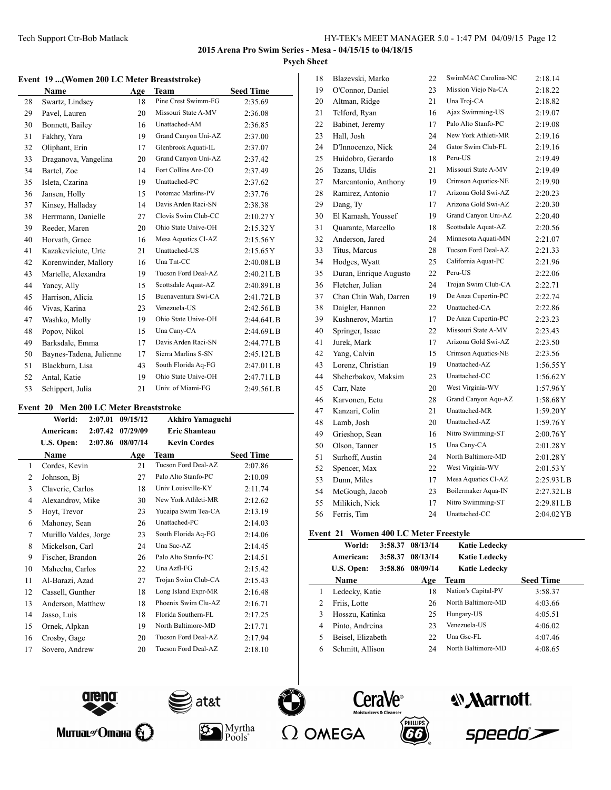#### **Event 19 ...(Women 200 LC Meter Breaststroke)**

|    | Name                    | Age | Team                | <b>Seed Time</b> |
|----|-------------------------|-----|---------------------|------------------|
| 28 | Swartz, Lindsey         | 18  | Pine Crest Swimm-FG | 2:35.69          |
| 29 | Pavel, Lauren           | 20  | Missouri State A-MV | 2:36.08          |
| 30 | Bonnett, Bailey         | 16  | Unattached-AM       | 2:36.85          |
| 31 | Fakhry, Yara            | 19  | Grand Canyon Uni-AZ | 2:37.00          |
| 32 | Oliphant, Erin          | 17  | Glenbrook Aquati-IL | 2:37.07          |
| 33 | Draganova, Vangelina    | 20  | Grand Canyon Uni-AZ | 2:37.42          |
| 34 | Bartel, Zoe             | 14  | Fort Collins Are-CO | 2:37.49          |
| 35 | Isleta, Czarina         | 19  | Unattached-PC       | 2:37.62          |
| 36 | Jansen, Holly           | 15  | Potomac Marlins-PV  | 2:37.76          |
| 37 | Kinsey, Halladay        | 14  | Davis Arden Raci-SN | 2:38.38          |
| 38 | Herrmann, Danielle      | 27  | Clovis Swim Club-CC | 2:10.27Y         |
| 39 | Reeder, Maren           | 20  | Ohio State Unive-OH | 2:15.32Y         |
| 40 | Horvath, Grace          | 16  | Mesa Aquatics Cl-AZ | 2:15.56Y         |
| 41 | Kazakeviciute, Urte     | 21  | Unattached-US       | 2:15.65Y         |
| 42 | Korenwinder, Mallory    | 16  | Una Tnt-CC          | 2:40.08L B       |
| 43 | Martelle, Alexandra     | 19  | Tucson Ford Deal-AZ | 2:40.21 L B      |
| 44 | Yancy, Ally             | 15  | Scottsdale Aquat-AZ | 2:40.89L B       |
| 45 | Harrison, Alicia        | 15  | Buenaventura Swi-CA | 2:41.72LB        |
| 46 | Vivas, Karina           | 23  | Venezuela-US        | 2:42.56LB        |
| 47 | Washko, Molly           | 19  | Ohio State Unive-OH | 2:44.64L B       |
| 48 | Popov, Nikol            | 15  | Una Cany-CA         | 2:44.69LB        |
| 49 | Barksdale, Emma         | 17  | Davis Arden Raci-SN | 2:44.77LB        |
| 50 | Baynes-Tadena, Julienne | 17  | Sierra Marlins S-SN | 2:45.12LB        |
| 51 | Blackburn, Lisa         | 43  | South Florida Aq-FG | 2:47.01L B       |
| 52 | Antal, Katie            | 19  | Ohio State Unive-OH | 2:47.71LB        |
| 53 | Schippert, Julia        | 21  | Univ. of Miami-FG   | 2:49.56LB        |

### **Event 20 Men 200 LC Meter Breaststroke**

l,

|                |                       |         | $\mathbf{m}$ = $\mathbf{v}$ $\mathbf{v}$ $\mathbf{v}$ $\mathbf{v}$ $\mathbf{v}$ $\mathbf{v}$ $\mathbf{v}$ $\mathbf{v}$ $\mathbf{v}$ $\mathbf{v}$ $\mathbf{v}$ |                         |                  |
|----------------|-----------------------|---------|---------------------------------------------------------------------------------------------------------------------------------------------------------------|-------------------------|------------------|
|                | World:                | 2:07.01 | 09/15/12                                                                                                                                                      | <b>Akhiro Yamaguchi</b> |                  |
|                | American:             | 2:07.42 | 07/29/09                                                                                                                                                      | <b>Eric Shanteau</b>    |                  |
|                | U.S. Open:            | 2:07.86 | 08/07/14                                                                                                                                                      | <b>Kevin Cordes</b>     |                  |
|                | Name                  |         | Age                                                                                                                                                           | Team                    | <b>Seed Time</b> |
| 1              | Cordes, Kevin         |         | 21                                                                                                                                                            | Tucson Ford Deal-AZ     | 2:07.86          |
| $\overline{2}$ | Johnson, Bi           |         | 27                                                                                                                                                            | Palo Alto Stanfo-PC     | 2:10.09          |
| 3              | Claverie, Carlos      |         | 18                                                                                                                                                            | Univ Louisville-KY      | 2:11.74          |
| 4              | Alexandrov, Mike      |         | 30                                                                                                                                                            | New York Athleti-MR     | 2:12.62          |
| 5              | Hoyt, Trevor          |         | 23                                                                                                                                                            | Yucaipa Swim Tea-CA     | 2:13.19          |
| 6              | Mahoney, Sean         |         | 26                                                                                                                                                            | Unattached-PC           | 2:14.03          |
| 7              | Murillo Valdes, Jorge |         | 23                                                                                                                                                            | South Florida Aq-FG     | 2:14.06          |
| 8              | Mickelson, Carl       |         | 24                                                                                                                                                            | Una Sac-AZ              | 2:14.45          |
| 9              | Fischer, Brandon      |         | 26                                                                                                                                                            | Palo Alto Stanfo-PC     | 2:14.51          |
| 10             | Mahecha, Carlos       |         | 22                                                                                                                                                            | Una Azfl-FG             | 2:15.42          |
| 11             | Al-Barazi, Azad       |         | 27                                                                                                                                                            | Trojan Swim Club-CA     | 2:15.43          |
| 12             | Cassell, Gunther      |         | 18                                                                                                                                                            | Long Island Expr-MR     | 2:16.48          |
| 13             | Anderson, Matthew     |         | 18                                                                                                                                                            | Phoenix Swim Clu-AZ     | 2:16.71          |
| 14             | Jasso, Luis           |         | 18                                                                                                                                                            | Florida Southern-FL     | 2:17.25          |
| 15             | Ornek, Alpkan         |         | 19                                                                                                                                                            | North Baltimore-MD      | 2:17.71          |
| 16             | Crosby, Gage          |         | 20                                                                                                                                                            | Tucson Ford Deal-AZ     | 2:17.94          |
| 17             | Sovero, Andrew        |         | 20                                                                                                                                                            | Tucson Ford Deal-AZ     | 2:18.10          |

| 18 | Blazevski, Marko       | 22 | SwimMAC Carolina-NC | 2:18.14    |
|----|------------------------|----|---------------------|------------|
| 19 | O'Connor, Daniel       | 23 | Mission Viejo Na-CA | 2:18.22    |
| 20 | Altman, Ridge          | 21 | Una Troj-CA         | 2:18.82    |
| 21 | Telford, Ryan          | 16 | Ajax Swimming-US    | 2:19.07    |
| 22 | Babinet, Jeremy        | 17 | Palo Alto Stanfo-PC | 2:19.08    |
| 23 | Hall, Josh             | 24 | New York Athleti-MR | 2:19.16    |
| 24 | D'Innocenzo, Nick      | 24 | Gator Swim Club-FL  | 2:19.16    |
| 25 | Huidobro, Gerardo      | 18 | Peru-US             | 2:19.49    |
| 26 | Tazans, Uldis          | 21 | Missouri State A-MV | 2:19.49    |
| 27 | Marcantonio, Anthony   | 19 | Crimson Aquatics-NE | 2:19.90    |
| 28 | Ramirez, Antonio       | 17 | Arizona Gold Swi-AZ | 2:20.23    |
| 29 | Dang, Ty               | 17 | Arizona Gold Swi-AZ | 2:20.30    |
| 30 | El Kamash, Youssef     | 19 | Grand Canyon Uni-AZ | 2:20.40    |
| 31 | Quarante, Marcello     | 18 | Scottsdale Aquat-AZ | 2:20.56    |
| 32 | Anderson, Jared        | 24 | Minnesota Aquati-MN | 2:21.07    |
| 33 | Titus, Marcus          | 28 | Tucson Ford Deal-AZ | 2:21.33    |
| 34 | Hodges, Wyatt          | 25 | California Aquat-PC | 2:21.96    |
| 35 | Duran, Enrique Augusto | 22 | Peru-US             | 2:22.06    |
| 36 | Fletcher, Julian       | 24 | Trojan Swim Club-CA | 2:22.71    |
| 37 | Chan Chin Wah, Darren  | 19 | De Anza Cupertin-PC | 2:22.74    |
| 38 | Daigler, Hannon        | 22 | Unattached-CA       | 2:22.86    |
| 39 | Kushnerov, Martin      | 17 | De Anza Cupertin-PC | 2:23.23    |
| 40 | Springer, Isaac        | 22 | Missouri State A-MV | 2:23.43    |
| 41 | Jurek, Mark            | 17 | Arizona Gold Swi-AZ | 2:23.50    |
| 42 | Yang, Calvin           | 15 | Crimson Aquatics-NE | 2:23.56    |
| 43 | Lorenz, Christian      | 19 | Unattached-AZ       | 1:56.55Y   |
| 44 | Shcherbakov, Maksim    | 23 | Unattached-CC       | 1:56.62Y   |
| 45 | Carr, Nate             | 20 | West Virginia-WV    | 1:57.96Y   |
| 46 | Karvonen, Eetu         | 28 | Grand Canyon Aqu-AZ | 1:58.68Y   |
| 47 | Kanzari, Colin         | 21 | Unattached-MR       | 1:59.20Y   |
| 48 | Lamb, Josh             | 20 | Unattached-AZ       | 1:59.76Y   |
| 49 | Grieshop, Sean         | 16 | Nitro Swimming-ST   | 2:00.76Y   |
| 50 | Olson, Tanner          | 15 | Una Cany-CA         | 2:01.28Y   |
| 51 | Surhoff, Austin        | 24 | North Baltimore-MD  | 2:01.28Y   |
| 52 | Spencer, Max           | 22 | West Virginia-WV    | 2:01.53Y   |
| 53 | Dunn, Miles            | 17 | Mesa Aquatics Cl-AZ | 2:25.93LB  |
| 54 | McGough, Jacob         | 23 | Boilermaker Aqua-IN | 2:27.32L B |
| 55 | Milikich, Nick         | 17 | Nitro Swimming-ST   | 2:29.81L B |
| 56 | Ferris, Tim            | 24 | Unattached-CC       | 2:04.02 YB |
|    |                        |    |                     |            |

# **Event 21 Women 400 LC Meter Freestyle**

|                | World:            | 3:58.37 | 08/13/14 | <b>Katie Ledecky</b> |                  |
|----------------|-------------------|---------|----------|----------------------|------------------|
|                | American:         | 3:58.37 | 08/13/14 | <b>Katie Ledecky</b> |                  |
|                | U.S. Open:        | 3:58.86 | 08/09/14 | <b>Katie Ledecky</b> |                  |
|                | Name              |         | Age      | <b>Team</b>          | <b>Seed Time</b> |
|                | Ledecky, Katie    |         | 18       | Nation's Capital-PV  | 3:58.37          |
| $\overline{c}$ | Friis, Lotte      |         | 26       | North Baltimore-MD   | 4:03.66          |
| 3              | Hosszu, Katinka   |         | 25       | Hungary-US           | 4:05.51          |
| 4              | Pinto, Andreina   |         | 23       | Venezuela-US         | 4:06.02          |
| 5              | Beisel, Elizabeth |         | 22       | Una Gsc-FL           | 4:07.46          |
| 6              | Schmitt, Allison  |         | 24       | North Baltimore-MD   | 4:08.65          |
|                |                   |         |          |                      |                  |



Митиаг $\mathscr{O}$ тана $\bigotimes$ 



Myrtha

 $P\ddot{\text{o}}$ ols $\degree$ 









speedo`<del>></del>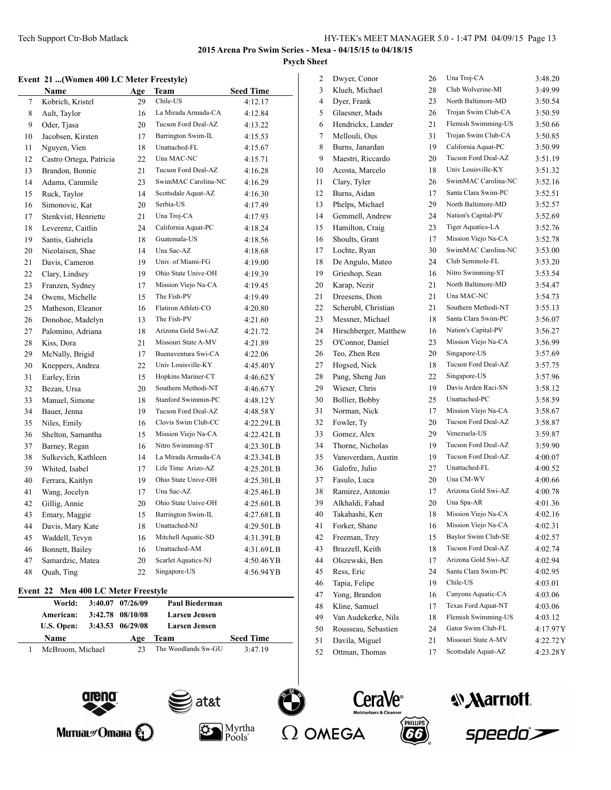Dwyer, Conor 26 Una Troj-CA 3:48.20 Klueh, Michael 28 Club Wolverine-MI 3:49.99

### **2015 Arena Pro Swim Series - Mesa - 04/15/15 to 04/18/15 Psych Sheet**

#### **Event 21 ...(Women 400 LC Meter Freestyle)**

|        | Name                    | Age | Team                | <b>Seed Time</b> |
|--------|-------------------------|-----|---------------------|------------------|
| 7      | Kobrich, Kristel        | 29  | Chile-US            | 4:12.17          |
| 8      | Ault, Taylor            | 16  | La Mirada Armada-CA | 4:12.84          |
| 9      | Oder, Tjasa             | 20  | Tucson Ford Deal-AZ | 4:13.22          |
| $10\,$ | Jacobsen, Kirsten       | 17  | Barrington Swim-IL  | 4:15.53          |
| 11     | Nguyen, Vien            | 18  | Unattached-FL       | 4:15.67          |
| 12     | Castro Ortega, Patricia | 22  | Una MAC-NC          | 4:15.71          |
| 13     | Brandon, Bonnie         | 21  | Tucson Ford Deal-AZ | 4:16.28          |
| 14     | Adams, Cammile          | 23  | SwimMAC Carolina-NC | 4:16.29          |
| 15     | Ruck, Taylor            | 14  | Scottsdale Aquat-AZ | 4:16.30          |
| 16     | Simonovic, Kat          | 20  | Serbia-US           | 4:17.49          |
| 17     | Stenkvist, Henriette    | 21  | Una Troj-CA         | 4:17.93          |
| 18     | Leverenz, Caitlin       | 24  | California Aquat-PC | 4:18.24          |
| 19     | Santis, Gabriela        | 18  | Guatemala-US        | 4:18.56          |
| 20     | Nicolaisen, Shae        | 14  | Una Sac-AZ          | 4:18.68          |
| 21     | Davis, Cameron          | 19  | Univ. of Miami-FG   | 4:19.00          |
| 22     | Clary, Lindsey          | 19  | Ohio State Unive-OH | 4:19.39          |
| 23     | Franzen, Sydney         | 17  | Mission Viejo Na-CA | 4:19.45          |
| 24     | Owens, Michelle         | 15  | The Fish-PV         | 4:19.49          |
| 25     | Matheson, Eleanor       | 16  | Flatiron Athleti-CO | 4:20.80          |
| 26     | Donohoe, Madelyn        | 13  | The Fish-PV         | 4:21.60          |
| 27     | Palomino, Adriana       | 18  | Arizona Gold Swi-AZ | 4:21.72          |
| 28     | Kiss, Dora              | 21  | Missouri State A-MV | 4:21.89          |
| 29     | McNally, Brigid         | 17  | Buenaventura Swi-CA | 4:22.06          |
| 30     | Kneppers, Andrea        | 22  | Univ Louisville-KY  | 4:45.40Y         |
| 31     | Earley, Erin            | 15  | Hopkins Mariner-CT  | 4:46.62 Y        |
| 32     | Bezan, Ursa             | 20  | Southern Methodi-NT | 4:46.67Y         |
| 33     | Manuel, Simone          | 18  | Stanford Swimmin-PC | 4:48.12Y         |
| 34     | Bauer, Jenna            | 19  | Tucson Ford Deal-AZ | 4:48.58 Y        |
| 35     | Niles, Emily            | 16  | Clovis Swim Club-CC | 4:22.29LB        |
| 36     | Shelton, Samantha       | 15  | Mission Viejo Na-CA | 4:22.42L B       |
| 37     | Barney, Regan           | 16  | Nitro Swimming-ST   | 4:23.30LB        |
| 38     | Sulkevich, Kathleen     | 14  | La Mirada Armada-CA | 4:23.34LB        |
| 39     | Whited, Isabel          | 17  | Life Time Arizo-AZ  | 4:25.20L B       |
| 40     | Ferrara, Kaitlyn        | 19  | Ohio State Unive-OH | 4:25.30LB        |
| 41     | Wang, Jocelyn           | 17  | Una Sac-AZ          | 4:25.46L B       |
| 42     | Gillig, Annie           | 20  | Ohio State Unive-OH | 4:25.60L B       |
| 43     | Emary, Maggie           | 15  | Barrington Swim-IL  | 4:27.68LB        |
| 44     | Davis, Mary Kate        | 18  | Unattached-NJ       | 4:29.50LB        |
| 45     | Waddell, Tevyn          | 16  | Mitchell Aquatic-SD | 4:31.39LB        |
| 46     | Bonnett, Bailey         | 16  | Unattached-AM       | 4:31.69LB        |
| 47     | Samardzic, Matea        | 20  | Scarlet Aquatics-NJ | 4:50.46YB        |
| 48     | Quah, Ting              | 22  | Singapore-US        | 4:56.94YB        |

#### **Event 22 Men 400 LC Meter Freestyle**

| World:           | 3:40.07 07/26/09 | <b>Paul Biederman</b> |                  |
|------------------|------------------|-----------------------|------------------|
| American:        | 3:42.78 08/10/08 | <b>Larsen Jensen</b>  |                  |
| U.S. Open:       | 3:43.53 06/29/08 | <b>Larsen Jensen</b>  |                  |
| <b>Name</b>      | Age              | <b>Team</b>           | <b>Seed Time</b> |
| McBroom, Michael | フス               | The Woodlands Sw-GU   | 3:47.19          |

| $\overline{\mathbf{4}}$ | Dyer, Frank           | 23 | North Baltimore-MD  | 3:50.54  |
|-------------------------|-----------------------|----|---------------------|----------|
| 5                       | Glaesner, Mads        | 26 | Trojan Swim Club-CA | 3:50.59  |
| 6                       | Hendrickx, Lander     | 21 | Flemish Swimming-US | 3:50.66  |
| 7                       | Mellouli, Ous         | 31 | Trojan Swim Club-CA | 3:50.85  |
| 8                       | Burns, Janardan       | 19 | California Aquat-PC | 3:50.99  |
| 9                       | Maestri, Riccardo     | 20 | Tucson Ford Deal-AZ | 3:51.19  |
| 10                      | Acosta, Marcelo       | 18 | Univ Louisville-KY  | 3:51.32  |
| 11                      | Clary, Tyler          | 26 | SwimMAC Carolina-NC | 3:52.16  |
| 12                      | Burns, Aidan          | 17 | Santa Clara Swim-PC | 3:52.51  |
| 13                      | Phelps, Michael       | 29 | North Baltimore-MD  | 3:52.57  |
| 14                      | Gemmell, Andrew       | 24 | Nation's Capital-PV | 3:52.69  |
| 15                      | Hamilton, Craig       | 23 | Tiger Aquatics-LA   | 3:52.76  |
| 16                      | Shoults, Grant        | 17 | Mission Viejo Na-CA | 3:52.78  |
| 17                      | Lochte, Ryan          | 30 | SwimMAC Carolina-NC | 3:53.00  |
| 18                      | De Angulo, Mateo      | 24 | Club Seminole-FL    | 3:53.20  |
| 19                      | Grieshop, Sean        | 16 | Nitro Swimming-ST   | 3:53.54  |
| 20                      | Karap, Nezir          | 21 | North Baltimore-MD  | 3:54.47  |
| 21                      | Dreesens, Dion        | 21 | Una MAC-NC          | 3:54.73  |
| 22                      | Scherubl, Christian   | 21 | Southern Methodi-NT | 3:55.13  |
| 23                      | Messner, Michael      | 18 | Santa Clara Swim-PC | 3:56.07  |
| 24                      | Hirschberger, Matthew | 16 | Nation's Capital-PV | 3:56.27  |
| 25                      | O'Connor, Daniel      | 23 | Mission Viejo Na-CA | 3:56.99  |
| 26                      | Teo, Zhen Ren         | 20 | Singapore-US        | 3:57.69  |
| 27                      | Hogsed, Nick          | 18 | Tucson Ford Deal-AZ | 3:57.75  |
| 28                      | Pang, Sheng Jun       | 22 | Singapore-US        | 3:57.96  |
| 29                      | Wieser, Chris         | 19 | Davis Arden Raci-SN | 3:58.12  |
| 30                      | Bollier, Bobby        | 25 | Unattached-PC       | 3:58.59  |
| 31                      | Norman, Nick          | 17 | Mission Viejo Na-CA | 3:58.67  |
| 32                      | Fowler, Ty            | 20 | Tucson Ford Deal-AZ | 3:58.87  |
| 33                      | Gomez, Alex           | 29 | Venezuela-US        | 3:59.87  |
| 34                      | Thorne, Nicholas      | 19 | Tucson Ford Deal-AZ | 3:59.90  |
| 35                      | Vanoverdam, Austin    | 19 | Tucson Ford Deal-AZ | 4:00.07  |
| 36                      | Galofre, Julio        | 27 | Unattached-FL       | 4:00.52  |
| 37                      | Fasulo, Luca          | 20 | Una CM-WV           | 4:00.66  |
| 38                      | Ramirez, Antonio      | 17 | Arizona Gold Swi-AZ | 4:00.78  |
| 39                      | Alkhaldi, Fahad       | 20 | Una Spa-AR          | 4:01.36  |
| 40                      | Takahashi, Ken        | 18 | Mission Viejo Na-CA | 4:02.16  |
| 41                      | Forker, Shane         | 16 | Mission Viejo Na-CA | 4:02.31  |
| 42                      | Freeman, Trey         | 15 | Baylor Swim Club-SE | 4:02.57  |
| 43                      | Brazzell, Keith       | 18 | Tucson Ford Deal-AZ | 4:02.74  |
| 44                      | Olszewski, Ben        | 17 | Arizona Gold Swi-AZ | 4:02.94  |
| 45                      | Ress, Eric            | 24 | Santa Clara Swim-PC | 4:02.95  |
| 46                      | Tapia, Felipe         | 19 | Chile-US            | 4:03.01  |
| 47                      | Yong, Brandon         | 16 | Canyons Aquatic-CA  | 4:03.06  |
| 48                      | Kline, Samuel         | 17 | Texas Ford Aquat-NT | 4:03.06  |
| 49                      | Van Audekerke, Nils   | 18 | Flemish Swimming-US | 4:03.12  |
| 50                      | Rousseau, Sebastien   | 24 | Gator Swim Club-FL  | 4:17.97Y |
| 51                      | Davila, Miguel        | 21 | Missouri State A-MV | 4:22.72Y |
|                         |                       |    |                     |          |

Ottman, Thomas 17 Scottsdale Aquat-AZ 4:23.28Y

**CeraVe**®

PHILLIPS





| Митиаг $\mathscr O$ тана $\mathbb Q$ |  |
|--------------------------------------|--|
|--------------------------------------|--|



at&t

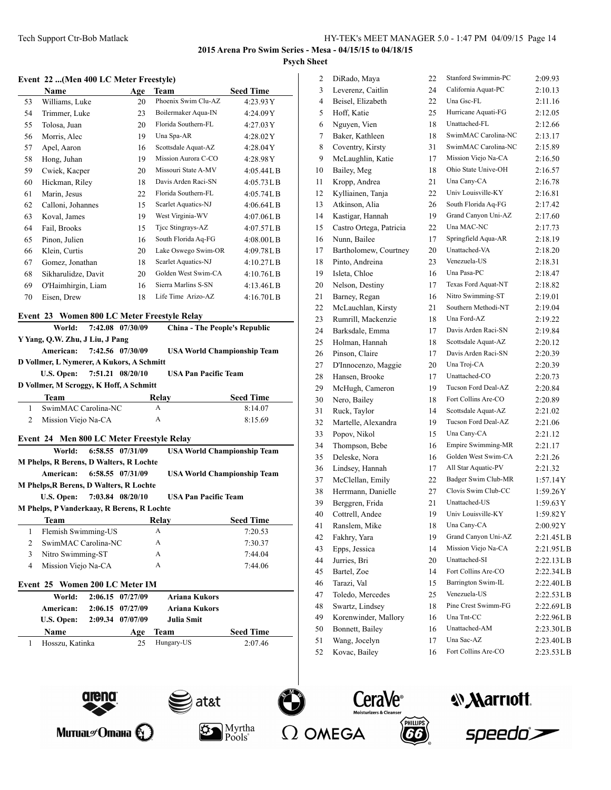#### **Event 22 ...(Men 400 LC Meter Freestyle)**

|    | Name                | Age | Team                | <b>Seed Time</b> |
|----|---------------------|-----|---------------------|------------------|
| 53 | Williams, Luke      | 20  | Phoenix Swim Clu-AZ | 4:23.93Y         |
| 54 | Trimmer, Luke       | 23  | Boilermaker Aqua-IN | 4:24.09Y         |
| 55 | Tolosa, Juan        | 20  | Florida Southern-FL | 4:27.03Y         |
| 56 | Morris, Alec        | 19  | Una Spa-AR          | 4:28.02Y         |
| 57 | Apel, Aaron         | 16  | Scottsdale Aquat-AZ | 4:28.04Y         |
| 58 | Hong, Juhan         | 19  | Mission Aurora C-CO | 4:28.98Y         |
| 59 | Cwiek, Kacper       | 20  | Missouri State A-MV | 4:05.44LB        |
| 60 | Hickman, Riley      | 18  | Davis Arden Raci-SN | 4:05.73L B       |
| 61 | Marin, Jesus        | 22  | Florida Southern-FL | 4:05.74LB        |
| 62 | Calloni, Johannes   | 15  | Scarlet Aquatics-NJ | 4:06.64L B       |
| 63 | Koval, James        | 19  | West Virginia-WV    | 4:07.06L B       |
| 64 | Fail, Brooks        | 15  | Ticc Stingrays-AZ   | 4:07.57LB        |
| 65 | Pinon, Julien       | 16  | South Florida Aq-FG | 4:08.00L B       |
| 66 | Klein, Curtis       | 20  | Lake Oswego Swim-OR | 4:09.78L B       |
| 67 | Gomez, Jonathan     | 18  | Scarlet Aquatics-NJ | 4:10.27L B       |
| 68 | Sikharulidze, Davit | 20  | Golden West Swim-CA | 4:10.76L B       |
| 69 | O'Haimhirgin, Liam  | 16  | Sierra Marlins S-SN | 4:13.46L B       |
| 70 | Eisen, Drew         | 18  | Life Time Arizo-AZ  | 4:16.70L B       |

#### **Event 23 Women 800 LC Meter Freestyle Relay**

|                                 | World:                                                      |  | 7:42.08 07/30/09 |                      | <b>China - The People's Republic</b> |  |  |  |
|---------------------------------|-------------------------------------------------------------|--|------------------|----------------------|--------------------------------------|--|--|--|
| Y Yang, Q.W. Zhu, J Liu, J Pang |                                                             |  |                  |                      |                                      |  |  |  |
|                                 | American:                                                   |  | 7:42.56 07/30/09 |                      | <b>USA World Championship Team</b>   |  |  |  |
|                                 | D Vollmer, L Nymerer, A Kukors, A Schmitt                   |  |                  |                      |                                      |  |  |  |
|                                 | <b>U.S. Open:</b>                                           |  | 7:51.21 08/20/10 |                      | <b>USA Pan Pacific Team</b>          |  |  |  |
|                                 | D Vollmer, M Scroggy, K Hoff, A Schmitt                     |  |                  |                      |                                      |  |  |  |
|                                 | <b>Team</b>                                                 |  |                  | Relay                | <b>Seed Time</b>                     |  |  |  |
| 1                               | SwimMAC Carolina-NC                                         |  |                  | A                    | 8:14.07                              |  |  |  |
| $\overline{2}$                  | Mission Viejo Na-CA                                         |  |                  | A                    | 8:15.69                              |  |  |  |
|                                 |                                                             |  |                  |                      |                                      |  |  |  |
|                                 | Event 24 Men 800 LC Meter Freestyle Relay<br>World:         |  | 6:58.55 07/31/09 |                      |                                      |  |  |  |
|                                 |                                                             |  |                  |                      | <b>USA World Championship Team</b>   |  |  |  |
|                                 | <b>M Phelps, R Berens, D Walters, R Lochte</b><br>American: |  | 6:58.55 07/31/09 |                      |                                      |  |  |  |
|                                 |                                                             |  |                  |                      | <b>USA World Championship Team</b>   |  |  |  |
|                                 | <b>M Phelps, R Berens, D Walters, R Lochte</b>              |  |                  |                      | <b>USA Pan Pacific Team</b>          |  |  |  |
|                                 | <b>U.S. Open:</b>                                           |  | 7:03.84 08/20/10 |                      |                                      |  |  |  |
|                                 | M Phelps, P Vanderkaay, R Berens, R Lochte                  |  |                  |                      |                                      |  |  |  |
|                                 | <b>Team</b>                                                 |  |                  | Relay                | <b>Seed Time</b>                     |  |  |  |
| $\mathbf{1}$                    | Flemish Swimming-US                                         |  |                  | A                    | 7:20.53                              |  |  |  |
| 2                               | SwimMAC Carolina-NC                                         |  |                  | A                    | 7:30.37                              |  |  |  |
| 3                               | Nitro Swimming-ST                                           |  |                  | A                    | 7:44.04                              |  |  |  |
| 4                               | Mission Viejo Na-CA                                         |  |                  | A                    | 7:44.06                              |  |  |  |
|                                 | Event 25 Women 200 LC Meter IM                              |  |                  |                      |                                      |  |  |  |
|                                 | World:                                                      |  | 2:06.15 07/27/09 | <b>Ariana Kukors</b> |                                      |  |  |  |
|                                 | American:                                                   |  | 2:06.15 07/27/09 | <b>Ariana Kukors</b> |                                      |  |  |  |
|                                 | U.S. Open:                                                  |  | 2:09.34 07/07/09 | <b>Julia Smit</b>    |                                      |  |  |  |
|                                 | <b>Name</b>                                                 |  | Age              | <b>Team</b>          | <b>Seed Time</b>                     |  |  |  |
| 1                               | Hosszu, Katinka                                             |  | 25               | Hungary-US           | 2:07.46                              |  |  |  |
|                                 |                                                             |  |                  |                      |                                      |  |  |  |
|                                 |                                                             |  |                  |                      |                                      |  |  |  |

| 2              | DiRado, Maya            | 22 | Stanford Swimmin-PC | 2:09.93    |
|----------------|-------------------------|----|---------------------|------------|
| 3              | Leverenz, Caitlin       | 24 | California Aquat-PC | 2:10.13    |
| $\overline{4}$ | Beisel, Elizabeth       | 22 | Una Gsc-FL          | 2:11.16    |
| 5              | Hoff, Katie             | 25 | Hurricane Aquati-FG | 2:12.05    |
| 6              | Nguyen, Vien            | 18 | Unattached-FL       | 2:12.66    |
| 7              | Baker, Kathleen         | 18 | SwimMAC Carolina-NC | 2:13.17    |
| 8              | Coventry, Kirsty        | 31 | SwimMAC Carolina-NC | 2:15.89    |
| 9              | McLaughlin, Katie       | 17 | Mission Viejo Na-CA | 2:16.50    |
| 10             | Bailey, Meg             | 18 | Ohio State Unive-OH | 2:16.57    |
| 11             | Kropp, Andrea           | 21 | Una Cany-CA         | 2:16.78    |
| 12             | Kylliainen, Tanja       | 22 | Univ Louisville-KY  | 2:16.81    |
| 13             | Atkinson, Alia          | 26 | South Florida Aq-FG | 2:17.42    |
| 14             | Kastigar, Hannah        | 19 | Grand Canyon Uni-AZ | 2:17.60    |
| 15             | Castro Ortega, Patricia | 22 | Una MAC-NC          | 2:17.73    |
| 16             | Nunn, Bailee            | 17 | Springfield Aqua-AR | 2:18.19    |
| 17             | Bartholomew, Courtney   | 20 | Unattached-VA       | 2:18.20    |
| 18             | Pinto, Andreina         | 23 | Venezuela-US        | 2:18.31    |
| 19             | Isleta, Chloe           | 16 | Una Pasa-PC         | 2:18.47    |
| 20             | Nelson, Destiny         | 17 | Texas Ford Aquat-NT | 2:18.82    |
| 21             | Barney, Regan           | 16 | Nitro Swimming-ST   | 2:19.01    |
| 22             | McLauchlan, Kirsty      | 21 | Southern Methodi-NT | 2:19.04    |
| 23             | Rumrill, Mackenzie      | 18 | Una Ford-AZ         | 2:19.22    |
| 24             | Barksdale, Emma         | 17 | Davis Arden Raci-SN | 2:19.84    |
| 25             | Holman, Hannah          | 18 | Scottsdale Aquat-AZ | 2:20.12    |
| 26             | Pinson, Claire          | 17 | Davis Arden Raci-SN | 2:20.39    |
| 27             | D'Innocenzo, Maggie     | 20 | Una Troj-CA         | 2:20.39    |
| 28             | Hansen, Brooke          | 17 | Unattached-CO       | 2:20.73    |
| 29             | McHugh, Cameron         | 19 | Tucson Ford Deal-AZ | 2:20.84    |
| 30             | Nero, Bailey            | 18 | Fort Collins Are-CO | 2:20.89    |
| 31             | Ruck, Taylor            | 14 | Scottsdale Aquat-AZ | 2:21.02    |
| 32             | Martelle, Alexandra     | 19 | Tucson Ford Deal-AZ | 2:21.06    |
| 33             | Popov, Nikol            | 15 | Una Cany-CA         | 2:21.12    |
| 34             | Thompson, Bebe          | 16 | Empire Swimming-MR  | 2:21.17    |
| 35             | Deleske, Nora           | 16 | Golden West Swim-CA | 2:21.26    |
| 36             | Lindsey, Hannah         | 17 | All Star Aquatic-PV | 2:21.32    |
| 37             | McClellan, Emily        | 22 | Badger Swim Club-MR | 1:57.14Y   |
| 38             | Herrmann, Danielle      | 27 | Clovis Swim Club-CC | 1:59.26Y   |
| 39             | Berggren, Frida         | 21 | Unattached-US       | 1:59.63Y   |
| 40             | Cottrell, Andee         | 19 | Univ Louisville-KY  | 1:59.82 Y  |
| 41             | Ranslem, Mike           | 18 | Una Cany-CA         | 2:00.92Y   |
| 42             | Fakhry, Yara            | 19 | Grand Canyon Uni-AZ | 2:21.45L B |
| 43             | Epps, Jessica           | 14 | Mission Viejo Na-CA | 2:21.95L B |
| 44             | Jurries, Bri            | 20 | Unattached-SI       | 2:22.13LB  |
| 45             | Bartel, Zoe             | 14 | Fort Collins Are-CO | 2:22.34L B |
| 46             | Tarazi, Val             | 15 | Barrington Swim-IL  | 2:22.40L B |
| 47             | Toledo, Mercedes        | 25 | Venezuela-US        | 2:22.53LB  |
| 48             | Swartz, Lindsey         | 18 | Pine Crest Swimm-FG | 2:22.69LB  |
| 49             | Korenwinder, Mallory    | 16 | Una Tnt-CC          | 2:22.96LB  |
| 50             | Bonnett, Bailey         | 16 | Unattached-AM       | 2:23.30LB  |
| 51             | Wang, Jocelyn           | 17 | Una Sac-AZ          | 2:23.40LB  |
| 52             | Kovac, Bailey           | 16 | Fort Collins Are-CO | 2:23.53LB  |
|                |                         |    |                     |            |







Pools<sup>\*</sup>







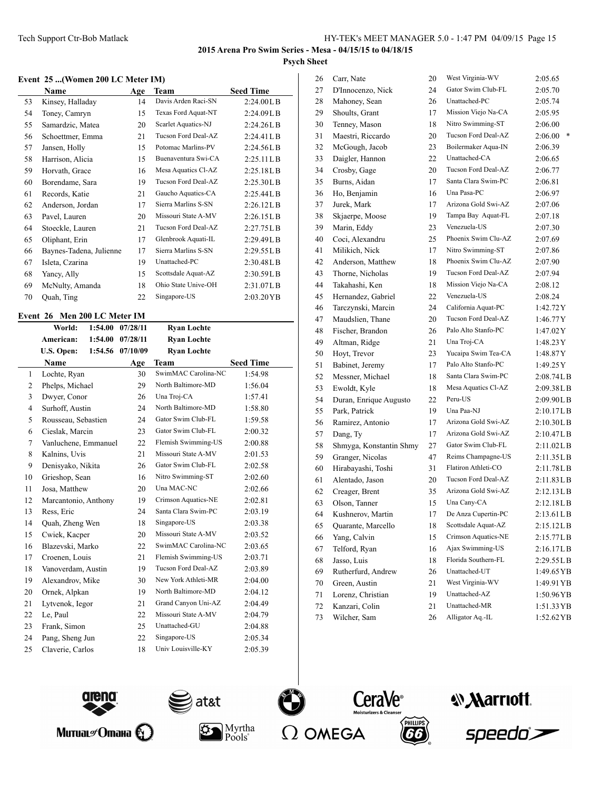#### **Event 25 ...(Women 200 LC Meter IM)**

|    | Name                    | Age | Team                | <b>Seed Time</b> |
|----|-------------------------|-----|---------------------|------------------|
| 53 | Kinsey, Halladay        | 14  | Davis Arden Raci-SN | 2:24.00L B       |
| 54 | Toney, Camryn           | 15  | Texas Ford Aquat-NT | 2:24.09L B       |
| 55 | Samardzic, Matea        | 20  | Scarlet Aquatics-NJ | 2:24.26L B       |
| 56 | Schoettmer, Emma        | 21  | Tucson Ford Deal-AZ | $2:24.41$ LB     |
| 57 | Jansen, Holly           | 15  | Potomac Marlins-PV  | 2:24.56L B       |
| 58 | Harrison, Alicia        | 15  | Buenaventura Swi-CA | 2:25.11L B       |
| 59 | Horvath, Grace          | 16  | Mesa Aquatics Cl-AZ | 2:25.18LB        |
| 60 | Borendame, Sara         | 19  | Tucson Ford Deal-AZ | 2:25.30L B       |
| 61 | Records, Katie          | 21  | Gaucho Aquatics-CA  | 2:25.44L B       |
| 62 | Anderson, Jordan        | 17  | Sierra Marlins S-SN | 2:26.12L B       |
| 63 | Pavel, Lauren           | 20  | Missouri State A-MV | 2:26.15L B       |
| 64 | Stoeckle, Lauren        | 21  | Tucson Ford Deal-AZ | 2:27.75L B       |
| 65 | Oliphant, Erin          | 17  | Glenbrook Aquati-IL | 2:29.49LB        |
| 66 | Baynes-Tadena, Julienne | 17  | Sierra Marlins S-SN | 2:29.55L B       |
| 67 | Isleta, Czarina         | 19  | Unattached-PC       | 2:30.48L B       |
| 68 | Yancy, Ally             | 15  | Scottsdale Aquat-AZ | 2:30.59L B       |
| 69 | McNulty, Amanda         | 18  | Ohio State Unive-OH | 2:31.07LB        |
| 70 | Quah, Ting              | 22  | Singapore-US        | 2:03.20YB        |

# **Event 26 Men 200 LC Meter IM**

|    | World:               | 1:54.00 | 07/28/11 | <b>Ryan Lochte</b>  |                  |
|----|----------------------|---------|----------|---------------------|------------------|
|    | American:            | 1:54.00 | 07/28/11 | <b>Ryan Lochte</b>  |                  |
|    | U.S. Open:           | 1:54.56 | 07/10/09 | <b>Ryan Lochte</b>  |                  |
|    | Name                 |         | Age      | <b>Team</b>         | <b>Seed Time</b> |
| 1  | Lochte, Ryan         |         | 30       | SwimMAC Carolina-NC | 1:54.98          |
| 2  | Phelps, Michael      |         | 29       | North Baltimore-MD  | 1:56.04          |
| 3  | Dwyer, Conor         |         | 26       | Una Troj-CA         | 1:57.41          |
| 4  | Surhoff, Austin      |         | 24       | North Baltimore-MD  | 1:58.80          |
| 5  | Rousseau, Sebastien  |         | 24       | Gator Swim Club-FL  | 1:59.58          |
| 6  | Cieslak, Marcin      |         | 23       | Gator Swim Club-FL  | 2:00.32          |
| 7  | Vanluchene, Emmanuel |         | 22       | Flemish Swimming-US | 2:00.88          |
| 8  | Kalnins, Uvis        |         | 21       | Missouri State A-MV | 2:01.53          |
| 9  | Denisyako, Nikita    |         | 26       | Gator Swim Club-FL  | 2:02.58          |
| 10 | Grieshop, Sean       |         | 16       | Nitro Swimming-ST   | 2:02.60          |
| 11 | Josa, Matthew        |         | 20       | Una MAC-NC          | 2:02.66          |
| 12 | Marcantonio, Anthony |         | 19       | Crimson Aquatics-NE | 2:02.81          |
| 13 | Ress, Eric           |         | 24       | Santa Clara Swim-PC | 2:03.19          |
| 14 | Quah, Zheng Wen      |         | 18       | Singapore-US        | 2:03.38          |
| 15 | Cwiek, Kacper        |         | 20       | Missouri State A-MV | 2:03.52          |
| 16 | Blazevski, Marko     |         | 22       | SwimMAC Carolina-NC | 2:03.65          |
| 17 | Croenen, Louis       |         | 21       | Flemish Swimming-US | 2:03.71          |
| 18 | Vanoverdam, Austin   |         | 19       | Tucson Ford Deal-AZ | 2:03.89          |
| 19 | Alexandrov, Mike     |         | 30       | New York Athleti-MR | 2:04.00          |
| 20 | Ornek, Alpkan        |         | 19       | North Baltimore-MD  | 2:04.12          |
| 21 | Lytvenok, Iegor      |         | 21       | Grand Canyon Uni-AZ | 2:04.49          |
| 22 | Le, Paul             |         | 22       | Missouri State A-MV | 2:04.79          |
| 23 | Frank, Simon         |         | 25       | Unattached-GU       | 2:04.88          |
| 24 | Pang, Sheng Jun      |         | 22       | Singapore-US        | 2:05.34          |
| 25 | Claverie, Carlos     |         | 18       | Univ Louisville-KY  | 2:05.39          |
|    |                      |         |          |                     |                  |

| 26 | Carr, Nate              | 20 | West Virginia-WV    | 2:05.65      |
|----|-------------------------|----|---------------------|--------------|
| 27 | D'Innocenzo, Nick       | 24 | Gator Swim Club-FL  | 2:05.70      |
| 28 | Mahoney, Sean           | 26 | Unattached-PC       | 2:05.74      |
| 29 | Shoults, Grant          | 17 | Mission Viejo Na-CA | 2:05.95      |
| 30 | Tenney, Mason           | 18 | Nitro Swimming-ST   | 2:06.00      |
| 31 | Maestri, Riccardo       | 20 | Tucson Ford Deal-AZ | *<br>2:06.00 |
| 32 | McGough, Jacob          | 23 | Boilermaker Aqua-IN | 2:06.39      |
| 33 | Daigler, Hannon         | 22 | Unattached-CA       | 2:06.65      |
| 34 | Crosby, Gage            | 20 | Tucson Ford Deal-AZ | 2:06.77      |
| 35 | Burns, Aidan            | 17 | Santa Clara Swim-PC | 2:06.81      |
| 36 | Ho, Benjamin            | 16 | Una Pasa-PC         | 2:06.97      |
| 37 | Jurek, Mark             | 17 | Arizona Gold Swi-AZ | 2:07.06      |
| 38 | Skjaerpe, Moose         | 19 | Tampa Bay Aquat-FL  | 2:07.18      |
| 39 | Marin, Eddy             | 23 | Venezuela-US        | 2:07.30      |
| 40 | Coci, Alexandru         | 25 | Phoenix Swim Clu-AZ | 2:07.69      |
| 41 | Milikich, Nick          | 17 | Nitro Swimming-ST   | 2:07.86      |
| 42 | Anderson, Matthew       | 18 | Phoenix Swim Clu-AZ | 2:07.90      |
| 43 | Thorne, Nicholas        | 19 | Tucson Ford Deal-AZ | 2:07.94      |
| 44 | Takahashi, Ken          | 18 | Mission Viejo Na-CA | 2:08.12      |
| 45 | Hernandez, Gabriel      | 22 | Venezuela-US        | 2:08.24      |
| 46 | Tarczynski, Marcin      | 24 | California Aquat-PC | 1:42.72Y     |
| 47 | Maudslien, Thane        | 20 | Tucson Ford Deal-AZ | 1:46.77Y     |
| 48 | Fischer, Brandon        | 26 | Palo Alto Stanfo-PC | 1:47.02Y     |
| 49 | Altman, Ridge           | 21 | Una Troj-CA         | 1:48.23Y     |
| 50 | Hoyt, Trevor            | 23 | Yucaipa Swim Tea-CA | 1:48.87Y     |
| 51 | Babinet, Jeremy         | 17 | Palo Alto Stanfo-PC | 1:49.25Y     |
| 52 | Messner, Michael        | 18 | Santa Clara Swim-PC | 2:08.74L B   |
| 53 | Ewoldt, Kyle            | 18 | Mesa Aquatics Cl-AZ | 2:09.38L B   |
| 54 | Duran, Enrique Augusto  | 22 | Peru-US             | 2:09.90LB    |
| 55 | Park, Patrick           | 19 | Una Paa-NJ          | 2:10.17L B   |
| 56 | Ramirez, Antonio        | 17 | Arizona Gold Swi-AZ | 2:10.30L B   |
| 57 | Dang, Ty                | 17 | Arizona Gold Swi-AZ | 2:10.47L B   |
| 58 | Shmyga, Konstantin Shmy | 27 | Gator Swim Club-FL  | 2:11.02LB    |
| 59 | Granger, Nicolas        | 47 | Reims Champagne-US  | 2:11.35LB    |
| 60 | Hirabayashi, Toshi      | 31 | Flatiron Athleti-CO | 2:11.78LB    |
| 61 | Alentado, Jason         | 20 | Tucson Ford Deal-AZ | 2:11.83LB    |
| 62 | Creager, Brent          | 35 | Arizona Gold Swi-AZ | 2:12.13LB    |
| 63 | Olson, Tanner           | 15 | Una Cany-CA         | 2:12.18LB    |
| 64 | Kushnerov, Martin       | 17 | De Anza Cupertin-PC | 2:13.61 L B  |
| 65 | Quarante, Marcello      | 18 | Scottsdale Aquat-AZ | 2:15.12LB    |
| 66 | Yang, Calvin            | 15 | Crimson Aquatics-NE | 2:15.77LB    |
| 67 | Telford, Ryan           | 16 | Ajax Swimming-US    | 2:16.17LB    |
| 68 | Jasso, Luis             | 18 | Florida Southern-FL | 2:29.55LB    |
| 69 | Rutherfurd, Andrew      | 26 | Unattached-UT       | 1:49.65 YB   |
| 70 | Green, Austin           | 21 | West Virginia-WV    | 1:49.91 YB   |
| 71 | Lorenz, Christian       | 19 | Unattached-AZ       | 1:50.96YB    |
| 72 | Kanzari, Colin          | 21 | Unattached-MR       | 1:51.33 YB   |
| 73 | Wilcher, Sam            | 26 | Alligator Aq.-IL    | 1:52.62 YB   |













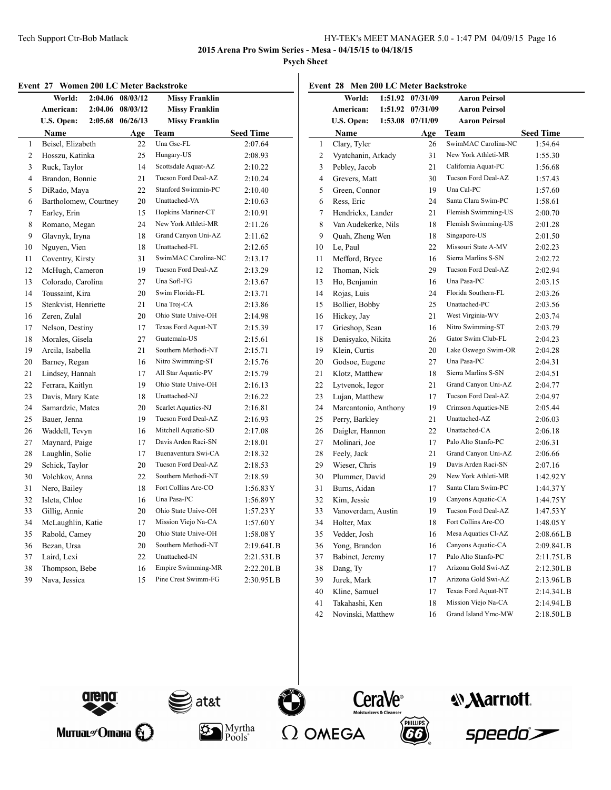**2015 Arena Pro Swim Series - Mesa - 04/15/15 to 04/18/15**

**Psych Sheet**

#### **Event 27 Women 200 LC Meter Backstroke**

|                         | World:                | 2:04.06 | 08/03/12 | <b>Missy Franklin</b>      |                  |
|-------------------------|-----------------------|---------|----------|----------------------------|------------------|
|                         | American:             | 2:04.06 | 08/03/12 | <b>Missy Franklin</b>      |                  |
|                         | U.S. Open:            | 2:05.68 | 06/26/13 | <b>Missy Franklin</b>      |                  |
|                         | Name                  |         | Age      | Team                       | <b>Seed Time</b> |
| 1                       | Beisel, Elizabeth     |         | 22       | Una Gsc-FL                 | 2:07.64          |
| 2                       | Hosszu, Katinka       |         | 25       | Hungary-US                 | 2:08.93          |
| 3                       | Ruck, Taylor          |         | 14       | Scottsdale Aquat-AZ        | 2:10.22          |
| $\overline{\mathbf{4}}$ | Brandon, Bonnie       |         | 21       | Tucson Ford Deal-AZ        | 2:10.24          |
| 5                       | DiRado, Maya          |         | 22       | <b>Stanford Swimmin-PC</b> | 2:10.40          |
| 6                       | Bartholomew, Courtney |         | 20       | Unattached-VA              | 2:10.63          |
| 7                       | Earley, Erin          |         | 15       | Hopkins Mariner-CT         | 2:10.91          |
| 8                       | Romano, Megan         |         | 24       | New York Athleti-MR        | 2:11.26          |
| 9                       | Glavnyk, Iryna        |         | 18       | Grand Canyon Uni-AZ        | 2:11.62          |
| 10                      | Nguyen, Vien          |         | 18       | Unattached-FL              | 2:12.65          |
| 11                      | Coventry, Kirsty      |         | 31       | SwimMAC Carolina-NC        | 2:13.17          |
| 12                      | McHugh, Cameron       |         | 19       | Tucson Ford Deal-AZ        | 2:13.29          |
| 13                      | Colorado, Carolina    |         | 27       | Una Sofl-FG                | 2:13.67          |
| 14                      | Toussaint, Kira       |         | 20       | Swim Florida-FL            | 2:13.71          |
| 15                      | Stenkvist, Henriette  |         | 21       | Una Troj-CA                | 2:13.86          |
| 16                      | Zeren, Zulal          |         | 20       | Ohio State Unive-OH        | 2:14.98          |
| 17                      | Nelson, Destiny       |         | 17       | Texas Ford Aquat-NT        | 2:15.39          |
| 18                      | Morales, Gisela       |         | 27       | Guatemala-US               | 2:15.61          |
| 19                      | Arcila, Isabella      |         | 21       | Southern Methodi-NT        | 2:15.71          |
| 20                      | Barney, Regan         |         | 16       | Nitro Swimming-ST          | 2:15.76          |
| 21                      | Lindsey, Hannah       |         | 17       | All Star Aquatic-PV        | 2:15.79          |
| 22                      | Ferrara, Kaitlyn      |         | 19       | Ohio State Unive-OH        | 2:16.13          |
| 23                      | Davis, Mary Kate      |         | 18       | Unattached-NJ              | 2:16.22          |
| 24                      | Samardzic, Matea      |         | 20       | Scarlet Aquatics-NJ        | 2:16.81          |
| 25                      | Bauer, Jenna          |         | 19       | Tucson Ford Deal-AZ        | 2:16.93          |
| 26                      | Waddell, Tevyn        |         | 16       | Mitchell Aquatic-SD        | 2:17.08          |
| 27                      | Maynard, Paige        |         | 17       | Davis Arden Raci-SN        | 2:18.01          |
| 28                      | Laughlin, Solie       |         | 17       | Buenaventura Swi-CA        | 2:18.32          |
| 29                      | Schick, Taylor        |         | 20       | Tucson Ford Deal-AZ        | 2:18.53          |
| 30                      | Volchkov, Anna        |         | 22       | Southern Methodi-NT        | 2:18.59          |
| 31                      | Nero, Bailey          |         | 18       | Fort Collins Are-CO        | 1:56.83Y         |
| 32                      | Isleta, Chloe         |         | 16       | Una Pasa-PC                | 1:56.89Y         |
| 33                      | Gillig, Annie         |         | 20       | Ohio State Unive-OH        | 1:57.23Y         |
| 34                      | McLaughlin, Katie     |         | 17       | Mission Viejo Na-CA        | 1:57.60Y         |
| 35                      | Rabold, Camey         |         | 20       | Ohio State Unive-OH        | 1:58.08Y         |
| 36                      | Bezan, Ursa           |         | 20       | Southern Methodi-NT        | 2:19.64LB        |
| 37                      | Laird, Lexi           |         | 22       | Unattached-IN              | 2:21.53LB        |
| 38                      | Thompson, Bebe        |         | 16       | Empire Swimming-MR         | 2:22.20LB        |
| 39                      | Nava, Jessica         |         | 15       | Pine Crest Swimm-FG        | 2:30.95LB        |

|                | Event 28 Men 200 LC Meter Backstroke |         |          |                      |                        |
|----------------|--------------------------------------|---------|----------|----------------------|------------------------|
|                | World:                               | 1:51.92 | 07/31/09 | <b>Aaron Peirsol</b> |                        |
|                | American:                            | 1:51.92 | 07/31/09 | <b>Aaron Peirsol</b> |                        |
|                | U.S. Open:                           | 1:53.08 | 07/11/09 | <b>Aaron Peirsol</b> |                        |
|                | Name                                 |         | Age      | Team                 | <b>Seed Time</b>       |
| 1              | Clary, Tyler                         |         | 26       | SwimMAC Carolina-NC  | 1:54.64                |
| 2              | Vyatchanin, Arkady                   |         | 31       | New York Athleti-MR  | 1:55.30                |
| 3              | Pebley, Jacob                        |         | 21       | California Aquat-PC  | 1:56.68                |
| $\overline{4}$ | Grevers, Matt                        |         | 30       | Tucson Ford Deal-AZ  | 1:57.43                |
| 5              | Green, Connor                        |         | 19       | Una Cal-PC           | 1:57.60                |
| 6              | Ress, Eric                           |         | 24       | Santa Clara Swim-PC  | 1:58.61                |
| 7              | Hendrickx, Lander                    |         | 21       | Flemish Swimming-US  | 2:00.70                |
| 8              | Van Audekerke, Nils                  |         | 18       | Flemish Swimming-US  | 2:01.28                |
| 9              | Quah, Zheng Wen                      |         | 18       | Singapore-US         | 2:01.50                |
| 10             | Le, Paul                             |         | 22       | Missouri State A-MV  | 2:02.23                |
| 11             | Mefford, Bryce                       |         | 16       | Sierra Marlins S-SN  | 2:02.72                |
| 12             | Thoman, Nick                         |         | 29       | Tucson Ford Deal-AZ  | 2:02.94                |
| 13             | Ho, Benjamin                         |         | 16       | Una Pasa-PC          | 2:03.15                |
| 14             | Rojas, Luis                          |         | 24       | Florida Southern-FL  | 2:03.26                |
| 15             | Bollier, Bobby                       |         | 25       | Unattached-PC        | 2:03.56                |
| 16             | Hickey, Jay                          |         | 21       | West Virginia-WV     | 2:03.74                |
| 17             | Grieshop, Sean                       |         | 16       | Nitro Swimming-ST    | 2:03.79                |
| 18             | Denisyako, Nikita                    |         | 26       | Gator Swim Club-FL   | 2:04.23                |
| 19             | Klein, Curtis                        |         | 20       | Lake Oswego Swim-OR  | 2:04.28                |
| 20             | Godsoe, Eugene                       |         | 27       | Una Pasa-PC          | 2:04.31                |
| 21             | Klotz, Matthew                       |         | 18       | Sierra Marlins S-SN  | 2:04.51                |
| 22             | Lytvenok, Iegor                      |         | 21       | Grand Canyon Uni-AZ  | 2:04.77                |
| 23             | Lujan, Matthew                       |         | 17       | Tucson Ford Deal-AZ  | 2:04.97                |
| 24             | Marcantonio, Anthony                 |         | 19       | Crimson Aquatics-NE  | 2:05.44                |
| 25             | Perry, Barkley                       |         | 21       | Unattached-AZ        | 2:06.03                |
| 26             | Daigler, Hannon                      |         | 22       | Unattached-CA        | 2:06.18                |
| 27             | Molinari, Joe                        |         | 17       | Palo Alto Stanfo-PC  | 2:06.31                |
| 28             | Feely, Jack                          |         | 21       | Grand Canyon Uni-AZ  | 2:06.66                |
| 29             | Wieser, Chris                        |         | 19       | Davis Arden Raci-SN  | 2:07.16                |
| 30             | Plummer, David                       |         | 29       | New York Athleti-MR  | 1:42.92Y               |
| 31             | Burns, Aidan                         |         | 17       | Santa Clara Swim-PC  | 1:44.37Y               |
| 32             | Kim, Jessie                          |         | 19       | Canyons Aquatic-CA   | 1:44.75 Y              |
| 33             | Vanoverdam, Austin                   |         | 19       | Tucson Ford Deal-AZ  | 1:47.53 Y              |
| 34             | Holter, Max                          |         | 18       | Fort Collins Are-CO  | 1:48.05 Y              |
| 35             | Vedder, Josh                         |         | 16       | Mesa Aquatics Cl-AZ  | $2:08.66L\,\mathrm{B}$ |
| 36             | Yong, Brandon                        |         | 16       | Canyons Aquatic-CA   | 2:09.84LB              |
| 37             | Babinet, Jeremy                      |         | 17       | Palo Alto Stanfo-PC  | 2:11.75LB              |
| 38             | Dang, Ty                             |         | 17       | Arizona Gold Swi-AZ  | 2:12.30LB              |
| 39             | Jurek, Mark                          |         | 17       | Arizona Gold Swi-AZ  | 2:13.96LB              |
| 40             | Kline, Samuel                        |         | 17       | Texas Ford Aquat-NT  | 2:14.34LB              |
| 41             | Takahashi, Ken                       |         | 18       | Mission Viejo Na-CA  | 2:14.94LB              |
| 42             | Novinski, Matthew                    |         | 16       | Grand Island Ymc-MW  | 2:18.50LB              |



Митиаг $\mathscr{O}$ тана $\bigotimes$ 













CeraVe<sup>®</sup>

*Narriott.*<br>speedo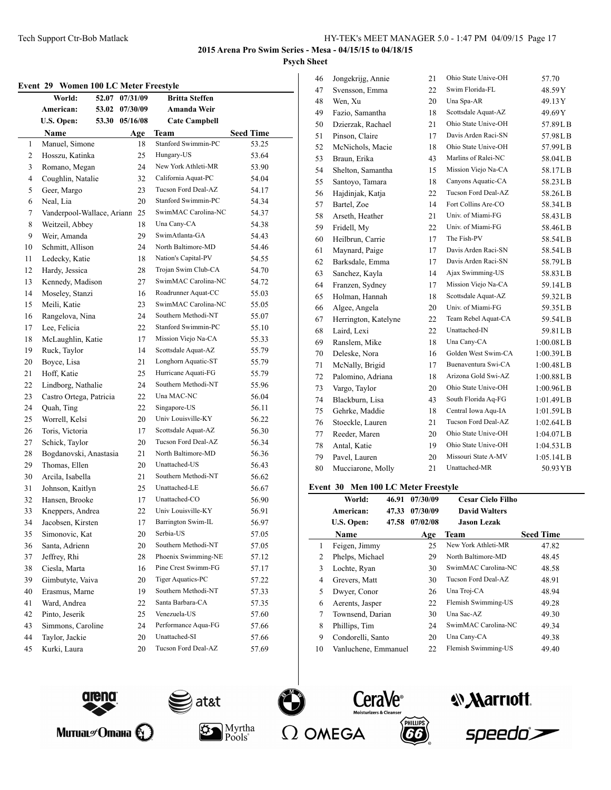### **Event 29 Women 100 LC Meter Freestyle**

| еусис <i>4)</i>     | women too LC meter Preestyle<br>World:<br>52.07 | 07/31/09 |           | <b>Britta Steffen</b>       |                           |
|---------------------|-------------------------------------------------|----------|-----------|-----------------------------|---------------------------|
|                     | American:<br>53.02                              | 07/30/09 |           | Amanda Weir                 |                           |
|                     | <b>U.S. Open:</b><br>53.30                      | 05/16/08 |           |                             |                           |
|                     |                                                 |          |           | <b>Cate Campbell</b>        |                           |
|                     | Name<br>Manuel, Simone                          |          | Age<br>18 | Team<br>Stanford Swimmin-PC | <b>Seed Time</b><br>53.25 |
| 1<br>$\overline{c}$ |                                                 |          | 25        | Hungary-US                  | 53.64                     |
|                     | Hosszu, Katinka                                 |          |           | New York Athleti-MR         |                           |
| 3                   | Romano, Megan                                   |          | 24        | California Aquat-PC         | 53.90                     |
| 4<br>5              | Coughlin, Natalie<br>Geer, Margo                |          | 32        | Tucson Ford Deal-AZ         | 54.04                     |
| 6                   | Neal, Lia                                       |          | 23<br>20  | Stanford Swimmin-PC         | 54.17                     |
|                     | Vanderpool-Wallace, Ariann                      |          | 25        | SwimMAC Carolina-NC         | 54.34                     |
| 7<br>8              | Weitzeil, Abbey                                 |          | 18        | Una Cany-CA                 | 54.37<br>54.38            |
| 9                   | Weir, Amanda                                    |          | 29        | SwimAtlanta-GA              |                           |
| 10                  | Schmitt, Allison                                |          | 24        | North Baltimore-MD          | 54.43<br>54.46            |
| 11                  | Ledecky, Katie                                  |          | 18        | Nation's Capital-PV         | 54.55                     |
|                     | Hardy, Jessica                                  |          |           | Trojan Swim Club-CA         |                           |
| 12                  | Kennedy, Madison                                |          | 28        | SwimMAC Carolina-NC         | 54.70                     |
| 13                  |                                                 |          | 27<br>16  | Roadrunner Aquat-CC         | 54.72                     |
| 14                  | Moseley, Stanzi<br>Meili, Katie                 |          |           | SwimMAC Carolina-NC         | 55.03                     |
| 15                  | Rangelova, Nina                                 |          | 23<br>24  | Southern Methodi-NT         | 55.05                     |
| 16                  |                                                 |          |           | Stanford Swimmin-PC         | 55.07                     |
| 17<br>18            | Lee, Felicia                                    |          | 22<br>17  | Mission Viejo Na-CA         | 55.10<br>55.33            |
|                     | McLaughlin, Katie<br>Ruck, Taylor               |          | 14        | Scottsdale Aquat-AZ         |                           |
| 19                  |                                                 |          | 21        | Longhorn Aquatic-ST         | 55.79                     |
| 20<br>21            | Boyce, Lisa<br>Hoff, Katie                      |          | 25        | Hurricane Aquati-FG         | 55.79<br>55.79            |
| 22                  | Lindborg, Nathalie                              |          | 24        | Southern Methodi-NT         |                           |
| 23                  | Castro Ortega, Patricia                         |          | 22        | Una MAC-NC                  | 55.96<br>56.04            |
| 24                  | Quah, Ting                                      |          | 22        | Singapore-US                | 56.11                     |
|                     | Worrell, Kelsi                                  |          | 20        | Univ Louisville-KY          |                           |
| 25<br>26            | Toris, Victoria                                 |          | 17        | Scottsdale Aquat-AZ         | 56.22<br>56.30            |
| 27                  | Schick, Taylor                                  |          | 20        | Tucson Ford Deal-AZ         | 56.34                     |
| 28                  | Bogdanovski, Anastasia                          |          | 21        | North Baltimore-MD          | 56.36                     |
| 29                  | Thomas, Ellen                                   |          | 20        | Unattached-US               | 56.43                     |
| 30                  | Arcila, Isabella                                |          | 21        | Southern Methodi-NT         | 56.62                     |
| 31                  | Johnson, Kaitlyn                                |          | 25        | Unattached-LE               | 56.67                     |
| 32                  | Hansen, Brooke                                  |          | 17        | Unattached-CO               | 56.90                     |
| 33                  | Kneppers, Andrea                                |          | 22        | Univ Louisville-KY          | 56.91                     |
| 34                  | Jacobsen, Kirsten                               |          | 17        | Barrington Swim-IL          | 56.97                     |
| 35                  | Simonovic, Kat                                  |          | 20        | Serbia-US                   | 57.05                     |
| 36                  | Santa, Adrienn                                  |          | 20        | Southern Methodi-NT         | 57.05                     |
| 37                  | Jeffrey, Rhi                                    |          | 28        | Phoenix Swimming-NE         | 57.12                     |
| 38                  | Ciesla, Marta                                   |          | 16        | Pine Crest Swimm-FG         | 57.17                     |
| 39                  | Gimbutyte, Vaiva                                |          | 20        | Tiger Aquatics-PC           |                           |
| 40                  | Erasmus, Marne                                  |          | 19        | Southern Methodi-NT         | 57.22<br>57.33            |
| 41                  | Ward, Andrea                                    |          | 22        | Santa Barbara-CA            | 57.35                     |
| 42                  | Pinto, Jeserik                                  |          | 25        | Venezuela-US                | 57.60                     |
| 43                  | Simmons, Caroline                               |          | 24        | Performance Aqua-FG         | 57.66                     |
| 44                  | Taylor, Jackie                                  |          | 20        | Unattached-SI               | 57.66                     |
| 45                  | Kurki, Laura                                    |          | 20        | Tucson Ford Deal-AZ         | 57.69                     |
|                     |                                                 |          |           |                             |                           |

| 46 | Jongekrijg, Annie    | 21 | Ohio State Unive-OH | 57.70      |
|----|----------------------|----|---------------------|------------|
| 47 | Svensson, Emma       | 22 | Swim Florida-FL     | 48.59Y     |
| 48 | Wen, Xu              | 20 | Una Spa-AR          | 49.13Y     |
| 49 | Fazio, Samantha      | 18 | Scottsdale Aquat-AZ | 49.69Y     |
| 50 | Dzierzak, Rachael    | 21 | Ohio State Unive-OH | 57.89LB    |
| 51 | Pinson, Claire       | 17 | Davis Arden Raci-SN | 57.98LB    |
| 52 | McNichols, Macie     | 18 | Ohio State Unive-OH | 57.99LB    |
| 53 | Braun, Erika         | 43 | Marlins of Ralei-NC | 58.04LB    |
| 54 | Shelton, Samantha    | 15 | Mission Viejo Na-CA | 58.17LB    |
| 55 | Santoyo, Tamara      | 18 | Canyons Aquatic-CA  | 58.23LB    |
| 56 | Hajdinjak, Katja     | 22 | Tucson Ford Deal-AZ | 58.26LB    |
| 57 | Bartel, Zoe          | 14 | Fort Collins Are-CO | 58.34LB    |
| 58 | Arseth, Heather      | 21 | Univ. of Miami-FG   | 58.43LB    |
| 59 | Fridell, My          | 22 | Univ. of Miami-FG   | 58.46LB    |
| 60 | Heilbrun, Carrie     | 17 | The Fish-PV         | 58.54LB    |
| 61 | Maynard, Paige       | 17 | Davis Arden Raci-SN | 58.54LB    |
| 62 | Barksdale, Emma      | 17 | Davis Arden Raci-SN | 58.79LB    |
| 63 | Sanchez, Kayla       | 14 | Ajax Swimming-US    | 58.83LB    |
| 64 | Franzen, Sydney      | 17 | Mission Viejo Na-CA | 59.14LB    |
| 65 | Holman, Hannah       | 18 | Scottsdale Aquat-AZ | 59.32LB    |
| 66 | Algee, Angela        | 20 | Univ. of Miami-FG   | 59.35LB    |
| 67 | Herrington, Katelyne | 22 | Team Rebel Aquat-CA | 59.54LB    |
| 68 | Laird, Lexi          | 22 | Unattached-IN       | 59.81LB    |
| 69 | Ranslem, Mike        | 18 | Una Cany-CA         | 1:00.08L B |
| 70 | Deleske, Nora        | 16 | Golden West Swim-CA | 1:00.39L B |
| 71 | McNally, Brigid      | 17 | Buenaventura Swi-CA | 1:00.48L B |
| 72 | Palomino, Adriana    | 18 | Arizona Gold Swi-AZ | 1:00.88LB  |
| 73 | Vargo, Taylor        | 20 | Ohio State Unive-OH | 1:00.96LB  |
| 74 | Blackburn, Lisa      | 43 | South Florida Aq-FG | 1:01.49L B |
| 75 | Gehrke, Maddie       | 18 | Central Iowa Aqu-IA | 1:01.59LB  |
| 76 | Stoeckle, Lauren     | 21 | Tucson Ford Deal-AZ | 1:02.64L B |
| 77 | Reeder, Maren        | 20 | Ohio State Unive-OH | 1:04.07LB  |
| 78 | Antal, Katie         | 19 | Ohio State Unive-OH | 1:04.53LB  |
| 79 | Pavel, Lauren        | 20 | Missouri State A-MV | 1:05.14L B |
| 80 | Mucciarone, Molly    | 21 | Unattached-MR       | 50.93 YB   |
|    |                      |    |                     |            |

### **Event 30 Men 100 LC Meter Freestyle**

|    | World:               | 46.91 | 07/30/09 | <b>Cesar Cielo Filho</b> |                  |
|----|----------------------|-------|----------|--------------------------|------------------|
|    | American:            | 47.33 | 07/30/09 | <b>David Walters</b>     |                  |
|    | U.S. Open:           | 47.58 | 07/02/08 | <b>Jason Lezak</b>       |                  |
|    | <b>Name</b>          |       | Age      | <b>Team</b>              | <b>Seed Time</b> |
| 1  | Feigen, Jimmy        |       | 25       | New York Athleti-MR      | 47.82            |
| 2  | Phelps, Michael      |       | 29       | North Baltimore-MD       | 48.45            |
| 3  | Lochte, Ryan         |       | 30       | SwimMAC Carolina-NC      | 48.58            |
| 4  | Grevers, Matt        |       | 30       | Tucson Ford Deal-AZ      | 48.91            |
| 5  | Dwyer, Conor         |       | 26       | Una Troj-CA              | 48.94            |
| 6  | Aerents, Jasper      |       | 22       | Flemish Swimming-US      | 49.28            |
| 7  | Townsend, Darian     |       | 30       | Una Sac-AZ               | 49.30            |
| 8  | Phillips, Tim        |       | 24       | SwimMAC Carolina-NC      | 49.34            |
| 9  | Condorelli, Santo    |       | 20       | Una Cany-CA              | 49.38            |
| 10 | Vanluchene, Emmanuel |       | 22       | Flemish Swimming-US      | 49.40            |











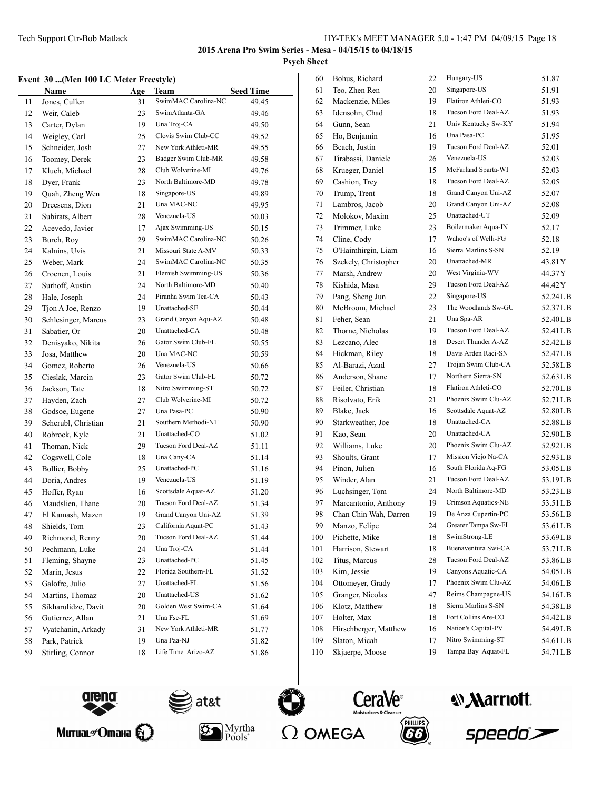# **Event 30 ...(Men 100 LC Meter Freestyle)**

|    | Name                | Age | Team                | <b>Seed Time</b> |
|----|---------------------|-----|---------------------|------------------|
| 11 | Jones, Cullen       | 31  | SwimMAC Carolina-NC | 49.45            |
| 12 | Weir, Caleb         | 23  | SwimAtlanta-GA      | 49.46            |
| 13 | Carter, Dylan       | 19  | Una Troj-CA         | 49.50            |
| 14 | Weigley, Carl       | 25  | Clovis Swim Club-CC | 49.52            |
| 15 | Schneider, Josh     | 27  | New York Athleti-MR | 49.55            |
| 16 | Toomey, Derek       | 23  | Badger Swim Club-MR | 49.58            |
| 17 | Klueh, Michael      | 28  | Club Wolverine-MI   | 49.76            |
| 18 | Dver, Frank         | 23  | North Baltimore-MD  | 49.78            |
| 19 | Quah, Zheng Wen     | 18  | Singapore-US        | 49.89            |
| 20 | Dreesens, Dion      | 21  | Una MAC-NC          | 49.95            |
| 21 | Subirats, Albert    | 28  | Venezuela-US        | 50.03            |
| 22 | Acevedo, Javier     | 17  | Ajax Swimming-US    | 50.15            |
| 23 | Burch, Roy          | 29  | SwimMAC Carolina-NC | 50.26            |
| 24 | Kalnins, Uvis       | 21  | Missouri State A-MV | 50.33            |
| 25 | Weber, Mark         | 24  | SwimMAC Carolina-NC | 50.35            |
| 26 | Croenen, Louis      | 21  | Flemish Swimming-US | 50.36            |
| 27 | Surhoff, Austin     | 24  | North Baltimore-MD  | 50.40            |
| 28 | Hale, Joseph        | 24  | Piranha Swim Tea-CA | 50.43            |
| 29 | Tjon A Joe, Renzo   | 19  | Unattached-SE       | 50.44            |
| 30 | Schlesinger, Marcus | 23  | Grand Canyon Aqu-AZ | 50.48            |
| 31 | Sabatier, Or        | 20  | Unattached-CA       | 50.48            |
| 32 | Denisyako, Nikita   | 26  | Gator Swim Club-FL  | 50.55            |
| 33 | Josa, Matthew       | 20  | Una MAC-NC          | 50.59            |
| 34 | Gomez, Roberto      | 26  | Venezuela-US        | 50.66            |
| 35 | Cieslak, Marcin     | 23  | Gator Swim Club-FL  | 50.72            |
| 36 | Jackson, Tate       | 18  | Nitro Swimming-ST   | 50.72            |
| 37 | Hayden, Zach        | 27  | Club Wolverine-MI   | 50.72            |
| 38 | Godsoe, Eugene      | 27  | Una Pasa-PC         | 50.90            |
| 39 | Scherubl, Christian | 21  | Southern Methodi-NT | 50.90            |
| 40 | Robrock, Kyle       | 21  | Unattached-CO       | 51.02            |
| 41 | Thoman, Nick        | 29  | Tucson Ford Deal-AZ | 51.11            |
| 42 | Cogswell, Cole      | 18  | Una Cany-CA         | 51.14            |
| 43 | Bollier, Bobby      | 25  | Unattached-PC       | 51.16            |
| 44 | Doria, Andres       | 19  | Venezuela-US        | 51.19            |
| 45 | Hoffer, Ryan        | 16  | Scottsdale Aquat-AZ | 51.20            |
| 46 | Maudslien, Thane    | 20  | Tucson Ford Deal-AZ | 51.34            |
| 47 | El Kamash, Mazen    | 19  | Grand Canyon Uni-AZ | 51.39            |
| 48 | Shields, Tom        | 23  | California Aquat-PC | 51.43            |
| 49 | Richmond, Renny     | 20  | Tucson Ford Deal-AZ | 51.44            |
| 50 | Pechmann, Luke      | 24  | Una Troj-CA         | 51.44            |
| 51 | Fleming, Shayne     | 23  | Unattached-PC       | 51.45            |
| 52 | Marin, Jesus        | 22  | Florida Southern-FL | 51.52            |
| 53 | Galofre, Julio      | 27  | Unattached-FL       | 51.56            |
| 54 | Martins, Thomaz     | 20  | Unattached-US       | 51.62            |
| 55 | Sikharulidze, Davit | 20  | Golden West Swim-CA | 51.64            |
| 56 | Gutierrez, Allan    | 21  | Una Fsc-FL          | 51.69            |
| 57 | Vyatchanin, Arkady  | 31  | New York Athleti-MR | 51.77            |
| 58 | Park, Patrick       | 19  | Una Paa-NJ          | 51.82            |
| 59 | Stirling, Connor    | 18  | Life Time Arizo-AZ  | 51.86            |
|    |                     |     |                     |                  |

| 60  | Bohus, Richard        | 22 | Hungary-US          | 51.87     |
|-----|-----------------------|----|---------------------|-----------|
| 61  | Teo, Zhen Ren         | 20 | Singapore-US        | 51.91     |
| 62  | Mackenzie, Miles      | 19 | Flatiron Athleti-CO | 51.93     |
| 63  | Idensohn, Chad        | 18 | Tucson Ford Deal-AZ | 51.93     |
| 64  | Gunn, Sean            | 21 | Univ Kentucky Sw-KY | 51.94     |
| 65  | Ho, Benjamin          | 16 | Una Pasa-PC         | 51.95     |
| 66  | Beach, Justin         | 19 | Tucson Ford Deal-AZ | 52.01     |
| 67  | Tirabassi, Daniele    | 26 | Venezuela-US        | 52.03     |
| 68  | Krueger, Daniel       | 15 | McFarland Sparta-WI | 52.03     |
| 69  | Cashion, Trey         | 18 | Tucson Ford Deal-AZ | 52.05     |
| 70  | Trump, Trent          | 18 | Grand Canyon Uni-AZ | 52.07     |
| 71  | Lambros, Jacob        | 20 | Grand Canyon Uni-AZ | 52.08     |
| 72  | Molokov, Maxim        | 25 | Unattached-UT       | 52.09     |
| 73  | Trimmer, Luke         | 23 | Boilermaker Aqua-IN | 52.17     |
| 74  | Cline, Cody           | 17 | Wahoo's of Welli-FG | 52.18     |
| 75  | O'Haimhirgin, Liam    | 16 | Sierra Marlins S-SN | 52.19     |
| 76  | Szekely, Christopher  | 20 | Unattached-MR       | 43.81 Y   |
| 77  | Marsh, Andrew         | 20 | West Virginia-WV    | 44.37 Y   |
| 78  | Kishida, Masa         | 29 | Tucson Ford Deal-AZ | 44.42 Y   |
| 79  | Pang, Sheng Jun       | 22 | Singapore-US        | 52.24LB   |
| 80  | McBroom, Michael      | 23 | The Woodlands Sw-GU | 52.37LB   |
| 81  | Feher, Sean           | 21 | Una Spa-AR          | 52.40LB   |
| 82  | Thorne, Nicholas      | 19 | Tucson Ford Deal-AZ | 52.41 L B |
| 83  | Lezcano, Alec         | 18 | Desert Thunder A-AZ | 52.42LB   |
| 84  | Hickman, Riley        | 18 | Davis Arden Raci-SN | 52.47LB   |
| 85  | Al-Barazi, Azad       | 27 | Trojan Swim Club-CA | 52.58LB   |
| 86  | Anderson, Shane       | 17 | Northern Sierra-SN  | 52.63LB   |
| 87  | Feiler, Christian     | 18 | Flatiron Athleti-CO | 52.70LB   |
| 88  | Risolvato, Erik       | 21 | Phoenix Swim Clu-AZ | 52.71LB   |
| 89  | Blake, Jack           | 16 | Scottsdale Aquat-AZ | 52.80LB   |
| 90  | Starkweather, Joe     | 18 | Unattached-CA       | 52.88LB   |
| 91  | Kao, Sean             | 20 | Unattached-CA       | 52.90LB   |
| 92  | Williams, Luke        | 20 | Phoenix Swim Clu-AZ | 52.92LB   |
| 93  | Shoults, Grant        | 17 | Mission Viejo Na-CA | 52.93LB   |
| 94  | Pinon, Julien         | 16 | South Florida Aq-FG | 53.05LB   |
| 95  | Winder, Alan          | 21 | Tucson Ford Deal-AZ | 53.19LB   |
| 96  | Luchsinger, Tom       | 24 | North Baltimore-MD  | 53.23LB   |
| 97  | Marcantonio, Anthony  | 19 | Crimson Aquatics-NE | 53.51LB   |
| 98  | Chan Chin Wah, Darren | 19 | De Anza Cupertin-PC | 53.56LB   |
| 99  | Manzo, Felipe         | 24 | Greater Tampa Sw-FL | 53.61LB   |
| 100 | Pichette, Mike        | 18 | SwimStrong-LE       | 53.69LB   |
| 101 | Harrison, Stewart     | 18 | Buenaventura Swi-CA | 53.71LB   |
| 102 | Titus, Marcus         | 28 | Tucson Ford Deal-AZ | 53.86LB   |
| 103 | Kim, Jessie           | 19 | Canyons Aquatic-CA  | 54.05LB   |
| 104 | Ottomeyer, Grady      | 17 | Phoenix Swim Clu-AZ | 54.06LB   |
| 105 | Granger, Nicolas      | 47 | Reims Champagne-US  | 54.16LB   |
| 106 | Klotz, Matthew        | 18 | Sierra Marlins S-SN | 54.38LB   |
| 107 | Holter, Max           | 18 | Fort Collins Are-CO | 54.42LB   |
| 108 | Hirschberger, Matthew | 16 | Nation's Capital-PV | 54.49LB   |
| 109 | Slaton, Micah         | 17 | Nitro Swimming-ST   | 54.61LB   |
| 110 | Skjaerpe, Moose       | 19 | Tampa Bay Aquat-FL  | 54.71LB   |
|     |                       |    |                     |           |











*<u><b>Narriott</u>*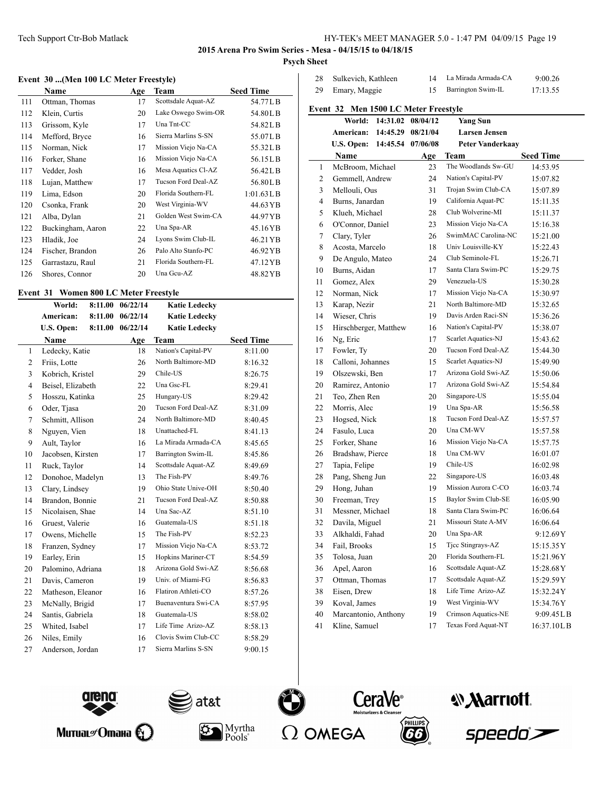Sulkevich, Kathleen 14 La Mirada Armada-CA 9:00.26 29 Emary, Maggie 15 Barrington Swim-IL 17:13.55

**2015 Arena Pro Swim Series - Mesa - 04/15/15 to 04/18/15 Psych Sheet**

### **Event 30 ...(Men 100 LC Meter Freestyle)**

|     | Name              | Age | Team                | <b>Seed Time</b> |
|-----|-------------------|-----|---------------------|------------------|
| 111 | Ottman, Thomas    | 17  | Scottsdale Aquat-AZ | 54.77LB          |
| 112 | Klein, Curtis     | 20  | Lake Oswego Swim-OR | 54.80LB          |
| 113 | Grissom, Kyle     | 17  | Una Tnt-CC          | 54.82LB          |
| 114 | Mefford, Bryce    | 16  | Sierra Marlins S-SN | 55.07LB          |
| 115 | Norman, Nick      | 17  | Mission Viejo Na-CA | 55.32LB          |
| 116 | Forker, Shane     | 16  | Mission Viejo Na-CA | 56.15LB          |
| 117 | Vedder, Josh      | 16  | Mesa Aquatics Cl-AZ | 56.42LB          |
| 118 | Lujan, Matthew    | 17  | Tucson Ford Deal-AZ | 56.80LB          |
| 119 | Lima, Edson       | 20  | Florida Southern-FL | $1:01.63$ L B    |
| 120 | Csonka, Frank     | 20  | West Virginia-WV    | 44.63 YB         |
| 121 | Alba, Dylan       | 21  | Golden West Swim-CA | 44.97 YB         |
| 122 | Buckingham, Aaron | 22  | Una Spa-AR          | 45.16YB          |
| 123 | Hladik, Joe       | 24  | Lyons Swim Club-IL  | 46.21 YB         |
| 124 | Fischer, Brandon  | 26  | Palo Alto Stanfo-PC | 46.92 YB         |
| 125 | Garrastazu, Raul  | 21  | Florida Southern-FL | 47.12 YB         |
| 126 | Shores, Connor    | 20  | Una Gcu-AZ          | 48.82YB          |

#### **Event 31 Women 800 LC Meter Freestyle**

|              | World:            | 8:11.00 | 06/22/14 | <b>Katie Ledecky</b> |                  |
|--------------|-------------------|---------|----------|----------------------|------------------|
|              | American:         | 8:11.00 | 06/22/14 | <b>Katie Ledecky</b> |                  |
|              | U.S. Open:        | 8:11.00 | 06/22/14 | <b>Katie Ledecky</b> |                  |
|              | Name              |         | Age      | Team                 | <b>Seed Time</b> |
| $\mathbf{1}$ | Ledecky, Katie    |         | 18       | Nation's Capital-PV  | 8:11.00          |
| 2            | Friis, Lotte      |         | 26       | North Baltimore-MD   | 8:16.32          |
| 3            | Kobrich, Kristel  |         | 29       | Chile-US             | 8:26.75          |
| 4            | Beisel, Elizabeth |         | 22       | Una Gsc-FL           | 8:29.41          |
| 5            | Hosszu, Katinka   |         | 25       | Hungary-US           | 8:29.42          |
| 6            | Oder, Tjasa       |         | 20       | Tucson Ford Deal-AZ  | 8:31.09          |
| 7            | Schmitt, Allison  |         | 24       | North Baltimore-MD   | 8:40.45          |
| 8            | Nguyen, Vien      |         | 18       | Unattached-FL        | 8:41.13          |
| 9            | Ault, Taylor      |         | 16       | La Mirada Armada-CA  | 8:45.65          |
| 10           | Jacobsen, Kirsten |         | 17       | Barrington Swim-IL   | 8:45.86          |
| 11           | Ruck, Taylor      |         | 14       | Scottsdale Aquat-AZ  | 8:49.69          |
| 12           | Donohoe, Madelyn  |         | 13       | The Fish-PV          | 8:49.76          |
| 13           | Clary, Lindsey    |         | 19       | Ohio State Unive-OH  | 8:50.40          |
| 14           | Brandon, Bonnie   |         | 21       | Tucson Ford Deal-AZ  | 8:50.88          |
| 15           | Nicolaisen, Shae  |         | 14       | Una Sac-AZ           | 8:51.10          |
| 16           | Gruest, Valerie   |         | 16       | Guatemala-US         | 8:51.18          |
| 17           | Owens, Michelle   |         | 15       | The Fish-PV          | 8:52.23          |
| 18           | Franzen, Sydney   |         | 17       | Mission Viejo Na-CA  | 8:53.72          |
| 19           | Earley, Erin      |         | 15       | Hopkins Mariner-CT   | 8:54.59          |
| 20           | Palomino, Adriana |         | 18       | Arizona Gold Swi-AZ  | 8:56.68          |
| 21           | Davis, Cameron    |         | 19       | Univ. of Miami-FG    | 8:56.83          |
| 22           | Matheson, Eleanor |         | 16       | Flatiron Athleti-CO  | 8:57.26          |
| 23           | McNally, Brigid   |         | 17       | Buenaventura Swi-CA  | 8:57.95          |
| 24           | Santis, Gabriela  |         | 18       | Guatemala-US         | 8:58.02          |
| 25           | Whited, Isabel    |         | 17       | Life Time Arizo-AZ   | 8:58.13          |
| 26           | Niles, Emily      |         | 16       | Clovis Swim Club-CC  | 8:58.29          |
| 27           | Anderson, Jordan  |         | 17       | Sierra Marlins S-SN  | 9:00.15          |
|              |                   |         |          |                      |                  |

|    | Event 32 Men 1500 LC Meter Freestyle |          |                   |                         |                  |
|----|--------------------------------------|----------|-------------------|-------------------------|------------------|
|    | World:                               |          | 14:31.02 08/04/12 | Yang Sun                |                  |
|    | American:                            | 14:45.29 | 08/21/04          | <b>Larsen Jensen</b>    |                  |
|    | U.S. Open:                           | 14:45.54 | 07/06/08          | <b>Peter Vanderkaay</b> |                  |
|    | Name                                 |          | Age               | Team                    | <b>Seed Time</b> |
| 1  | McBroom, Michael                     |          | 23                | The Woodlands Sw-GU     | 14:53.95         |
| 2  | Gemmell, Andrew                      |          | 24                | Nation's Capital-PV     | 15:07.82         |
| 3  | Mellouli, Ous                        |          | 31                | Trojan Swim Club-CA     | 15:07.89         |
| 4  | Burns, Janardan                      |          | 19                | California Aquat-PC     | 15:11.35         |
| 5  | Klueh, Michael                       |          | 28                | Club Wolverine-MI       | 15:11.37         |
| 6  | O'Connor, Daniel                     |          | 23                | Mission Viejo Na-CA     | 15:16.38         |
| 7  | Clary, Tyler                         |          | 26                | SwimMAC Carolina-NC     | 15:21.00         |
| 8  | Acosta, Marcelo                      |          | 18                | Univ Louisville-KY      | 15:22.43         |
| 9  | De Angulo, Mateo                     |          | 24                | Club Seminole-FL        | 15:26.71         |
| 10 | Burns, Aidan                         |          | 17                | Santa Clara Swim-PC     | 15:29.75         |
| 11 | Gomez, Alex                          |          | 29                | Venezuela-US            | 15:30.28         |
| 12 | Norman, Nick                         |          | 17                | Mission Viejo Na-CA     | 15:30.97         |
| 13 | Karap, Nezir                         |          | 21                | North Baltimore-MD      | 15:32.65         |
| 14 | Wieser, Chris                        |          | 19                | Davis Arden Raci-SN     | 15:36.26         |
| 15 | Hirschberger, Matthew                |          | 16                | Nation's Capital-PV     | 15:38.07         |
| 16 | Ng, Eric                             |          | 17                | Scarlet Aquatics-NJ     | 15:43.62         |
| 17 | Fowler, Ty                           |          | 20                | Tucson Ford Deal-AZ     | 15:44.30         |
| 18 | Calloni, Johannes                    |          | 15                | Scarlet Aquatics-NJ     | 15:49.90         |
| 19 | Olszewski, Ben                       |          | 17                | Arizona Gold Swi-AZ     | 15:50.06         |
| 20 | Ramirez, Antonio                     |          | 17                | Arizona Gold Swi-AZ     | 15:54.84         |
| 21 | Teo, Zhen Ren                        |          | 20                | Singapore-US            | 15:55.04         |
| 22 | Morris, Alec                         |          | 19                | Una Spa-AR              | 15:56.58         |
| 23 | Hogsed, Nick                         |          | 18                | Tucson Ford Deal-AZ     | 15:57.57         |
| 24 | Fasulo, Luca                         |          | 20                | Una CM-WV               | 15:57.58         |
| 25 | Forker, Shane                        |          | 16                | Mission Viejo Na-CA     | 15:57.75         |
| 26 | Bradshaw, Pierce                     |          | 18                | Una CM-WV               | 16:01.07         |
| 27 | Tapia, Felipe                        |          | 19                | Chile-US                | 16:02.98         |
| 28 | Pang, Sheng Jun                      |          | 22                | Singapore-US            | 16:03.48         |
| 29 | Hong, Juhan                          |          | 19                | Mission Aurora C-CO     | 16:03.74         |
| 30 | Freeman, Trey                        |          | 15                | Baylor Swim Club-SE     | 16:05.90         |
| 31 | Messner, Michael                     |          | 18                | Santa Clara Swim-PC     | 16:06.64         |
| 32 | Davila, Miguel                       |          | 21                | Missouri State A-MV     | 16:06.64         |
| 33 | Alkhaldi, Fahad                      |          | 20                | Una Spa-AR              | 9:12.69Y         |
| 34 | Fail, Brooks                         |          | 15                | Tjcc Stingrays-AZ       | 15:15.35Y        |
| 35 | Tolosa, Juan                         |          | 20                | Florida Southern-FL     | 15:21.96Y        |
| 36 | Apel, Aaron                          |          | 16                | Scottsdale Aquat-AZ     | 15:28.68Y        |
| 37 | Ottman, Thomas                       |          | 17                | Scottsdale Aquat-AZ     | 15:29.59Y        |
| 38 | Eisen, Drew                          |          | 18                | Life Time Arizo-AZ      | 15:32.24Y        |
| 39 | Koval, James                         |          | 19                | West Virginia-WV        | 15:34.76Y        |
| 40 | Marcantonio, Anthony                 |          | 19                | Crimson Aquatics-NE     | 9:09.45LB        |
| 41 | Kline, Samuel                        |          | 17                | Texas Ford Aquat-NT     | 16:37.10LB       |







 $Pools^*$